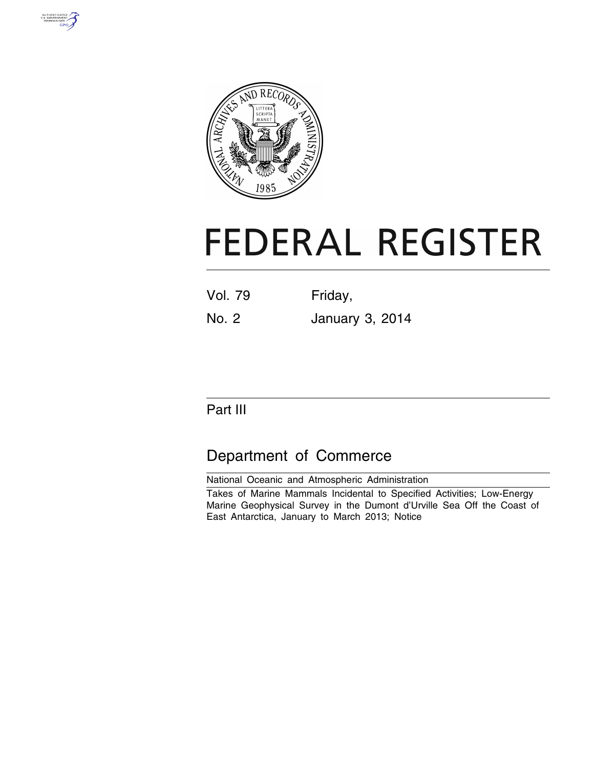



# **FEDERAL REGISTER**

| <b>Vol. 79</b> | Friday, |  |
|----------------|---------|--|
|                |         |  |

No. 2 January 3, 2014

# Part III

# Department of Commerce

National Oceanic and Atmospheric Administration Takes of Marine Mammals Incidental to Specified Activities; Low-Energy Marine Geophysical Survey in the Dumont d'Urville Sea Off the Coast of East Antarctica, January to March 2013; Notice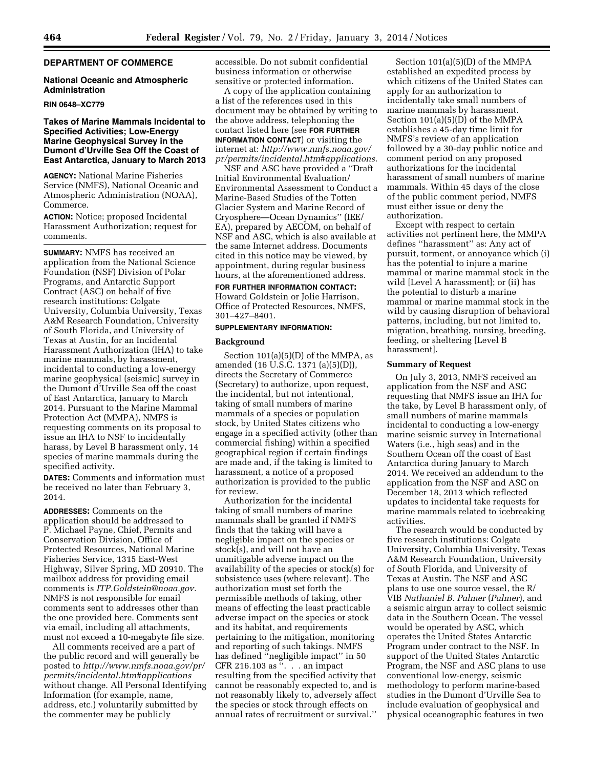# **DEPARTMENT OF COMMERCE**

# **National Oceanic and Atmospheric Administration**

#### **RIN 0648–XC779**

# **Takes of Marine Mammals Incidental to Specified Activities; Low-Energy Marine Geophysical Survey in the Dumont d'Urville Sea Off the Coast of East Antarctica, January to March 2013**

**AGENCY:** National Marine Fisheries Service (NMFS), National Oceanic and Atmospheric Administration (NOAA), Commerce.

**ACTION:** Notice; proposed Incidental Harassment Authorization; request for comments.

**SUMMARY:** NMFS has received an application from the National Science Foundation (NSF) Division of Polar Programs, and Antarctic Support Contract (ASC) on behalf of five research institutions: Colgate University, Columbia University, Texas A&M Research Foundation, University of South Florida, and University of Texas at Austin, for an Incidental Harassment Authorization (IHA) to take marine mammals, by harassment, incidental to conducting a low-energy marine geophysical (seismic) survey in the Dumont d'Urville Sea off the coast of East Antarctica, January to March 2014. Pursuant to the Marine Mammal Protection Act (MMPA), NMFS is requesting comments on its proposal to issue an IHA to NSF to incidentally harass, by Level B harassment only, 14 species of marine mammals during the specified activity.

**DATES:** Comments and information must be received no later than February 3, 2014.

**ADDRESSES:** Comments on the application should be addressed to P. Michael Payne, Chief, Permits and Conservation Division, Office of Protected Resources, National Marine Fisheries Service, 1315 East-West Highway, Silver Spring, MD 20910. The mailbox address for providing email comments is *[ITP.Goldstein@noaa.gov.](mailto:ITP.Goldstein@noaa.gov)*  NMFS is not responsible for email comments sent to addresses other than the one provided here. Comments sent via email, including all attachments, must not exceed a 10-megabyte file size.

All comments received are a part of the public record and will generally be posted to *[http://www.nmfs.noaa.gov/pr/](http://www.nmfs.noaa.gov/pr/permits/incidental.htm#applications) [permits/incidental.htm#applications](http://www.nmfs.noaa.gov/pr/permits/incidental.htm#applications)*  without change. All Personal Identifying Information (for example, name, address, etc.) voluntarily submitted by the commenter may be publicly

accessible. Do not submit confidential business information or otherwise sensitive or protected information.

A copy of the application containing a list of the references used in this document may be obtained by writing to the above address, telephoning the contact listed here (see **FOR FURTHER INFORMATION CONTACT**) or visiting the internet at: *[http://www.nmfs.noaa.gov/](http://www.nmfs.noaa.gov/pr/permits/incidental.htm#applications) [pr/permits/incidental.htm#applications.](http://www.nmfs.noaa.gov/pr/permits/incidental.htm#applications)* 

NSF and ASC have provided a ''Draft Initial Environmental Evaluation/ Environmental Assessment to Conduct a Marine-Based Studies of the Totten Glacier System and Marine Record of Cryosphere—Ocean Dynamics'' (IEE/ EA), prepared by AECOM, on behalf of NSF and ASC, which is also available at the same Internet address. Documents cited in this notice may be viewed, by appointment, during regular business hours, at the aforementioned address.

# **FOR FURTHER INFORMATION CONTACT:**

Howard Goldstein or Jolie Harrison, Office of Protected Resources, NMFS, 301–427–8401.

#### **SUPPLEMENTARY INFORMATION:**

## **Background**

Section 101(a)(5)(D) of the MMPA, as amended (16 U.S.C. 1371 (a)(5)(D)), directs the Secretary of Commerce (Secretary) to authorize, upon request, the incidental, but not intentional, taking of small numbers of marine mammals of a species or population stock, by United States citizens who engage in a specified activity (other than commercial fishing) within a specified geographical region if certain findings are made and, if the taking is limited to harassment, a notice of a proposed authorization is provided to the public for review.

Authorization for the incidental taking of small numbers of marine mammals shall be granted if NMFS finds that the taking will have a negligible impact on the species or stock(s), and will not have an unmitigable adverse impact on the availability of the species or stock(s) for subsistence uses (where relevant). The authorization must set forth the permissible methods of taking, other means of effecting the least practicable adverse impact on the species or stock and its habitat, and requirements pertaining to the mitigation, monitoring and reporting of such takings. NMFS has defined ''negligible impact'' in 50 CFR 216.103 as  $\cdots$  . . an impact resulting from the specified activity that cannot be reasonably expected to, and is not reasonably likely to, adversely affect the species or stock through effects on annual rates of recruitment or survival.''

Section 101(a)(5)(D) of the MMPA established an expedited process by which citizens of the United States can apply for an authorization to incidentally take small numbers of marine mammals by harassment. Section 101(a)(5)(D) of the MMPA establishes a 45-day time limit for NMFS's review of an application followed by a 30-day public notice and comment period on any proposed authorizations for the incidental harassment of small numbers of marine mammals. Within 45 days of the close of the public comment period, NMFS must either issue or deny the authorization.

Except with respect to certain activities not pertinent here, the MMPA defines ''harassment'' as: Any act of pursuit, torment, or annoyance which (i) has the potential to injure a marine mammal or marine mammal stock in the wild [Level A harassment]; or (ii) has the potential to disturb a marine mammal or marine mammal stock in the wild by causing disruption of behavioral patterns, including, but not limited to, migration, breathing, nursing, breeding, feeding, or sheltering [Level B harassment].

# **Summary of Request**

On July 3, 2013, NMFS received an application from the NSF and ASC requesting that NMFS issue an IHA for the take, by Level B harassment only, of small numbers of marine mammals incidental to conducting a low-energy marine seismic survey in International Waters (i.e., high seas) and in the Southern Ocean off the coast of East Antarctica during January to March 2014. We received an addendum to the application from the NSF and ASC on December 18, 2013 which reflected updates to incidental take requests for marine mammals related to icebreaking activities.

The research would be conducted by five research institutions: Colgate University, Columbia University, Texas A&M Research Foundation, University of South Florida, and University of Texas at Austin. The NSF and ASC plans to use one source vessel, the R/ VIB *Nathaniel B. Palmer* (*Palmer*), and a seismic airgun array to collect seismic data in the Southern Ocean. The vessel would be operated by ASC, which operates the United States Antarctic Program under contract to the NSF. In support of the United States Antarctic Program, the NSF and ASC plans to use conventional low-energy, seismic methodology to perform marine-based studies in the Dumont d'Urville Sea to include evaluation of geophysical and physical oceanographic features in two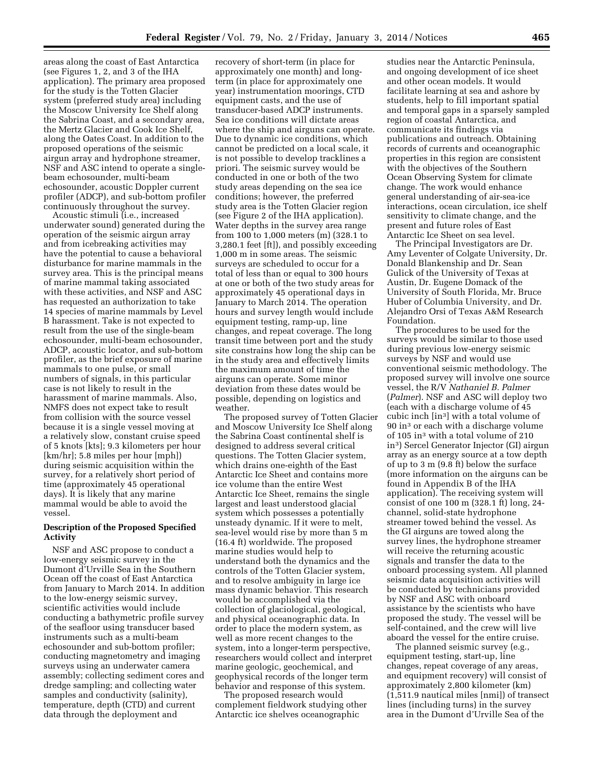areas along the coast of East Antarctica (see Figures 1, 2, and 3 of the IHA application). The primary area proposed for the study is the Totten Glacier system (preferred study area) including the Moscow University Ice Shelf along the Sabrina Coast, and a secondary area, the Mertz Glacier and Cook Ice Shelf, along the Oates Coast. In addition to the proposed operations of the seismic airgun array and hydrophone streamer, NSF and ASC intend to operate a singlebeam echosounder, multi-beam echosounder, acoustic Doppler current profiler (ADCP), and sub-bottom profiler continuously throughout the survey.

Acoustic stimuli (i.e., increased underwater sound) generated during the operation of the seismic airgun array and from icebreaking activities may have the potential to cause a behavioral disturbance for marine mammals in the survey area. This is the principal means of marine mammal taking associated with these activities, and NSF and ASC has requested an authorization to take 14 species of marine mammals by Level B harassment. Take is not expected to result from the use of the single-beam echosounder, multi-beam echosounder, ADCP, acoustic locator, and sub-bottom profiler, as the brief exposure of marine mammals to one pulse, or small numbers of signals, in this particular case is not likely to result in the harassment of marine mammals. Also, NMFS does not expect take to result from collision with the source vessel because it is a single vessel moving at a relatively slow, constant cruise speed of 5 knots [kts]; 9.3 kilometers per hour [km/hr]; 5.8 miles per hour [mph]) during seismic acquisition within the survey, for a relatively short period of time (approximately 45 operational days). It is likely that any marine mammal would be able to avoid the vessel.

# **Description of the Proposed Specified Activity**

NSF and ASC propose to conduct a low-energy seismic survey in the Dumont d'Urville Sea in the Southern Ocean off the coast of East Antarctica from January to March 2014. In addition to the low-energy seismic survey, scientific activities would include conducting a bathymetric profile survey of the seafloor using transducer based instruments such as a multi-beam echosounder and sub-bottom profiler; conducting magnetometry and imaging surveys using an underwater camera assembly; collecting sediment cores and dredge sampling; and collecting water samples and conductivity (salinity), temperature, depth (CTD) and current data through the deployment and

recovery of short-term (in place for approximately one month) and longterm (in place for approximately one year) instrumentation moorings, CTD equipment casts, and the use of transducer-based ADCP instruments. Sea ice conditions will dictate areas where the ship and airguns can operate. Due to dynamic ice conditions, which cannot be predicted on a local scale, it is not possible to develop tracklines a priori. The seismic survey would be conducted in one or both of the two study areas depending on the sea ice conditions; however, the preferred study area is the Totten Glacier region (see Figure 2 of the IHA application). Water depths in the survey area range from 100 to 1,000 meters (m) (328.1 to 3,280.1 feet [ft]), and possibly exceeding 1,000 m in some areas. The seismic surveys are scheduled to occur for a total of less than or equal to 300 hours at one or both of the two study areas for approximately 45 operational days in January to March 2014. The operation hours and survey length would include equipment testing, ramp-up, line changes, and repeat coverage. The long transit time between port and the study site constrains how long the ship can be in the study area and effectively limits the maximum amount of time the airguns can operate. Some minor deviation from these dates would be possible, depending on logistics and weather.

The proposed survey of Totten Glacier and Moscow University Ice Shelf along the Sabrina Coast continental shelf is designed to address several critical questions. The Totten Glacier system, which drains one-eighth of the East Antarctic Ice Sheet and contains more ice volume than the entire West Antarctic Ice Sheet, remains the single largest and least understood glacial system which possesses a potentially unsteady dynamic. If it were to melt, sea-level would rise by more than 5 m (16.4 ft) worldwide. The proposed marine studies would help to understand both the dynamics and the controls of the Totten Glacier system, and to resolve ambiguity in large ice mass dynamic behavior. This research would be accomplished via the collection of glaciological, geological, and physical oceanographic data. In order to place the modern system, as well as more recent changes to the system, into a longer-term perspective, researchers would collect and interpret marine geologic, geochemical, and geophysical records of the longer term behavior and response of this system.

The proposed research would complement fieldwork studying other Antarctic ice shelves oceanographic

studies near the Antarctic Peninsula, and ongoing development of ice sheet and other ocean models. It would facilitate learning at sea and ashore by students, help to fill important spatial and temporal gaps in a sparsely sampled region of coastal Antarctica, and communicate its findings via publications and outreach. Obtaining records of currents and oceanographic properties in this region are consistent with the objectives of the Southern Ocean Observing System for climate change. The work would enhance general understanding of air-sea-ice interactions, ocean circulation, ice shelf sensitivity to climate change, and the present and future roles of East Antarctic Ice Sheet on sea level.

The Principal Investigators are Dr. Amy Leventer of Colgate University, Dr. Donald Blankenship and Dr. Sean Gulick of the University of Texas at Austin, Dr. Eugene Domack of the University of South Florida, Mr. Bruce Huber of Columbia University, and Dr. Alejandro Orsi of Texas A&M Research Foundation.

The procedures to be used for the surveys would be similar to those used during previous low-energy seismic surveys by NSF and would use conventional seismic methodology. The proposed survey will involve one source vessel, the R/V *Nathaniel B. Palmer*  (*Palmer*). NSF and ASC will deploy two (each with a discharge volume of 45 cubic inch [in3] with a total volume of 90 in3 or each with a discharge volume of 105 in3 with a total volume of 210 in3) Sercel Generator Injector (GI) airgun array as an energy source at a tow depth of up to 3 m (9.8 ft) below the surface (more information on the airguns can be found in Appendix B of the IHA application). The receiving system will consist of one 100 m (328.1 ft) long, 24 channel, solid-state hydrophone streamer towed behind the vessel. As the GI airguns are towed along the survey lines, the hydrophone streamer will receive the returning acoustic signals and transfer the data to the onboard processing system. All planned seismic data acquisition activities will be conducted by technicians provided by NSF and ASC with onboard assistance by the scientists who have proposed the study. The vessel will be self-contained, and the crew will live aboard the vessel for the entire cruise.

The planned seismic survey (e.g., equipment testing, start-up, line changes, repeat coverage of any areas, and equipment recovery) will consist of approximately 2,800 kilometer (km) (1,511.9 nautical miles [nmi]) of transect lines (including turns) in the survey area in the Dumont d'Urville Sea of the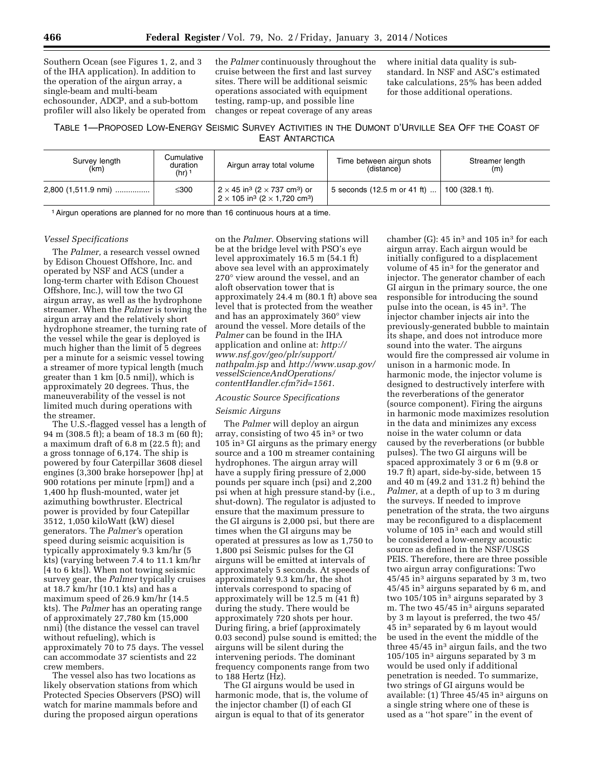Southern Ocean (see Figures 1, 2, and 3 of the IHA application). In addition to the operation of the airgun array, a single-beam and multi-beam echosounder, ADCP, and a sub-bottom profiler will also likely be operated from

the *Palmer* continuously throughout the cruise between the first and last survey sites. There will be additional seismic operations associated with equipment testing, ramp-up, and possible line changes or repeat coverage of any areas

where initial data quality is substandard. In NSF and ASC's estimated take calculations, 25% has been added for those additional operations.

# TABLE 1—PROPOSED LOW-ENERGY SEISMIC SURVEY ACTIVITIES IN THE DUMONT D'URVILLE SEA OFF THE COAST OF EAST ANTARCTICA

| Survey length<br>(km) | Cumulative<br>duration<br>$(hr)$ <sup>1</sup> | Airgun array total volume                                                                                                                          | Time between airgun shots<br>(distance) | Streamer length<br>(m)    |
|-----------------------|-----------------------------------------------|----------------------------------------------------------------------------------------------------------------------------------------------------|-----------------------------------------|---------------------------|
| 2,800 (1,511.9 nmi)   | ≤300                                          | $\frac{1}{2} \times 45$ in <sup>3</sup> (2 $\times$ 737 cm <sup>3</sup> ) or<br>$2 \times 105$ in <sup>3</sup> (2 $\times$ 1,720 cm <sup>3</sup> ) | 5 seconds (12.5 m or 41 ft)             | $100(328.1 \text{ ft})$ . |

1Airgun operations are planned for no more than 16 continuous hours at a time.

## *Vessel Specifications*

The *Palmer,* a research vessel owned by Edison Chouest Offshore, Inc. and operated by NSF and ACS (under a long-term charter with Edison Chouest Offshore, Inc.), will tow the two GI airgun array, as well as the hydrophone streamer. When the *Palmer* is towing the airgun array and the relatively short hydrophone streamer, the turning rate of the vessel while the gear is deployed is much higher than the limit of 5 degrees per a minute for a seismic vessel towing a streamer of more typical length (much greater than 1 km [0.5 nmi]), which is approximately 20 degrees. Thus, the maneuverability of the vessel is not limited much during operations with the streamer.

The U.S.-flagged vessel has a length of 94 m (308.5 ft); a beam of 18.3 m (60 ft); a maximum draft of 6.8 m (22.5 ft); and a gross tonnage of 6,174. The ship is powered by four Caterpillar 3608 diesel engines (3,300 brake horsepower [hp] at 900 rotations per minute [rpm]) and a 1,400 hp flush-mounted, water jet azimuthing bowthruster. Electrical power is provided by four Catepillar 3512, 1,050 kiloWatt (kW) diesel generators. The *Palmer'*s operation speed during seismic acquisition is typically approximately 9.3 km/hr (5 kts) (varying between 7.4 to 11.1 km/hr [4 to 6 kts]). When not towing seismic survey gear, the *Palmer* typically cruises at 18.7 km/hr (10.1 kts) and has a maximum speed of 26.9 km/hr (14.5 kts). The *Palmer* has an operating range of approximately 27,780 km (15,000 nmi) (the distance the vessel can travel without refueling), which is approximately 70 to 75 days. The vessel can accommodate 37 scientists and 22 crew members.

The vessel also has two locations as likely observation stations from which Protected Species Observers (PSO) will watch for marine mammals before and during the proposed airgun operations

on the *Palmer.* Observing stations will be at the bridge level with PSO's eye level approximately 16.5 m (54.1 ft) above sea level with an approximately 270° view around the vessel, and an aloft observation tower that is approximately 24.4 m (80.1 ft) above sea level that is protected from the weather and has an approximately 360° view around the vessel. More details of the *Palmer* can be found in the IHA application and online at: *[http://](http://www.nsf.gov/geo/plr/support/nathpalm.jsp) [www.nsf.gov/geo/plr/support/](http://www.nsf.gov/geo/plr/support/nathpalm.jsp) [nathpalm.jsp](http://www.nsf.gov/geo/plr/support/nathpalm.jsp)* and *[http://www.usap.gov/](http://www.usap.gov/vesselScienceAndOperations/contentHandler.cfm?id=1561)  [vesselScienceAndOperations/](http://www.usap.gov/vesselScienceAndOperations/contentHandler.cfm?id=1561) [contentHandler.cfm?id=1561](http://www.usap.gov/vesselScienceAndOperations/contentHandler.cfm?id=1561)*.

# *Acoustic Source Specifications*

#### *Seismic Airguns*

The *Palmer* will deploy an airgun array, consisting of two 45 in3 or two 105 in3 GI airguns as the primary energy source and a 100 m streamer containing hydrophones. The airgun array will have a supply firing pressure of 2,000 pounds per square inch (psi) and 2,200 psi when at high pressure stand-by (i.e., shut-down). The regulator is adjusted to ensure that the maximum pressure to the GI airguns is 2,000 psi, but there are times when the GI airguns may be operated at pressures as low as 1,750 to 1,800 psi Seismic pulses for the GI airguns will be emitted at intervals of approximately 5 seconds. At speeds of approximately 9.3 km/hr, the shot intervals correspond to spacing of approximately will be 12.5 m (41 ft) during the study. There would be approximately 720 shots per hour. During firing, a brief (approximately 0.03 second) pulse sound is emitted; the airguns will be silent during the intervening periods. The dominant frequency components range from two to 188 Hertz (Hz).

The GI airguns would be used in harmonic mode, that is, the volume of the injector chamber (I) of each GI airgun is equal to that of its generator

chamber (G):  $45 \text{ in}^3$  and  $105 \text{ in}^3$  for each airgun array. Each airgun would be initially configured to a displacement volume of 45 in<sup>3</sup> for the generator and injector. The generator chamber of each GI airgun in the primary source, the one responsible for introducing the sound pulse into the ocean, is  $45 \text{ in}^3$ . The injector chamber injects air into the previously-generated bubble to maintain its shape, and does not introduce more sound into the water. The airguns would fire the compressed air volume in unison in a harmonic mode. In harmonic mode, the injector volume is designed to destructively interfere with the reverberations of the generator (source component). Firing the airguns in harmonic mode maximizes resolution in the data and minimizes any excess noise in the water column or data caused by the reverberations (or bubble pulses). The two GI airguns will be spaced approximately 3 or 6 m (9.8 or 19.7 ft) apart, side-by-side, between 15 and 40 m (49.2 and 131.2 ft) behind the *Palmer,* at a depth of up to 3 m during the surveys. If needed to improve penetration of the strata, the two airguns may be reconfigured to a displacement volume of 105 in3 each and would still be considered a low-energy acoustic source as defined in the NSF/USGS PEIS. Therefore, there are three possible two airgun array configurations: Two 45/45 in3 airguns separated by 3 m, two 45/45 in3 airguns separated by 6 m, and two 105/105 in<sup>3</sup> airguns separated by 3 m. The two 45/45 in<sup>3</sup> airguns separated by 3 m layout is preferred, the two 45/ 45 in3 separated by 6 m layout would be used in the event the middle of the three 45/45 in<sup>3</sup> airgun fails, and the two 105/105 in3 airguns separated by 3 m would be used only if additional penetration is needed. To summarize, two strings of GI airguns would be available: (1) Three 45/45 in3 airguns on a single string where one of these is used as a ''hot spare'' in the event of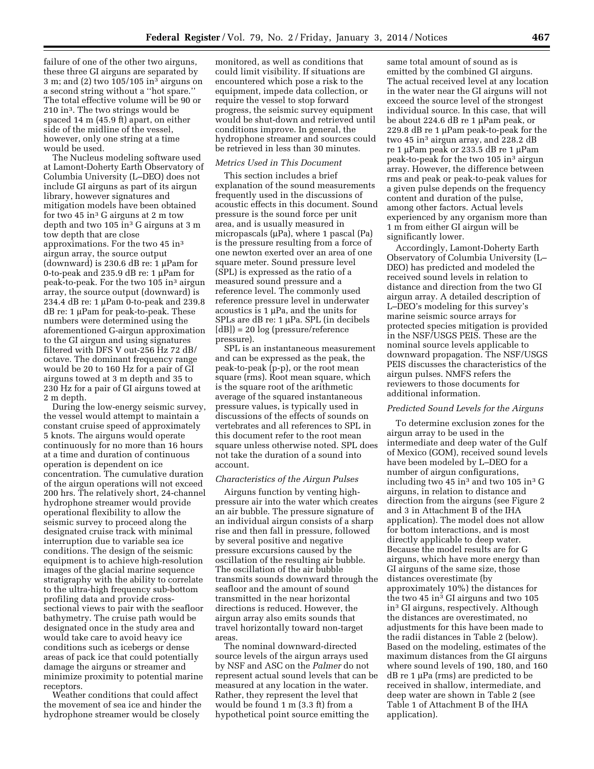failure of one of the other two airguns, these three GI airguns are separated by 3 m; and (2) two 105/105 in3 airguns on a second string without a ''hot spare.'' The total effective volume will be 90 or 210 in3. The two strings would be spaced 14 m (45.9 ft) apart, on either side of the midline of the vessel, however, only one string at a time would be used.

The Nucleus modeling software used at Lamont-Doherty Earth Observatory of Columbia University (L–DEO) does not include GI airguns as part of its airgun library, however signatures and mitigation models have been obtained for two  $45 \text{ in}^3$  G airguns at 2 m tow depth and two  $105 \text{ in}^3$  G airguns at 3 m tow depth that are close approximations. For the two 45 in3 airgun array, the source output (downward) is 230.6 dB re: 1  $\mu$ Pam for 0-to-peak and 235.9 dB re:  $1 \mu$ Pam for peak-to-peak. For the two 105 in<sup>3</sup> airgun array, the source output (downward) is 234.4 dB re: 1  $\mu$ Pam 0-to-peak and 239.8  $dB$  re: 1  $\mu$ Pam for peak-to-peak. These numbers were determined using the aforementioned G-airgun approximation to the GI airgun and using signatures filtered with DFS V out-256 Hz 72 dB/ octave. The dominant frequency range would be 20 to 160 Hz for a pair of GI airguns towed at 3 m depth and 35 to 230 Hz for a pair of GI airguns towed at 2 m depth.

During the low-energy seismic survey, the vessel would attempt to maintain a constant cruise speed of approximately 5 knots. The airguns would operate continuously for no more than 16 hours at a time and duration of continuous operation is dependent on ice concentration. The cumulative duration of the airgun operations will not exceed 200 hrs. The relatively short, 24-channel hydrophone streamer would provide operational flexibility to allow the seismic survey to proceed along the designated cruise track with minimal interruption due to variable sea ice conditions. The design of the seismic equipment is to achieve high-resolution images of the glacial marine sequence stratigraphy with the ability to correlate to the ultra-high frequency sub-bottom profiling data and provide crosssectional views to pair with the seafloor bathymetry. The cruise path would be designated once in the study area and would take care to avoid heavy ice conditions such as icebergs or dense areas of pack ice that could potentially damage the airguns or streamer and minimize proximity to potential marine receptors.

Weather conditions that could affect the movement of sea ice and hinder the hydrophone streamer would be closely

monitored, as well as conditions that could limit visibility. If situations are encountered which pose a risk to the equipment, impede data collection, or require the vessel to stop forward progress, the seismic survey equipment would be shut-down and retrieved until conditions improve. In general, the hydrophone streamer and sources could be retrieved in less than 30 minutes.

#### *Metrics Used in This Document*

This section includes a brief explanation of the sound measurements frequently used in the discussions of acoustic effects in this document. Sound pressure is the sound force per unit area, and is usually measured in micropascals  $(\mu Pa)$ , where 1 pascal (Pa) is the pressure resulting from a force of one newton exerted over an area of one square meter. Sound pressure level (SPL) is expressed as the ratio of a measured sound pressure and a reference level. The commonly used reference pressure level in underwater acoustics is  $1 \mu Pa$ , and the units for SPLs are dB re: 1 µPa. SPL (in decibels [dB]) = 20 log (pressure/reference pressure).

SPL is an instantaneous measurement and can be expressed as the peak, the peak-to-peak (p-p), or the root mean square (rms). Root mean square, which is the square root of the arithmetic average of the squared instantaneous pressure values, is typically used in discussions of the effects of sounds on vertebrates and all references to SPL in this document refer to the root mean square unless otherwise noted. SPL does not take the duration of a sound into account.

## *Characteristics of the Airgun Pulses*

Airguns function by venting highpressure air into the water which creates an air bubble. The pressure signature of an individual airgun consists of a sharp rise and then fall in pressure, followed by several positive and negative pressure excursions caused by the oscillation of the resulting air bubble. The oscillation of the air bubble transmits sounds downward through the seafloor and the amount of sound transmitted in the near horizontal directions is reduced. However, the airgun array also emits sounds that travel horizontally toward non-target areas.

The nominal downward-directed source levels of the airgun arrays used by NSF and ASC on the *Palmer* do not represent actual sound levels that can be measured at any location in the water. Rather, they represent the level that would be found 1 m (3.3 ft) from a hypothetical point source emitting the

same total amount of sound as is emitted by the combined GI airguns. The actual received level at any location in the water near the GI airguns will not exceed the source level of the strongest individual source. In this case, that will be about 224.6 dB re  $1 \mu$ Pam peak, or 229.8 dB re  $1 \mu$ Pam peak-to-peak for the two 45 in3 airgun array, and 228.2 dB re 1 μPam peak or 233.5 dB re 1 μPam peak-to-peak for the two 105 in<sup>3</sup> airgun array. However, the difference between rms and peak or peak-to-peak values for a given pulse depends on the frequency content and duration of the pulse, among other factors. Actual levels experienced by any organism more than 1 m from either GI airgun will be significantly lower.

Accordingly, Lamont-Doherty Earth Observatory of Columbia University (L– DEO) has predicted and modeled the received sound levels in relation to distance and direction from the two GI airgun array. A detailed description of L–DEO's modeling for this survey's marine seismic source arrays for protected species mitigation is provided in the NSF/USGS PEIS. These are the nominal source levels applicable to downward propagation. The NSF/USGS PEIS discusses the characteristics of the airgun pulses. NMFS refers the reviewers to those documents for additional information.

#### *Predicted Sound Levels for the Airguns*

To determine exclusion zones for the airgun array to be used in the intermediate and deep water of the Gulf of Mexico (GOM), received sound levels have been modeled by L–DEO for a number of airgun configurations, including two 45 in<sup>3</sup> and two 105 in<sup>3</sup> G airguns, in relation to distance and direction from the airguns (see Figure 2 and 3 in Attachment B of the IHA application). The model does not allow for bottom interactions, and is most directly applicable to deep water. Because the model results are for G airguns, which have more energy than GI airguns of the same size, those distances overestimate (by approximately 10%) the distances for the two 45 in<sup>3</sup> GI airguns and two 105 in3 GI airguns, respectively. Although the distances are overestimated, no adjustments for this have been made to the radii distances in Table 2 (below). Based on the modeling, estimates of the maximum distances from the GI airguns where sound levels of 190, 180, and 160  $dB$  re 1  $\mu$ Pa (rms) are predicted to be received in shallow, intermediate, and deep water are shown in Table 2 (see Table 1 of Attachment B of the IHA application).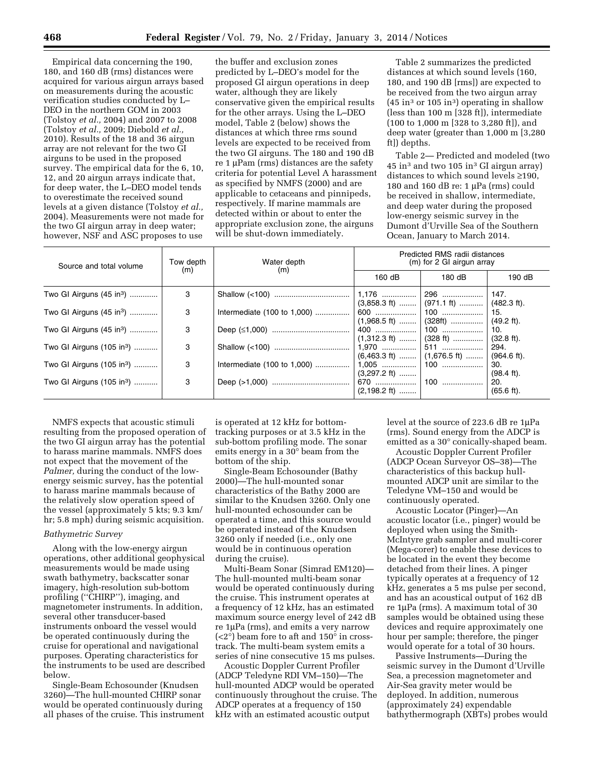Empirical data concerning the 190, 180, and 160 dB (rms) distances were acquired for various airgun arrays based on measurements during the acoustic verification studies conducted by L– DEO in the northern GOM in 2003 (Tolstoy *et al.,* 2004) and 2007 to 2008 (Tolstoy *et al.,* 2009; Diebold *et al.,*  2010). Results of the 18 and 36 airgun array are not relevant for the two GI airguns to be used in the proposed survey. The empirical data for the 6, 10, 12, and 20 airgun arrays indicate that, for deep water, the L–DEO model tends to overestimate the received sound levels at a given distance (Tolstoy *et al.,*  2004). Measurements were not made for the two GI airgun array in deep water; however, NSF and ASC proposes to use

the buffer and exclusion zones predicted by L–DEO's model for the proposed GI airgun operations in deep water, although they are likely conservative given the empirical results for the other arrays. Using the L–DEO model, Table 2 (below) shows the distances at which three rms sound levels are expected to be received from the two GI airguns. The 180 and 190 dB re 1 µPam (rms) distances are the safety criteria for potential Level A harassment as specified by NMFS (2000) and are applicable to cetaceans and pinnipeds, respectively. If marine mammals are detected within or about to enter the appropriate exclusion zone, the airguns will be shut-down immediately.

Table 2 summarizes the predicted distances at which sound levels (160, 180, and 190 dB [rms]) are expected to be received from the two airgun array  $(45 \text{ in}^3 \text{ or } 105 \text{ in}^3)$  operating in shallow (less than 100 m [328 ft]), intermediate (100 to 1,000 m [328 to 3,280 ft]), and deep water (greater than 1,000 m [3,280 ft]) depths.

Table 2— Predicted and modeled (two  $45$  in<sup>3</sup> and two 105 in<sup>3</sup> GI airgun array) distances to which sound levels ≥190, 180 and 160 dB re: 1  $\mu$ Pa (rms) could be received in shallow, intermediate, and deep water during the proposed low-energy seismic survey in the Dumont d'Urville Sea of the Southern Ocean, January to March 2014.

| Source and total volume               | Tow depth | Water depth                 | Predicted RMS radii distances<br>(m) for 2 GI airgun array |                                                                    |                                |  |
|---------------------------------------|-----------|-----------------------------|------------------------------------------------------------|--------------------------------------------------------------------|--------------------------------|--|
|                                       | (m)       | (m)                         | 160 dB                                                     | $180 \text{ dB}$                                                   | 190dB                          |  |
| Two GI Airguns (45 in <sup>3</sup> )  | 3         |                             |                                                            | $(3,858.3 \text{ ft})$ $(971.1 \text{ ft})$ $(482.3 \text{ ft})$ . | 147.                           |  |
| Two GI Airguns (45 in <sup>3</sup> )  | 3         | Intermediate (100 to 1,000) |                                                            | $(1,968.5 \text{ ft})$   $(328 \text{ ft})$                        | 15.<br>$(49.2 \text{ ft}).$    |  |
| Two GI Airguns (45 in <sup>3</sup> )  | 3         |                             |                                                            | $(1,312.3 \text{ ft})$   $(328 \text{ ft})$                        | 10.<br>$(32.8 \text{ ft})$ .   |  |
| Two GI Airguns (105 in <sup>3</sup> ) | 3         |                             |                                                            | $(6,463.3 \text{ ft})$   $(1,676.5 \text{ ft})$                    | 294.<br>$(964.6 \text{ ft})$ . |  |
| Two GI Airguns (105 in <sup>3</sup> ) | 3         | Intermediate (100 to 1,000) | $(3,297.2 \text{ ft})$                                     |                                                                    | 30.<br>$(98.4 \text{ ft})$ .   |  |
| Two GI Airguns (105 in <sup>3</sup> ) | 3         |                             | $(2,198.2 \text{ ft})$                                     |                                                                    | 20.<br>$(65.6 \text{ ft})$ .   |  |

NMFS expects that acoustic stimuli resulting from the proposed operation of the two GI airgun array has the potential to harass marine mammals. NMFS does not expect that the movement of the *Palmer,* during the conduct of the lowenergy seismic survey, has the potential to harass marine mammals because of the relatively slow operation speed of the vessel (approximately 5 kts; 9.3 km/ hr; 5.8 mph) during seismic acquisition.

# *Bathymetric Survey*

Along with the low-energy airgun operations, other additional geophysical measurements would be made using swath bathymetry, backscatter sonar imagery, high-resolution sub-bottom profiling (''CHIRP''), imaging, and magnetometer instruments. In addition, several other transducer-based instruments onboard the vessel would be operated continuously during the cruise for operational and navigational purposes. Operating characteristics for the instruments to be used are described below.

Single-Beam Echosounder (Knudsen 3260)—The hull-mounted CHIRP sonar would be operated continuously during all phases of the cruise. This instrument

is operated at 12 kHz for bottomtracking purposes or at 3.5 kHz in the sub-bottom profiling mode. The sonar emits energy in a  $30^{\circ}$  beam from the bottom of the ship.

Single-Beam Echosounder (Bathy 2000)—The hull-mounted sonar characteristics of the Bathy 2000 are similar to the Knudsen 3260. Only one hull-mounted echosounder can be operated a time, and this source would be operated instead of the Knudsen 3260 only if needed (i.e., only one would be in continuous operation during the cruise).

Multi-Beam Sonar (Simrad EM120)— The hull-mounted multi-beam sonar would be operated continuously during the cruise. This instrument operates at a frequency of 12 kHz, has an estimated maximum source energy level of 242 dB re 1µPa (rms), and emits a very narrow  $(*2*°)$  beam fore to aft and  $150°$  in crosstrack. The multi-beam system emits a series of nine consecutive 15 ms pulses.

Acoustic Doppler Current Profiler (ADCP Teledyne RDI VM–150)—The hull-mounted ADCP would be operated continuously throughout the cruise. The ADCP operates at a frequency of 150 kHz with an estimated acoustic output

level at the source of 223.6 dB re 1µPa (rms). Sound energy from the ADCP is emitted as a 30° conically-shaped beam.

Acoustic Doppler Current Profiler (ADCP Ocean Surveyor OS–38)—The characteristics of this backup hullmounted ADCP unit are similar to the Teledyne VM–150 and would be continuously operated.

Acoustic Locator (Pinger)—An acoustic locator (i.e., pinger) would be deployed when using the Smith-McIntyre grab sampler and multi-corer (Mega-corer) to enable these devices to be located in the event they become detached from their lines. A pinger typically operates at a frequency of 12 kHz, generates a 5 ms pulse per second, and has an acoustical output of 162 dB re 1µPa (rms). A maximum total of 30 samples would be obtained using these devices and require approximately one hour per sample; therefore, the pinger would operate for a total of 30 hours.

Passive Instruments—During the seismic survey in the Dumont d'Urville Sea, a precession magnetometer and Air-Sea gravity meter would be deployed. In addition, numerous (approximately 24) expendable bathythermograph (XBTs) probes would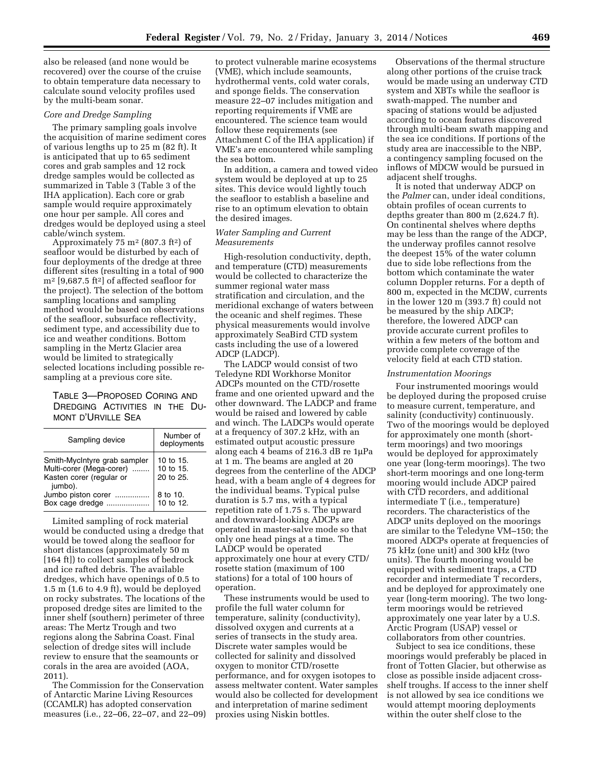also be released (and none would be recovered) over the course of the cruise to obtain temperature data necessary to calculate sound velocity profiles used by the multi-beam sonar.

## *Core and Dredge Sampling*

The primary sampling goals involve the acquisition of marine sediment cores of various lengths up to 25 m (82 ft). It is anticipated that up to 65 sediment cores and grab samples and 12 rock dredge samples would be collected as summarized in Table 3 (Table 3 of the IHA application). Each core or grab sample would require approximately one hour per sample. All cores and dredges would be deployed using a steel cable/winch system.

Approximately 75  $m<sup>2</sup>$  (807.3 ft<sup>2</sup>) of seafloor would be disturbed by each of four deployments of the dredge at three different sites (resulting in a total of 900 m2 [9,687.5 ft2] of affected seafloor for the project). The selection of the bottom sampling locations and sampling method would be based on observations of the seafloor, subsurface reflectivity, sediment type, and accessibility due to ice and weather conditions. Bottom sampling in the Mertz Glacier area would be limited to strategically selected locations including possible resampling at a previous core site.

TABLE 3—PROPOSED CORING AND DREDGING ACTIVITIES IN THE DU-MONT D'URVILLE SEA

| Sampling device                                                                                 | Number of<br>deployments            |
|-------------------------------------------------------------------------------------------------|-------------------------------------|
| Smith-MycIntyre grab sampler<br>Multi-corer (Mega-corer)<br>Kasten corer (regular or<br>jumbo). | 10 to 15.<br>10 to 15.<br>20 to 25. |
| Jumbo piston corer<br>Box cage dredge                                                           | 8 to 10.<br>10 to 12.               |

Limited sampling of rock material would be conducted using a dredge that would be towed along the seafloor for short distances (approximately 50 m [164 ft]) to collect samples of bedrock and ice rafted debris. The available dredges, which have openings of 0.5 to 1.5 m (1.6 to 4.9 ft), would be deployed on rocky substrates. The locations of the proposed dredge sites are limited to the inner shelf (southern) perimeter of three areas: The Mertz Trough and two regions along the Sabrina Coast. Final selection of dredge sites will include review to ensure that the seamounts or corals in the area are avoided (AOA, 2011).

The Commission for the Conservation of Antarctic Marine Living Resources (CCAMLR) has adopted conservation measures (i.e., 22–06, 22–07, and 22–09)

to protect vulnerable marine ecosystems (VME), which include seamounts, hydrothermal vents, cold water corals, and sponge fields. The conservation measure 22–07 includes mitigation and reporting requirements if VME are encountered. The science team would follow these requirements (see Attachment C of the IHA application) if VME's are encountered while sampling the sea bottom.

In addition, a camera and towed video system would be deployed at up to 25 sites. This device would lightly touch the seafloor to establish a baseline and rise to an optimum elevation to obtain the desired images.

# *Water Sampling and Current Measurements*

High-resolution conductivity, depth, and temperature (CTD) measurements would be collected to characterize the summer regional water mass stratification and circulation, and the meridional exchange of waters between the oceanic and shelf regimes. These physical measurements would involve approximately SeaBird CTD system casts including the use of a lowered ADCP (LADCP).

The LADCP would consist of two Teledyne RDI Workhorse Monitor ADCPs mounted on the CTD/rosette frame and one oriented upward and the other downward. The LADCP and frame would be raised and lowered by cable and winch. The LADCPs would operate at a frequency of 307.2 kHz, with an estimated output acoustic pressure along each 4 beams of 216.3 dB re 1µPa at 1 m. The beams are angled at 20 degrees from the centerline of the ADCP head, with a beam angle of 4 degrees for the individual beams. Typical pulse duration is 5.7 ms, with a typical repetition rate of 1.75 s. The upward and downward-looking ADCPs are operated in master-salve mode so that only one head pings at a time. The LADCP would be operated approximately one hour at every CTD/ rosette station (maximum of 100 stations) for a total of 100 hours of operation.

These instruments would be used to profile the full water column for temperature, salinity (conductivity), dissolved oxygen and currents at a series of transects in the study area. Discrete water samples would be collected for salinity and dissolved oxygen to monitor CTD/rosette performance, and for oxygen isotopes to assess meltwater content. Water samples would also be collected for development and interpretation of marine sediment proxies using Niskin bottles.

Observations of the thermal structure along other portions of the cruise track would be made using an underway CTD system and XBTs while the seafloor is swath-mapped. The number and spacing of stations would be adjusted according to ocean features discovered through multi-beam swath mapping and the sea ice conditions. If portions of the study area are inaccessible to the NBP, a contingency sampling focused on the inflows of MDCW would be pursued in adjacent shelf troughs.

It is noted that underway ADCP on the *Palmer* can, under ideal conditions, obtain profiles of ocean currents to depths greater than 800 m (2,624.7 ft). On continental shelves where depths may be less than the range of the ADCP, the underway profiles cannot resolve the deepest 15% of the water column due to side lobe reflections from the bottom which contaminate the water column Doppler returns. For a depth of 800 m, expected in the MCDW, currents in the lower 120 m (393.7 ft) could not be measured by the ship ADCP; therefore, the lowered ADCP can provide accurate current profiles to within a few meters of the bottom and provide complete coverage of the velocity field at each CTD station.

#### *Instrumentation Moorings*

Four instrumented moorings would be deployed during the proposed cruise to measure current, temperature, and salinity (conductivity) continuously. Two of the moorings would be deployed for approximately one month (shortterm moorings) and two moorings would be deployed for approximately one year (long-term moorings). The two short-term moorings and one long-term mooring would include ADCP paired with CTD recorders, and additional intermediate T (i.e., temperature) recorders. The characteristics of the ADCP units deployed on the moorings are similar to the Teledyne VM–150; the moored ADCPs operate at frequencies of 75 kHz (one unit) and 300 kHz (two units). The fourth mooring would be equipped with sediment traps, a CTD recorder and intermediate T recorders, and be deployed for approximately one year (long-term mooring). The two longterm moorings would be retrieved approximately one year later by a U.S. Arctic Program (USAP) vessel or collaborators from other countries.

Subject to sea ice conditions, these moorings would preferably be placed in front of Totten Glacier, but otherwise as close as possible inside adjacent crossshelf troughs. If access to the inner shelf is not allowed by sea ice conditions we would attempt mooring deployments within the outer shelf close to the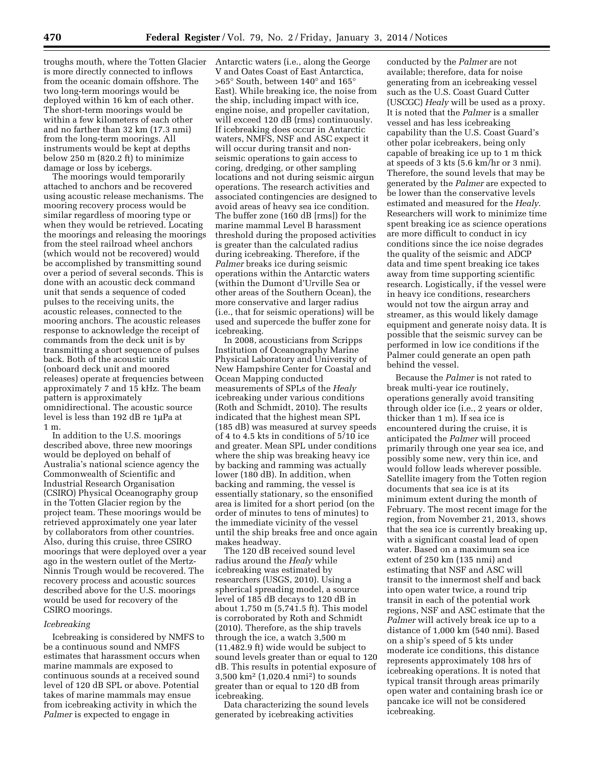troughs mouth, where the Totten Glacier is more directly connected to inflows from the oceanic domain offshore. The two long-term moorings would be deployed within 16 km of each other. The short-term moorings would be within a few kilometers of each other and no farther than 32 km (17.3 nmi) from the long-term moorings. All instruments would be kept at depths below 250 m (820.2 ft) to minimize damage or loss by icebergs.

The moorings would temporarily attached to anchors and be recovered using acoustic release mechanisms. The mooring recovery process would be similar regardless of mooring type or when they would be retrieved. Locating the moorings and releasing the moorings from the steel railroad wheel anchors (which would not be recovered) would be accomplished by transmitting sound over a period of several seconds. This is done with an acoustic deck command unit that sends a sequence of coded pulses to the receiving units, the acoustic releases, connected to the mooring anchors. The acoustic releases response to acknowledge the receipt of commands from the deck unit is by transmitting a short sequence of pulses back. Both of the acoustic units (onboard deck unit and moored releases) operate at frequencies between approximately 7 and 15 kHz. The beam pattern is approximately omnidirectional. The acoustic source level is less than 192 dB re 1µPa at 1 m.

In addition to the U.S. moorings described above, three new moorings would be deployed on behalf of Australia's national science agency the Commonwealth of Scientific and Industrial Research Organisation (CSIRO) Physical Oceanography group in the Totten Glacier region by the project team. These moorings would be retrieved approximately one year later by collaborators from other countries. Also, during this cruise, three CSIRO moorings that were deployed over a year ago in the western outlet of the Mertz-Ninnis Trough would be recovered. The recovery process and acoustic sources described above for the U.S. moorings would be used for recovery of the CSIRO moorings.

## *Icebreaking*

Icebreaking is considered by NMFS to be a continuous sound and NMFS estimates that harassment occurs when marine mammals are exposed to continuous sounds at a received sound level of 120 dB SPL or above. Potential takes of marine mammals may ensue from icebreaking activity in which the *Palmer* is expected to engage in

Antarctic waters (i.e., along the George V and Oates Coast of East Antarctica, >65° South, between 140° and 165° East). While breaking ice, the noise from the ship, including impact with ice, engine noise, and propeller cavitation, will exceed 120 dB (rms) continuously. If icebreaking does occur in Antarctic waters, NMFS, NSF and ASC expect it will occur during transit and nonseismic operations to gain access to coring, dredging, or other sampling locations and not during seismic airgun operations. The research activities and associated contingencies are designed to avoid areas of heavy sea ice condition. The buffer zone (160 dB [rms]) for the marine mammal Level B harassment threshold during the proposed activities is greater than the calculated radius during icebreaking. Therefore, if the *Palmer* breaks ice during seismic operations within the Antarctic waters (within the Dumont d'Urville Sea or other areas of the Southern Ocean), the more conservative and larger radius (i.e., that for seismic operations) will be used and supercede the buffer zone for icebreaking.

In 2008, acousticians from Scripps Institution of Oceanography Marine Physical Laboratory and University of New Hampshire Center for Coastal and Ocean Mapping conducted measurements of SPLs of the *Healy*  icebreaking under various conditions (Roth and Schmidt, 2010). The results indicated that the highest mean SPL (185 dB) was measured at survey speeds of 4 to 4.5 kts in conditions of 5/10 ice and greater. Mean SPL under conditions where the ship was breaking heavy ice by backing and ramming was actually lower (180 dB). In addition, when backing and ramming, the vessel is essentially stationary, so the ensonified area is limited for a short period (on the order of minutes to tens of minutes) to the immediate vicinity of the vessel until the ship breaks free and once again makes headway.

The 120 dB received sound level radius around the *Healy* while icebreaking was estimated by researchers (USGS, 2010). Using a spherical spreading model, a source level of 185 dB decays to 120 dB in about 1,750 m (5,741.5 ft). This model is corroborated by Roth and Schmidt (2010). Therefore, as the ship travels through the ice, a watch 3,500 m (11,482.9 ft) wide would be subject to sound levels greater than or equal to 120 dB. This results in potential exposure of 3,500 km2 (1,020.4 nmi2) to sounds greater than or equal to 120 dB from icebreaking.

Data characterizing the sound levels generated by icebreaking activities

conducted by the *Palmer* are not available; therefore, data for noise generating from an icebreaking vessel such as the U.S. Coast Guard Cutter (USCGC) *Healy* will be used as a proxy. It is noted that the *Palmer* is a smaller vessel and has less icebreaking capability than the U.S. Coast Guard's other polar icebreakers, being only capable of breaking ice up to 1 m thick at speeds of 3 kts (5.6 km/hr or 3 nmi). Therefore, the sound levels that may be generated by the *Palmer* are expected to be lower than the conservative levels estimated and measured for the *Healy.*  Researchers will work to minimize time spent breaking ice as science operations are more difficult to conduct in icy conditions since the ice noise degrades the quality of the seismic and ADCP data and time spent breaking ice takes away from time supporting scientific research. Logistically, if the vessel were in heavy ice conditions, researchers would not tow the airgun array and streamer, as this would likely damage equipment and generate noisy data. It is possible that the seismic survey can be performed in low ice conditions if the Palmer could generate an open path behind the vessel.

Because the *Palmer* is not rated to break multi-year ice routinely, operations generally avoid transiting through older ice (i.e., 2 years or older, thicker than 1 m). If sea ice is encountered during the cruise, it is anticipated the *Palmer* will proceed primarily through one year sea ice, and possibly some new, very thin ice, and would follow leads wherever possible. Satellite imagery from the Totten region documents that sea ice is at its minimum extent during the month of February. The most recent image for the region, from November 21, 2013, shows that the sea ice is currently breaking up, with a significant coastal lead of open water. Based on a maximum sea ice extent of 250 km (135 nmi) and estimating that NSF and ASC will transit to the innermost shelf and back into open water twice, a round trip transit in each of the potential work regions, NSF and ASC estimate that the *Palmer* will actively break ice up to a distance of 1,000 km (540 nmi). Based on a ship's speed of 5 kts under moderate ice conditions, this distance represents approximately 108 hrs of icebreaking operations. It is noted that typical transit through areas primarily open water and containing brash ice or pancake ice will not be considered icebreaking.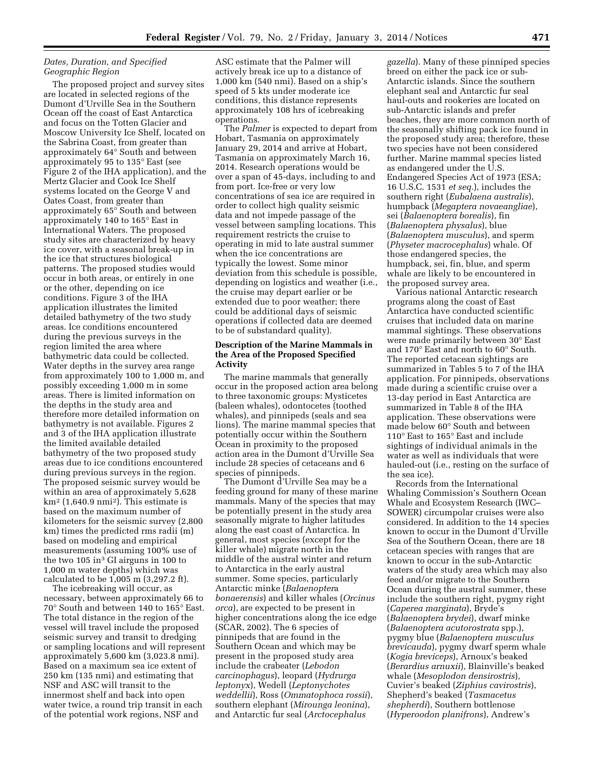# *Dates, Duration, and Specified Geographic Region*

The proposed project and survey sites are located in selected regions of the Dumont d'Urville Sea in the Southern Ocean off the coast of East Antarctica and focus on the Totten Glacier and Moscow University Ice Shelf, located on the Sabrina Coast, from greater than approximately 64° South and between approximately 95 to 135° East (see Figure 2 of the IHA application), and the Mertz Glacier and Cook Ice Shelf systems located on the George V and Oates Coast, from greater than approximately 65° South and between approximately 140 to 165° East in International Waters. The proposed study sites are characterized by heavy ice cover, with a seasonal break-up in the ice that structures biological patterns. The proposed studies would occur in both areas, or entirely in one or the other, depending on ice conditions. Figure 3 of the IHA application illustrates the limited detailed bathymetry of the two study areas. Ice conditions encountered during the previous surveys in the region limited the area where bathymetric data could be collected. Water depths in the survey area range from approximately 100 to 1,000 m, and possibly exceeding 1,000 m in some areas. There is limited information on the depths in the study area and therefore more detailed information on bathymetry is not available. Figures 2 and 3 of the IHA application illustrate the limited available detailed bathymetry of the two proposed study areas due to ice conditions encountered during previous surveys in the region. The proposed seismic survey would be within an area of approximately 5,628  $km<sup>2</sup>$  (1,640.9 nmi<sup>2</sup>). This estimate is based on the maximum number of kilometers for the seismic survey (2,800 km) times the predicted rms radii (m) based on modeling and empirical measurements (assuming 100% use of the two 105 in3 GI airguns in 100 to 1,000 m water depths) which was calculated to be 1,005 m (3,297.2 ft).

The icebreaking will occur, as necessary, between approximately 66 to 70° South and between 140 to 165° East. The total distance in the region of the vessel will travel include the proposed seismic survey and transit to dredging or sampling locations and will represent approximately 5,600 km (3,023.8 nmi). Based on a maximum sea ice extent of 250 km (135 nmi) and estimating that NSF and ASC will transit to the innermost shelf and back into open water twice, a round trip transit in each of the potential work regions, NSF and

ASC estimate that the Palmer will actively break ice up to a distance of 1,000 km (540 nmi). Based on a ship's speed of 5 kts under moderate ice conditions, this distance represents approximately 108 hrs of icebreaking operations.

The *Palmer* is expected to depart from Hobart, Tasmania on approximately January 29, 2014 and arrive at Hobart, Tasmania on approximately March 16, 2014. Research operations would be over a span of 45-days, including to and from port. Ice-free or very low concentrations of sea ice are required in order to collect high quality seismic data and not impede passage of the vessel between sampling locations. This requirement restricts the cruise to operating in mid to late austral summer when the ice concentrations are typically the lowest. Some minor deviation from this schedule is possible, depending on logistics and weather (i.e., the cruise may depart earlier or be extended due to poor weather; there could be additional days of seismic operations if collected data are deemed to be of substandard quality).

# **Description of the Marine Mammals in the Area of the Proposed Specified Activity**

The marine mammals that generally occur in the proposed action area belong to three taxonomic groups: Mysticetes (baleen whales), odontocetes (toothed whales), and pinnipeds (seals and sea lions). The marine mammal species that potentially occur within the Southern Ocean in proximity to the proposed action area in the Dumont d'Urville Sea include 28 species of cetaceans and 6 species of pinnipeds.

The Dumont d'Urville Sea may be a feeding ground for many of these marine mammals. Many of the species that may be potentially present in the study area seasonally migrate to higher latitudes along the east coast of Antarctica. In general, most species (except for the killer whale) migrate north in the middle of the austral winter and return to Antarctica in the early austral summer. Some species, particularly Antarctic minke (*Balaenopter*a *bonaerensis*) and killer whales (*Orcinus orca*), are expected to be present in higher concentrations along the ice edge (SCAR, 2002). The 6 species of pinnipeds that are found in the Southern Ocean and which may be present in the proposed study area include the crabeater (*Lebodon carcinophagus*), leopard (*Hydrurga leptonyx*), Wedell (*Leptonychotes weddellii*), Ross (*Ommatophoca rossii*), southern elephant (*Mirounga leonina*), and Antarctic fur seal (*Arctocephalus* 

*gazella*). Many of these pinniped species breed on either the pack ice or sub-Antarctic islands. Since the southern elephant seal and Antarctic fur seal haul-outs and rookeries are located on sub-Antarctic islands and prefer beaches, they are more common north of the seasonally shifting pack ice found in the proposed study area; therefore, these two species have not been considered further. Marine mammal species listed as endangered under the U.S. Endangered Species Act of 1973 (ESA; 16 U.S.C. 1531 *et seq.*), includes the southern right (*Eubalaena australis*), humpback (*Megaptera novaeangliae*), sei (*Balaenoptera borealis*), fin (*Balaenoptera physalus*), blue (*Balaenoptera musculus*), and sperm (*Physeter macrocephalus*) whale. Of those endangered species, the humpback, sei, fin, blue, and sperm whale are likely to be encountered in the proposed survey area.

Various national Antarctic research programs along the coast of East Antarctica have conducted scientific cruises that included data on marine mammal sightings. These observations were made primarily between 30° East and 170° East and north to 60° South. The reported cetacean sightings are summarized in Tables 5 to 7 of the IHA application. For pinnipeds, observations made during a scientific cruise over a 13-day period in East Antarctica are summarized in Table 8 of the IHA application. These observations were made below 60° South and between 110° East to 165° East and include sightings of individual animals in the water as well as individuals that were hauled-out (i.e., resting on the surface of the sea ice).

Records from the International Whaling Commission's Southern Ocean Whale and Ecosystem Research (IWC– SOWER) circumpolar cruises were also considered. In addition to the 14 species known to occur in the Dumont d'Urville Sea of the Southern Ocean, there are 18 cetacean species with ranges that are known to occur in the sub-Antarctic waters of the study area which may also feed and/or migrate to the Southern Ocean during the austral summer, these include the southern right, pygmy right (*Caperea marginata*), Bryde's (*Balaenoptera brydei*), dwarf minke (*Balaenoptera acutorostrata* spp.), pygmy blue (*Balaenoptera musculus brevicauda*), pygmy dwarf sperm whale (*Kogia breviceps*), Arnoux's beaked (*Berardius arnuxii*), Blainville's beaked whale (*Mesoplodon densirostris*), Cuvier's beaked (*Ziphius cavirostris*), Shepherd's beaked (*Tasmacetus shepherdi*), Southern bottlenose (*Hyperoodon planifrons*), Andrew's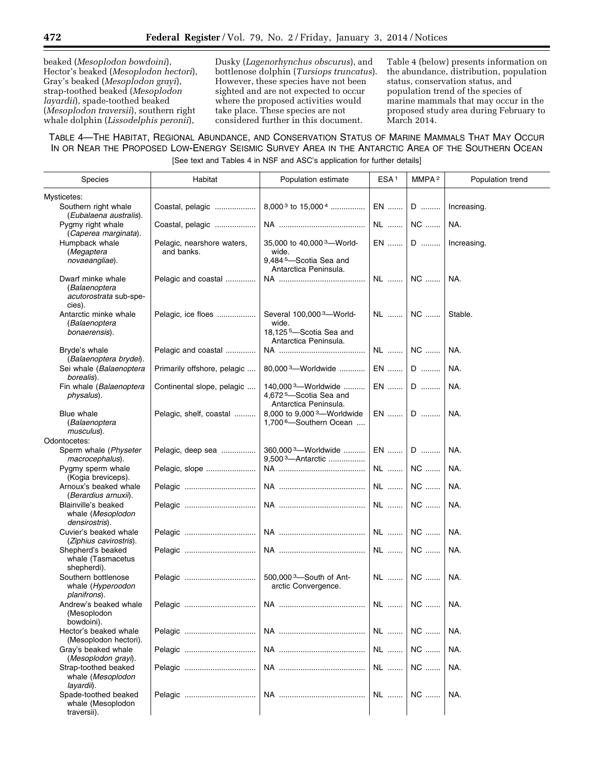beaked (*Mesoplodon bowdoini*), Hector's beaked (*Mesoplodon hectori*), Gray's beaked (*Mesoplodon grayi*), strap-toothed beaked (*Mesoplodon layardii*), spade-toothed beaked (*Mesoplodon traversii*), southern right whale dolphin (*Lissodelphis peronii*),

Dusky (*Lagenorhynchus obscurus*), and bottlenose dolphin (*Tursiops truncatus*). However, these species have not been sighted and are not expected to occur where the proposed activities would take place. These species are not considered further in this document.

Table 4 (below) presents information on the abundance, distribution, population status, conservation status, and population trend of the species of marine mammals that may occur in the proposed study area during February to March 2014.

TABLE 4—THE HABITAT, REGIONAL ABUNDANCE, AND CONSERVATION STATUS OF MARINE MAMMALS THAT MAY OCCUR IN OR NEAR THE PROPOSED LOW-ENERGY SEISMIC SURVEY AREA IN THE ANTARCTIC AREA OF THE SOUTHERN OCEAN [See text and Tables 4 in NSF and ASC's application for further details]

| <b>Species</b>                                                         | Habitat                                  | Population estimate                                                                                           | ESA <sup>1</sup> | MMPA <sup>2</sup> | Population trend |
|------------------------------------------------------------------------|------------------------------------------|---------------------------------------------------------------------------------------------------------------|------------------|-------------------|------------------|
|                                                                        |                                          |                                                                                                               |                  |                   |                  |
| Mysticetes:<br>Southern right whale<br>(Eubalaena australis).          | Coastal, pelagic                         | 8,000 <sup>3</sup> to 15,000 <sup>4</sup>                                                                     | EN               | D                 | Increasing.      |
| Pygmy right whale<br>(Caperea marginata).                              | Coastal, pelagic                         |                                                                                                               | NL               | NC                | NA.              |
| Humpback whale<br>(Megaptera<br>novaeangliae).                         | Pelagic, nearshore waters,<br>and banks. | 35,000 to 40,000 <sup>3</sup> -World-<br>wide.<br>9,484 <sup>5</sup> -Scotia Sea and<br>Antarctica Peninsula. | EN               | D                 | Increasing.      |
| Dwarf minke whale<br>(Balaenoptera<br>acutorostrata sub-spe-<br>cies). | Pelagic and coastal                      |                                                                                                               | NL               | NC                | NA.              |
| Antarctic minke whale<br>(Balaenoptera<br>bonaerensis).                | Pelagic, ice floes                       | Several 100,000 3-World-<br>wide.<br>18,125 <sup>5</sup> -Scotia Sea and<br>Antarctica Peninsula.             | NL               | $\mathsf{NC}$     | Stable.          |
| Bryde's whale<br>(Balaenoptera brydei).                                | Pelagic and coastal                      |                                                                                                               | NL               | NC                | NA.              |
| Sei whale (Balaenoptera<br>borealis).                                  | Primarily offshore, pelagic              | 80,000 <sup>3</sup> -Worldwide                                                                                | $EN$             | $\mathsf D$       | NA.              |
| Fin whale (Balaenoptera<br>physalus).                                  | Continental slope, pelagic               | 140,000 <sup>3</sup> -Worldwide<br>4,672 <sup>5</sup> -Scotia Sea and<br>Antarctica Peninsula.                | $EN$             | D                 | NA.              |
| <b>Blue whale</b><br>(Balaenoptera<br>musculus).                       | Pelagic, shelf, coastal                  | 8,000 to 9,000 <sup>3</sup> -Worldwide<br>1,700 <sup>6</sup> -Southern Ocean                                  | EN               | $\mathsf D$       | NA.              |
| Odontocetes:                                                           |                                          |                                                                                                               |                  |                   |                  |
| Sperm whale (Physeter<br>macrocephalus).                               | Pelagic, deep sea                        | 360,000 <sup>3</sup> -Worldwide<br>9,500 <sup>3</sup> -Antarctic                                              | EN               | $\mathsf D$       | NA.              |
| Pygmy sperm whale<br>(Kogia breviceps).                                | Pelagic, slope                           |                                                                                                               | NL               | NC                | NA.              |
| Arnoux's beaked whale<br>(Berardius arnuxii).                          | Pelagic                                  |                                                                                                               | NL               | NC                | NA.              |
| Blainville's beaked<br>whale (Mesoplodon<br>densirostris).             | Pelagic                                  |                                                                                                               | NL               | NC                | NA.              |
| Cuvier's beaked whale<br>(Ziphius cavirostris).                        |                                          |                                                                                                               | NL               | NC                | NA.              |
| Shepherd's beaked<br>whale (Tasmacetus<br>shepherdi).                  | Pelagic                                  |                                                                                                               | NL               | NC                | NA.              |
| Southern bottlenose<br>whale (Hyperoodon<br>planifrons).               |                                          | 500,000 <sup>3</sup> -South of Ant-<br>arctic Convergence.                                                    | NL               | NC                | NA.              |
| Andrew's beaked whale<br>(Mesoplodon<br>bowdoini).                     | Pelagic                                  |                                                                                                               |                  |                   | NA.              |
| Hector's beaked whale<br>(Mesoplodon hectori).                         |                                          |                                                                                                               | NL               | <b>NC</b>         | NA.              |
| Gray's beaked whale<br>(Mesoplodon grayi).                             | Pelagic                                  |                                                                                                               | NL               | NC                | NA.              |
| Strap-toothed beaked<br>whale (Mesoplodon<br>layardii).                |                                          |                                                                                                               |                  |                   | NA.              |
| Spade-toothed beaked<br>whale (Mesoplodon<br>traversii).               |                                          |                                                                                                               |                  |                   |                  |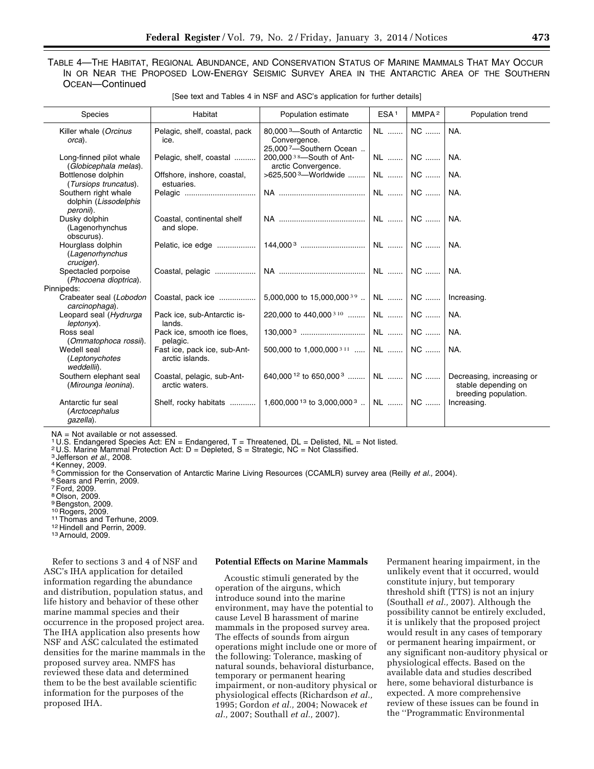# TABLE 4—THE HABITAT, REGIONAL ABUNDANCE, AND CONSERVATION STATUS OF MARINE MAMMALS THAT MAY OCCUR IN OR NEAR THE PROPOSED LOW-ENERGY SEISMIC SURVEY AREA IN THE ANTARCTIC AREA OF THE SOUTHERN OCEAN—Continued

| [See text and Tables 4 in NSF and ASC's application for further details] |                                                 |                                                                                                                                       |                  |                   |                                                                          |  |  |  |
|--------------------------------------------------------------------------|-------------------------------------------------|---------------------------------------------------------------------------------------------------------------------------------------|------------------|-------------------|--------------------------------------------------------------------------|--|--|--|
| <b>Species</b>                                                           | Habitat                                         | Population estimate                                                                                                                   | ESA <sup>1</sup> | MMPA <sup>2</sup> | Population trend                                                         |  |  |  |
| Killer whale (Orcinus<br>orca).                                          | Pelagic, shelf, coastal, pack<br>ice.           | 80.000 <sup>3</sup> -South of Antarctic<br>Convergence.<br>25,0007-Southern Ocean                                                     | NL               | NC                | NA.                                                                      |  |  |  |
| Long-finned pilot whale<br>(Globicephala melas).                         | Pelagic, shelf, coastal                         | 200,000 <sup>38</sup> -South of Ant-<br>arctic Convergence.                                                                           |                  | NL  NC            | NA.                                                                      |  |  |  |
| Bottlenose dolphin<br>(Tursiops truncatus).                              | Offshore, inshore, coastal,<br>estuaries.       | >625,500 <sup>3</sup> -Worldwide                                                                                                      | NL    NC         |                   | NA.                                                                      |  |  |  |
| Southern right whale<br>dolphin (Lissodelphis<br>peronii).               |                                                 |                                                                                                                                       |                  | $NC$              | NA.                                                                      |  |  |  |
| Dusky dolphin<br>(Lagenorhynchus<br>obscurus).                           | Coastal, continental shelf<br>and slope.        |                                                                                                                                       |                  | NC                | NA.                                                                      |  |  |  |
| Hourglass dolphin<br>(Lagenorhynchus<br>cruciger).                       |                                                 |                                                                                                                                       |                  |                   | I NA.                                                                    |  |  |  |
| Spectacled porpoise<br>(Phocoena dioptrica).                             |                                                 |                                                                                                                                       |                  |                   | NA.                                                                      |  |  |  |
| innipeds:                                                                |                                                 |                                                                                                                                       |                  |                   |                                                                          |  |  |  |
| Crabeater seal (Lobodon<br>carcinophaga).                                | Coastal, pack ice                               | 5,000,000 to 15,000,000 <sup>39</sup>   NL    NC                                                                                      |                  |                   | Increasing.                                                              |  |  |  |
| Leopard seal (Hydrurga<br>leptonyx).                                     | Pack ice, sub-Antarctic is-<br>lands.           | 220,000 to 440,000 <sup>3 10</sup>   NL    NC                                                                                         |                  |                   | NA.                                                                      |  |  |  |
| Ross seal<br>(Ommatophoca rossii).                                       | Pack ice, smooth ice floes,<br>pelagic.         |                                                                                                                                       |                  |                   | NA.                                                                      |  |  |  |
| Wedell seal<br>(Leptonychotes<br>weddellii).                             | Fast ice, pack ice, sub-Ant-<br>arctic islands. | 500,000 to 1,000,000 <sup>311</sup>   NL    NC                                                                                        |                  |                   | NA.                                                                      |  |  |  |
| Southern elephant seal<br>(Mirounga leonina).                            | Coastal, pelagic, sub-Ant-<br>arctic waters.    | 640.000 <sup>12</sup> to 650.000 <sup>3</sup>   NL    NC                                                                              |                  |                   | Decreasing, increasing or<br>stable depending on<br>breeding population. |  |  |  |
| Antarctic fur seal                                                       |                                                 | Shelf, rocky habitats $\ldots$   1.600.000 <sup>13</sup> to 3.000.000 <sup>3</sup> $\ldots$   NL $\ldots$   NC $\ldots$   Increasing. |                  |                   |                                                                          |  |  |  |

[See text and Tables 4 in NSF and ASC's application for further details]

NA = Not available or not assessed.

1 U.S. Endangered Species Act: EN = Endangered, T = Threatened, DL = Delisted, NL = Not listed.

<sup>2</sup> U.S. Marine Mammal Protection Act:  $D = Depleted$ , S = Strategic, NC = Not Classified.

<sup>3</sup> Jefferson *et al.,* 2008. 4Kenney, 2009.

(*Arctocephalus gazella*).

5 Commission for the Conservation of Antarctic Marine Living Resources (CCAMLR) survey area (Reilly *et al., 2004*).<br><sup>6</sup> Sears and Perrin, 2009.

7Ford, 2009.

 $\overline{P}$ 

8Olson, 2009.

<sup>9</sup> Bengston, 2009.<br><sup>10</sup> Rogers, 2009.

<sup>11</sup> Thomas and Terhune, 2009.<br><sup>12</sup> Hindell and Perrin, 2009.<br><sup>13</sup> Arnould, 2009.

Refer to sections 3 and 4 of NSF and ASC's IHA application for detailed information regarding the abundance and distribution, population status, and life history and behavior of these other marine mammal species and their occurrence in the proposed project area. The IHA application also presents how NSF and ASC calculated the estimated densities for the marine mammals in the proposed survey area. NMFS has reviewed these data and determined them to be the best available scientific information for the purposes of the proposed IHA.

#### **Potential Effects on Marine Mammals**

Acoustic stimuli generated by the operation of the airguns, which introduce sound into the marine environment, may have the potential to cause Level B harassment of marine mammals in the proposed survey area. The effects of sounds from airgun operations might include one or more of the following: Tolerance, masking of natural sounds, behavioral disturbance, temporary or permanent hearing impairment, or non-auditory physical or physiological effects (Richardson *et al.,*  1995; Gordon *et al.,* 2004; Nowacek *et al.,* 2007; Southall *et al.,* 2007).

Permanent hearing impairment, in the unlikely event that it occurred, would constitute injury, but temporary threshold shift (TTS) is not an injury (Southall *et al.,* 2007). Although the possibility cannot be entirely excluded, it is unlikely that the proposed project would result in any cases of temporary or permanent hearing impairment, or any significant non-auditory physical or physiological effects. Based on the available data and studies described here, some behavioral disturbance is expected. A more comprehensive review of these issues can be found in the ''Programmatic Environmental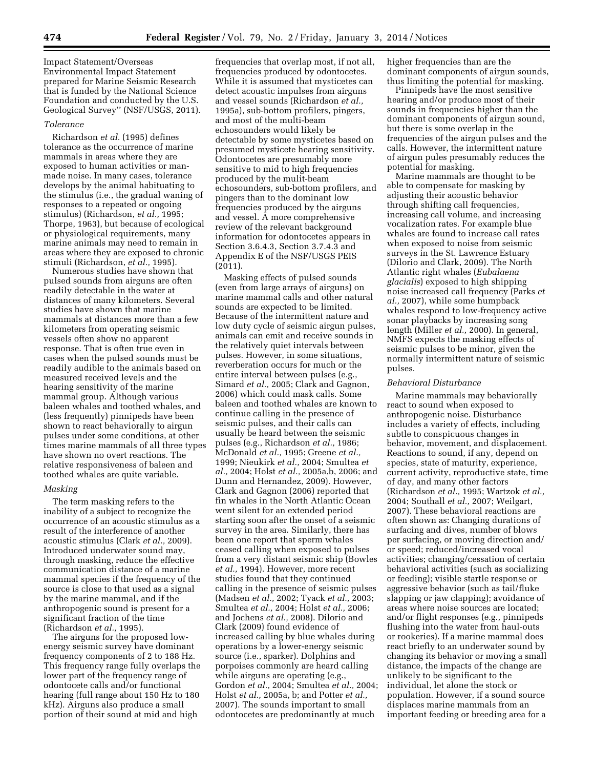Impact Statement/Overseas Environmental Impact Statement prepared for Marine Seismic Research that is funded by the National Science Foundation and conducted by the U.S. Geological Survey'' (NSF/USGS, 2011).

#### *Tolerance*

Richardson *et al.* (1995) defines tolerance as the occurrence of marine mammals in areas where they are exposed to human activities or manmade noise. In many cases, tolerance develops by the animal habituating to the stimulus (i.e., the gradual waning of responses to a repeated or ongoing stimulus) (Richardson, *et al.,* 1995; Thorpe, 1963), but because of ecological or physiological requirements, many marine animals may need to remain in areas where they are exposed to chronic stimuli (Richardson, *et al.,* 1995).

Numerous studies have shown that pulsed sounds from airguns are often readily detectable in the water at distances of many kilometers. Several studies have shown that marine mammals at distances more than a few kilometers from operating seismic vessels often show no apparent response. That is often true even in cases when the pulsed sounds must be readily audible to the animals based on measured received levels and the hearing sensitivity of the marine mammal group. Although various baleen whales and toothed whales, and (less frequently) pinnipeds have been shown to react behaviorally to airgun pulses under some conditions, at other times marine mammals of all three types have shown no overt reactions. The relative responsiveness of baleen and toothed whales are quite variable.

# *Masking*

The term masking refers to the inability of a subject to recognize the occurrence of an acoustic stimulus as a result of the interference of another acoustic stimulus (Clark *et al.,* 2009). Introduced underwater sound may, through masking, reduce the effective communication distance of a marine mammal species if the frequency of the source is close to that used as a signal by the marine mammal, and if the anthropogenic sound is present for a significant fraction of the time (Richardson *et al.,* 1995).

The airguns for the proposed lowenergy seismic survey have dominant frequency components of 2 to 188 Hz. This frequency range fully overlaps the lower part of the frequency range of odontocete calls and/or functional hearing (full range about 150 Hz to 180 kHz). Airguns also produce a small portion of their sound at mid and high

frequencies that overlap most, if not all, frequencies produced by odontocetes. While it is assumed that mysticetes can detect acoustic impulses from airguns and vessel sounds (Richardson *et al.,*  1995a), sub-bottom profilers, pingers, and most of the multi-beam echosounders would likely be detectable by some mysticetes based on presumed mysticete hearing sensitivity. Odontocetes are presumably more sensitive to mid to high frequencies produced by the mulit-beam echosounders, sub-bottom profilers, and pingers than to the dominant low frequencies produced by the airguns and vessel. A more comprehensive review of the relevant background information for odontocetes appears in Section 3.6.4.3, Section 3.7.4.3 and Appendix E of the NSF/USGS PEIS (2011).

Masking effects of pulsed sounds (even from large arrays of airguns) on marine mammal calls and other natural sounds are expected to be limited. Because of the intermittent nature and low duty cycle of seismic airgun pulses, animals can emit and receive sounds in the relatively quiet intervals between pulses. However, in some situations, reverberation occurs for much or the entire interval between pulses (e.g., Simard *et al.,* 2005; Clark and Gagnon, 2006) which could mask calls. Some baleen and toothed whales are known to continue calling in the presence of seismic pulses, and their calls can usually be heard between the seismic pulses (e.g., Richardson *et al.,* 1986; McDonald *et al.,* 1995; Greene *et al.,*  1999; Nieukirk *et al.,* 2004; Smultea *et al.,* 2004; Holst *et al.,* 2005a,b, 2006; and Dunn and Hernandez, 2009). However, Clark and Gagnon (2006) reported that fin whales in the North Atlantic Ocean went silent for an extended period starting soon after the onset of a seismic survey in the area. Similarly, there has been one report that sperm whales ceased calling when exposed to pulses from a very distant seismic ship (Bowles *et al.,* 1994). However, more recent studies found that they continued calling in the presence of seismic pulses (Madsen *et al.,* 2002; Tyack *et al.,* 2003; Smultea *et al.,* 2004; Holst *et al.,* 2006; and Jochens *et al.,* 2008). Dilorio and Clark (2009) found evidence of increased calling by blue whales during operations by a lower-energy seismic source (i.e., sparker). Dolphins and porpoises commonly are heard calling while airguns are operating (e.g., Gordon *et al.,* 2004; Smultea *et al.,* 2004; Holst *et al.,* 2005a, b; and Potter *et al.,*  2007). The sounds important to small odontocetes are predominantly at much

higher frequencies than are the dominant components of airgun sounds, thus limiting the potential for masking.

Pinnipeds have the most sensitive hearing and/or produce most of their sounds in frequencies higher than the dominant components of airgun sound, but there is some overlap in the frequencies of the airgun pulses and the calls. However, the intermittent nature of airgun pules presumably reduces the potential for masking.

Marine mammals are thought to be able to compensate for masking by adjusting their acoustic behavior through shifting call frequencies, increasing call volume, and increasing vocalization rates. For example blue whales are found to increase call rates when exposed to noise from seismic surveys in the St. Lawrence Estuary (Dilorio and Clark, 2009). The North Atlantic right whales (*Eubalaena glacialis*) exposed to high shipping noise increased call frequency (Parks *et al.,* 2007), while some humpback whales respond to low-frequency active sonar playbacks by increasing song length (Miller *et al.,* 2000). In general, NMFS expects the masking effects of seismic pulses to be minor, given the normally intermittent nature of seismic pulses.

### *Behavioral Disturbance*

Marine mammals may behaviorally react to sound when exposed to anthropogenic noise. Disturbance includes a variety of effects, including subtle to conspicuous changes in behavior, movement, and displacement. Reactions to sound, if any, depend on species, state of maturity, experience, current activity, reproductive state, time of day, and many other factors (Richardson *et al.,* 1995; Wartzok *et al.,*  2004; Southall *et al.,* 2007; Weilgart, 2007). These behavioral reactions are often shown as: Changing durations of surfacing and dives, number of blows per surfacing, or moving direction and/ or speed; reduced/increased vocal activities; changing/cessation of certain behavioral activities (such as socializing or feeding); visible startle response or aggressive behavior (such as tail/fluke slapping or jaw clapping); avoidance of areas where noise sources are located; and/or flight responses (e.g., pinnipeds flushing into the water from haul-outs or rookeries). If a marine mammal does react briefly to an underwater sound by changing its behavior or moving a small distance, the impacts of the change are unlikely to be significant to the individual, let alone the stock or population. However, if a sound source displaces marine mammals from an important feeding or breeding area for a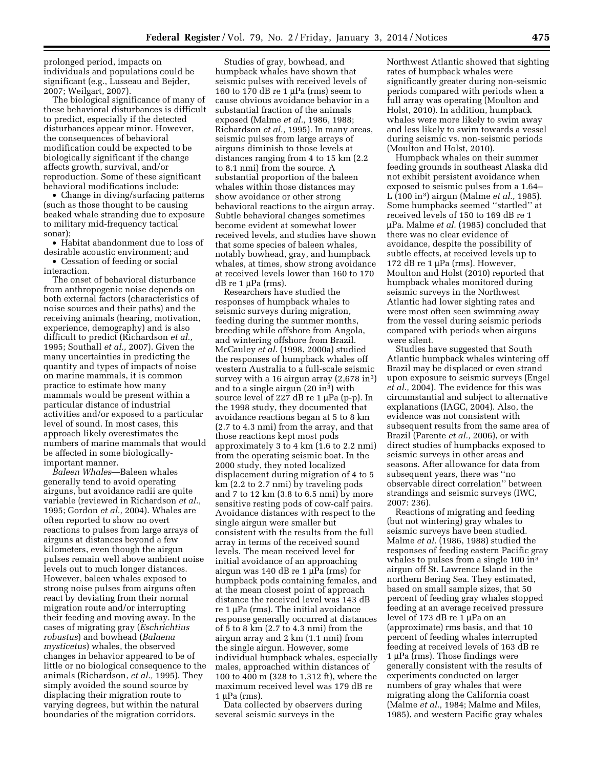prolonged period, impacts on individuals and populations could be significant (e.g., Lusseau and Bejder, 2007; Weilgart, 2007).

The biological significance of many of these behavioral disturbances is difficult to predict, especially if the detected disturbances appear minor. However, the consequences of behavioral modification could be expected to be biologically significant if the change affects growth, survival, and/or reproduction. Some of these significant behavioral modifications include:

• Change in diving/surfacing patterns (such as those thought to be causing beaked whale stranding due to exposure to military mid-frequency tactical sonar);

• Habitat abandonment due to loss of desirable acoustic environment; and

• Cessation of feeding or social interaction.

The onset of behavioral disturbance from anthropogenic noise depends on both external factors (characteristics of noise sources and their paths) and the receiving animals (hearing, motivation, experience, demography) and is also difficult to predict (Richardson *et al.,*  1995; Southall *et al.,* 2007). Given the many uncertainties in predicting the quantity and types of impacts of noise on marine mammals, it is common practice to estimate how many mammals would be present within a particular distance of industrial activities and/or exposed to a particular level of sound. In most cases, this approach likely overestimates the numbers of marine mammals that would be affected in some biologicallyimportant manner.

*Baleen Whales*—Baleen whales generally tend to avoid operating airguns, but avoidance radii are quite variable (reviewed in Richardson *et al.,*  1995; Gordon *et al.,* 2004). Whales are often reported to show no overt reactions to pulses from large arrays of airguns at distances beyond a few kilometers, even though the airgun pulses remain well above ambient noise levels out to much longer distances. However, baleen whales exposed to strong noise pulses from airguns often react by deviating from their normal migration route and/or interrupting their feeding and moving away. In the cases of migrating gray (*Eschrichtius robustus*) and bowhead (*Balaena mysticetus*) whales, the observed changes in behavior appeared to be of little or no biological consequence to the animals (Richardson, *et al.,* 1995). They simply avoided the sound source by displacing their migration route to varying degrees, but within the natural boundaries of the migration corridors.

Studies of gray, bowhead, and humpback whales have shown that seismic pulses with received levels of 160 to 170 dB re 1  $\mu$ Pa (rms) seem to cause obvious avoidance behavior in a substantial fraction of the animals exposed (Malme *et al.,* 1986, 1988; Richardson *et al.,* 1995). In many areas, seismic pulses from large arrays of airguns diminish to those levels at distances ranging from 4 to 15 km (2.2 to 8.1 nmi) from the source. A substantial proportion of the baleen whales within those distances may show avoidance or other strong behavioral reactions to the airgun array. Subtle behavioral changes sometimes become evident at somewhat lower received levels, and studies have shown that some species of baleen whales, notably bowhead, gray, and humpback whales, at times, show strong avoidance at received levels lower than 160 to 170 dB re  $1 \mu Pa$  (rms).

Researchers have studied the responses of humpback whales to seismic surveys during migration, feeding during the summer months, breeding while offshore from Angola, and wintering offshore from Brazil. McCauley *et al.* (1998, 2000a) studied the responses of humpback whales off western Australia to a full-scale seismic survey with a 16 airgun array (2,678 in<sup>3</sup>) and to a single airgun (20 in3) with source level of 227 dB re 1 µPa (p-p). In the 1998 study, they documented that avoidance reactions began at 5 to 8 km (2.7 to 4.3 nmi) from the array, and that those reactions kept most pods approximately 3 to 4 km (1.6 to 2.2 nmi) from the operating seismic boat. In the 2000 study, they noted localized displacement during migration of 4 to 5 km (2.2 to 2.7 nmi) by traveling pods and 7 to 12 km (3.8 to 6.5 nmi) by more sensitive resting pods of cow-calf pairs. Avoidance distances with respect to the single airgun were smaller but consistent with the results from the full array in terms of the received sound levels. The mean received level for initial avoidance of an approaching airgun was 140 dB re 1  $\mu$ Pa (rms) for humpback pods containing females, and at the mean closest point of approach distance the received level was 143 dB  $re 1 \mu Pa$  (rms). The initial avoidance response generally occurred at distances of 5 to 8 km (2.7 to 4.3 nmi) from the airgun array and 2 km (1.1 nmi) from the single airgun. However, some individual humpback whales, especially males, approached within distances of 100 to 400 m (328 to 1,312 ft), where the maximum received level was 179 dB re  $1 \mu Pa$  (rms).

Data collected by observers during several seismic surveys in the

Northwest Atlantic showed that sighting rates of humpback whales were significantly greater during non-seismic periods compared with periods when a full array was operating (Moulton and Holst, 2010). In addition, humpback whales were more likely to swim away and less likely to swim towards a vessel during seismic vs. non-seismic periods (Moulton and Holst, 2010).

Humpback whales on their summer feeding grounds in southeast Alaska did not exhibit persistent avoidance when exposed to seismic pulses from a 1.64– L (100 in3) airgun (Malme *et al.,* 1985). Some humpbacks seemed ''startled'' at received levels of 150 to 169 dB re 1 mPa. Malme *et al.* (1985) concluded that there was no clear evidence of avoidance, despite the possibility of subtle effects, at received levels up to 172 dB re 1  $\mu$ Pa (rms). However, Moulton and Holst (2010) reported that humpback whales monitored during seismic surveys in the Northwest Atlantic had lower sighting rates and were most often seen swimming away from the vessel during seismic periods compared with periods when airguns were silent.

Studies have suggested that South Atlantic humpback whales wintering off Brazil may be displaced or even strand upon exposure to seismic surveys (Engel *et al.,* 2004). The evidence for this was circumstantial and subject to alternative explanations (IAGC, 2004). Also, the evidence was not consistent with subsequent results from the same area of Brazil (Parente *et al.,* 2006), or with direct studies of humpbacks exposed to seismic surveys in other areas and seasons. After allowance for data from subsequent years, there was ''no observable direct correlation'' between strandings and seismic surveys (IWC, 2007: 236).

Reactions of migrating and feeding (but not wintering) gray whales to seismic surveys have been studied. Malme *et al.* (1986, 1988) studied the responses of feeding eastern Pacific gray whales to pulses from a single 100 in<sup>3</sup> airgun off St. Lawrence Island in the northern Bering Sea. They estimated, based on small sample sizes, that 50 percent of feeding gray whales stopped feeding at an average received pressure level of 173 dB re 1  $\mu$ Pa on an (approximate) rms basis, and that 10 percent of feeding whales interrupted feeding at received levels of 163 dB re  $1 \mu Pa$  (rms). Those findings were generally consistent with the results of experiments conducted on larger numbers of gray whales that were migrating along the California coast (Malme *et al.,* 1984; Malme and Miles, 1985), and western Pacific gray whales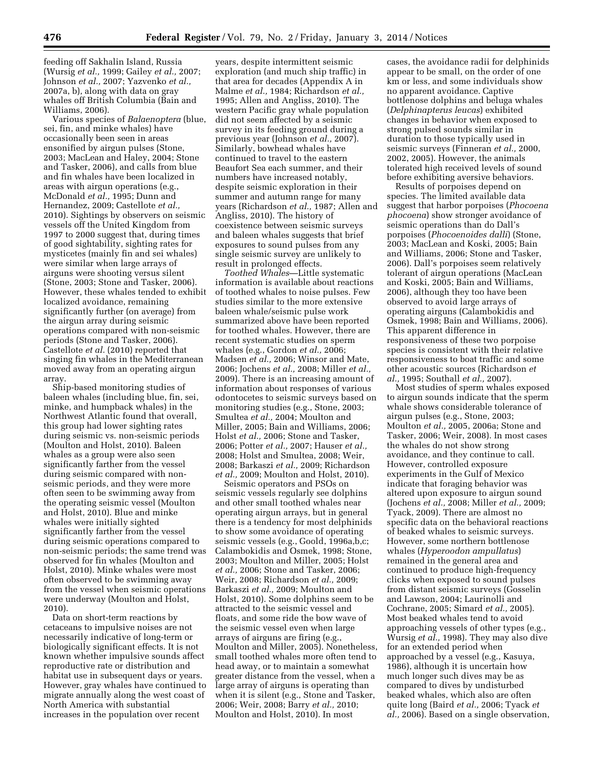feeding off Sakhalin Island, Russia (Wursig *et al.,* 1999; Gailey *et al.,* 2007; Johnson *et al.,* 2007; Yazvenko *et al.,*  2007a, b), along with data on gray whales off British Columbia (Bain and Williams, 2006).

Various species of *Balaenoptera* (blue, sei, fin, and minke whales) have occasionally been seen in areas ensonified by airgun pulses (Stone, 2003; MacLean and Haley, 2004; Stone and Tasker, 2006), and calls from blue and fin whales have been localized in areas with airgun operations (e.g., McDonald *et al.,* 1995; Dunn and Hernandez, 2009; Castellote *et al.,*  2010). Sightings by observers on seismic vessels off the United Kingdom from 1997 to 2000 suggest that, during times of good sightability, sighting rates for mysticetes (mainly fin and sei whales) were similar when large arrays of airguns were shooting versus silent (Stone, 2003; Stone and Tasker, 2006). However, these whales tended to exhibit localized avoidance, remaining significantly further (on average) from the airgun array during seismic operations compared with non-seismic periods (Stone and Tasker, 2006). Castellote *et al.* (2010) reported that singing fin whales in the Mediterranean moved away from an operating airgun array.

Ship-based monitoring studies of baleen whales (including blue, fin, sei, minke, and humpback whales) in the Northwest Atlantic found that overall, this group had lower sighting rates during seismic vs. non-seismic periods (Moulton and Holst, 2010). Baleen whales as a group were also seen significantly farther from the vessel during seismic compared with nonseismic periods, and they were more often seen to be swimming away from the operating seismic vessel (Moulton and Holst, 2010). Blue and minke whales were initially sighted significantly farther from the vessel during seismic operations compared to non-seismic periods; the same trend was observed for fin whales (Moulton and Holst, 2010). Minke whales were most often observed to be swimming away from the vessel when seismic operations were underway (Moulton and Holst, 2010).

Data on short-term reactions by cetaceans to impulsive noises are not necessarily indicative of long-term or biologically significant effects. It is not known whether impulsive sounds affect reproductive rate or distribution and habitat use in subsequent days or years. However, gray whales have continued to migrate annually along the west coast of North America with substantial increases in the population over recent

years, despite intermittent seismic exploration (and much ship traffic) in that area for decades (Appendix A in Malme *et al.,* 1984; Richardson *et al.,*  1995; Allen and Angliss, 2010). The western Pacific gray whale population did not seem affected by a seismic survey in its feeding ground during a previous year (Johnson *et al.,* 2007). Similarly, bowhead whales have continued to travel to the eastern Beaufort Sea each summer, and their numbers have increased notably, despite seismic exploration in their summer and autumn range for many years (Richardson *et al.,* 1987; Allen and Angliss, 2010). The history of coexistence between seismic surveys and baleen whales suggests that brief exposures to sound pulses from any single seismic survey are unlikely to result in prolonged effects.

*Toothed Whales*—Little systematic information is available about reactions of toothed whales to noise pulses. Few studies similar to the more extensive baleen whale/seismic pulse work summarized above have been reported for toothed whales. However, there are recent systematic studies on sperm whales (e.g., Gordon *et al.,* 2006; Madsen *et al.,* 2006; Winsor and Mate, 2006; Jochens *et al.,* 2008; Miller *et al.,*  2009). There is an increasing amount of information about responses of various odontocetes to seismic surveys based on monitoring studies (e.g., Stone, 2003; Smultea *et al.,* 2004; Moulton and Miller, 2005; Bain and Williams, 2006; Holst *et al.,* 2006; Stone and Tasker, 2006; Potter *et al.,* 2007; Hauser *et al.,*  2008; Holst and Smultea, 2008; Weir, 2008; Barkaszi *et al.,* 2009; Richardson *et al.,* 2009; Moulton and Holst, 2010).

Seismic operators and PSOs on seismic vessels regularly see dolphins and other small toothed whales near operating airgun arrays, but in general there is a tendency for most delphinids to show some avoidance of operating seismic vessels (e.g., Goold, 1996a,b,c; Calambokidis and Osmek, 1998; Stone, 2003; Moulton and Miller, 2005; Holst *et al.,* 2006; Stone and Tasker, 2006; Weir, 2008; Richardson *et al.,* 2009; Barkaszi *et al.,* 2009; Moulton and Holst, 2010). Some dolphins seem to be attracted to the seismic vessel and floats, and some ride the bow wave of the seismic vessel even when large arrays of airguns are firing (e.g., Moulton and Miller, 2005). Nonetheless, small toothed whales more often tend to head away, or to maintain a somewhat greater distance from the vessel, when a large array of airguns is operating than when it is silent (e.g., Stone and Tasker, 2006; Weir, 2008; Barry *et al.,* 2010; Moulton and Holst, 2010). In most

cases, the avoidance radii for delphinids appear to be small, on the order of one km or less, and some individuals show no apparent avoidance. Captive bottlenose dolphins and beluga whales (*Delphinapterus leucas*) exhibited changes in behavior when exposed to strong pulsed sounds similar in duration to those typically used in seismic surveys (Finneran *et al.,* 2000, 2002, 2005). However, the animals tolerated high received levels of sound before exhibiting aversive behaviors.

Results of porpoises depend on species. The limited available data suggest that harbor porpoises (*Phocoena phocoena*) show stronger avoidance of seismic operations than do Dall's porpoises (*Phocoenoides dalli*) (Stone, 2003; MacLean and Koski, 2005; Bain and Williams, 2006; Stone and Tasker, 2006). Dall's porpoises seem relatively tolerant of airgun operations (MacLean and Koski, 2005; Bain and Williams, 2006), although they too have been observed to avoid large arrays of operating airguns (Calambokidis and Osmek, 1998; Bain and Williams, 2006). This apparent difference in responsiveness of these two porpoise species is consistent with their relative responsiveness to boat traffic and some other acoustic sources (Richardson *et al.,* 1995; Southall *et al.,* 2007).

Most studies of sperm whales exposed to airgun sounds indicate that the sperm whale shows considerable tolerance of airgun pulses (e.g., Stone, 2003; Moulton *et al.,* 2005, 2006a; Stone and Tasker, 2006; Weir, 2008). In most cases the whales do not show strong avoidance, and they continue to call. However, controlled exposure experiments in the Gulf of Mexico indicate that foraging behavior was altered upon exposure to airgun sound (Jochens *et al.,* 2008; Miller *et al.,* 2009; Tyack, 2009). There are almost no specific data on the behavioral reactions of beaked whales to seismic surveys. However, some northern bottlenose whales (*Hyperoodon ampullatus*) remained in the general area and continued to produce high-frequency clicks when exposed to sound pulses from distant seismic surveys (Gosselin and Lawson, 2004; Laurinolli and Cochrane, 2005; Simard *et al.,* 2005). Most beaked whales tend to avoid approaching vessels of other types (e.g., Wursig *et al.,* 1998). They may also dive for an extended period when approached by a vessel (e.g., Kasuya, 1986), although it is uncertain how much longer such dives may be as compared to dives by undisturbed beaked whales, which also are often quite long (Baird *et al.,* 2006; Tyack *et al.,* 2006). Based on a single observation,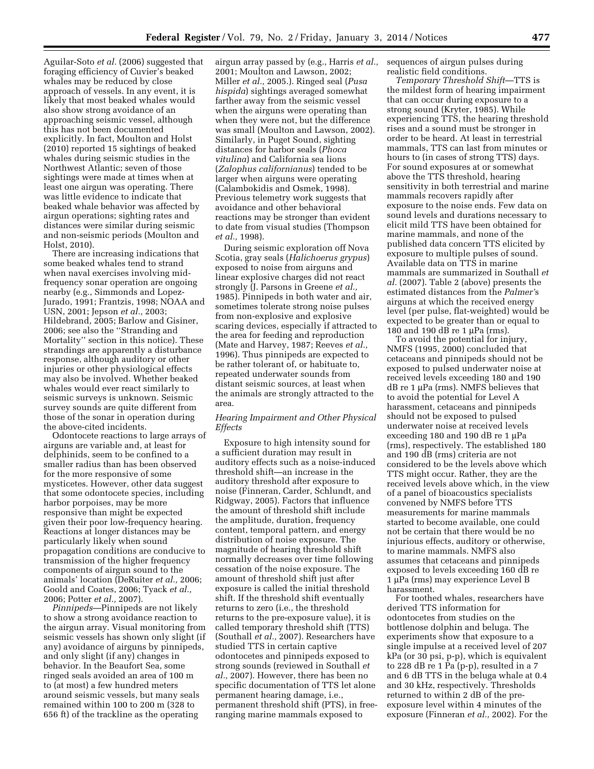Aguilar-Soto *et al.* (2006) suggested that foraging efficiency of Cuvier's beaked whales may be reduced by close approach of vessels. In any event, it is likely that most beaked whales would also show strong avoidance of an approaching seismic vessel, although this has not been documented explicitly. In fact, Moulton and Holst (2010) reported 15 sightings of beaked whales during seismic studies in the Northwest Atlantic; seven of those sightings were made at times when at least one airgun was operating. There was little evidence to indicate that beaked whale behavior was affected by airgun operations; sighting rates and distances were similar during seismic and non-seismic periods (Moulton and Holst, 2010).

There are increasing indications that some beaked whales tend to strand when naval exercises involving midfrequency sonar operation are ongoing nearby (e.g., Simmonds and Lopez-Jurado, 1991; Frantzis, 1998; NOAA and USN, 2001; Jepson *et al.,* 2003; Hildebrand, 2005; Barlow and Gisiner, 2006; see also the ''Stranding and Mortality'' section in this notice). These strandings are apparently a disturbance response, although auditory or other injuries or other physiological effects may also be involved. Whether beaked whales would ever react similarly to seismic surveys is unknown. Seismic survey sounds are quite different from those of the sonar in operation during the above-cited incidents.

Odontocete reactions to large arrays of airguns are variable and, at least for delphinids, seem to be confined to a smaller radius than has been observed for the more responsive of some mysticetes. However, other data suggest that some odontocete species, including harbor porpoises, may be more responsive than might be expected given their poor low-frequency hearing. Reactions at longer distances may be particularly likely when sound propagation conditions are conducive to transmission of the higher frequency components of airgun sound to the animals' location (DeRuiter *et al.,* 2006; Goold and Coates, 2006; Tyack *et al.,*  2006; Potter *et al.,* 2007).

*Pinnipeds*—Pinnipeds are not likely to show a strong avoidance reaction to the airgun array. Visual monitoring from seismic vessels has shown only slight (if any) avoidance of airguns by pinnipeds, and only slight (if any) changes in behavior. In the Beaufort Sea, some ringed seals avoided an area of 100 m to (at most) a few hundred meters around seismic vessels, but many seals remained within 100 to 200 m (328 to 656 ft) of the trackline as the operating

airgun array passed by (e.g., Harris *et al.,*  2001; Moulton and Lawson, 2002; Miller *et al.,* 2005.). Ringed seal (*Pusa hispida*) sightings averaged somewhat farther away from the seismic vessel when the airguns were operating than when they were not, but the difference was small (Moulton and Lawson, 2002). Similarly, in Puget Sound, sighting distances for harbor seals (*Phoca vitulina*) and California sea lions (*Zalophus californianus*) tended to be larger when airguns were operating (Calambokidis and Osmek, 1998). Previous telemetry work suggests that avoidance and other behavioral reactions may be stronger than evident to date from visual studies (Thompson *et al.,* 1998).

During seismic exploration off Nova Scotia, gray seals (*Halichoerus grypus*) exposed to noise from airguns and linear explosive charges did not react strongly (J. Parsons in Greene *et al.,*  1985). Pinnipeds in both water and air, sometimes tolerate strong noise pulses from non-explosive and explosive scaring devices, especially if attracted to the area for feeding and reproduction (Mate and Harvey, 1987; Reeves *et al.,*  1996). Thus pinnipeds are expected to be rather tolerant of, or habituate to, repeated underwater sounds from distant seismic sources, at least when the animals are strongly attracted to the area.

# *Hearing Impairment and Other Physical Effects*

Exposure to high intensity sound for a sufficient duration may result in auditory effects such as a noise-induced threshold shift—an increase in the auditory threshold after exposure to noise (Finneran, Carder, Schlundt, and Ridgway, 2005). Factors that influence the amount of threshold shift include the amplitude, duration, frequency content, temporal pattern, and energy distribution of noise exposure. The magnitude of hearing threshold shift normally decreases over time following cessation of the noise exposure. The amount of threshold shift just after exposure is called the initial threshold shift. If the threshold shift eventually returns to zero (i.e., the threshold returns to the pre-exposure value), it is called temporary threshold shift (TTS) (Southall *et al.,* 2007). Researchers have studied TTS in certain captive odontocetes and pinnipeds exposed to strong sounds (reviewed in Southall *et al.,* 2007). However, there has been no specific documentation of TTS let alone permanent hearing damage, i.e. permanent threshold shift (PTS), in freeranging marine mammals exposed to

sequences of airgun pulses during realistic field conditions.

*Temporary Threshold Shift*—TTS is the mildest form of hearing impairment that can occur during exposure to a strong sound (Kryter, 1985). While experiencing TTS, the hearing threshold rises and a sound must be stronger in order to be heard. At least in terrestrial mammals, TTS can last from minutes or hours to (in cases of strong TTS) days. For sound exposures at or somewhat above the TTS threshold, hearing sensitivity in both terrestrial and marine mammals recovers rapidly after exposure to the noise ends. Few data on sound levels and durations necessary to elicit mild TTS have been obtained for marine mammals, and none of the published data concern TTS elicited by exposure to multiple pulses of sound. Available data on TTS in marine mammals are summarized in Southall *et al.* (2007). Table 2 (above) presents the estimated distances from the *Palmer'*s airguns at which the received energy level (per pulse, flat-weighted) would be expected to be greater than or equal to 180 and 190 dB re 1  $\mu$ Pa (rms).

To avoid the potential for injury, NMFS (1995, 2000) concluded that cetaceans and pinnipeds should not be exposed to pulsed underwater noise at received levels exceeding 180 and 190  $dB$  re 1  $\mu$ Pa (rms). NMFS believes that to avoid the potential for Level A harassment, cetaceans and pinnipeds should not be exposed to pulsed underwater noise at received levels exceeding 180 and 190 dB re 1  $\mu$ Pa (rms), respectively. The established 180 and 190 dB (rms) criteria are not considered to be the levels above which TTS might occur. Rather, they are the received levels above which, in the view of a panel of bioacoustics specialists convened by NMFS before TTS measurements for marine mammals started to become available, one could not be certain that there would be no injurious effects, auditory or otherwise, to marine mammals. NMFS also assumes that cetaceans and pinnipeds exposed to levels exceeding 160 dB re 1 μPa (rms) may experience Level B harassment.

For toothed whales, researchers have derived TTS information for odontocetes from studies on the bottlenose dolphin and beluga. The experiments show that exposure to a single impulse at a received level of 207 kPa (or 30 psi, p-p), which is equivalent to 228 dB re 1 Pa (p-p), resulted in a 7 and 6 dB TTS in the beluga whale at 0.4 and 30 kHz, respectively. Thresholds returned to within 2 dB of the preexposure level within 4 minutes of the exposure (Finneran *et al.,* 2002). For the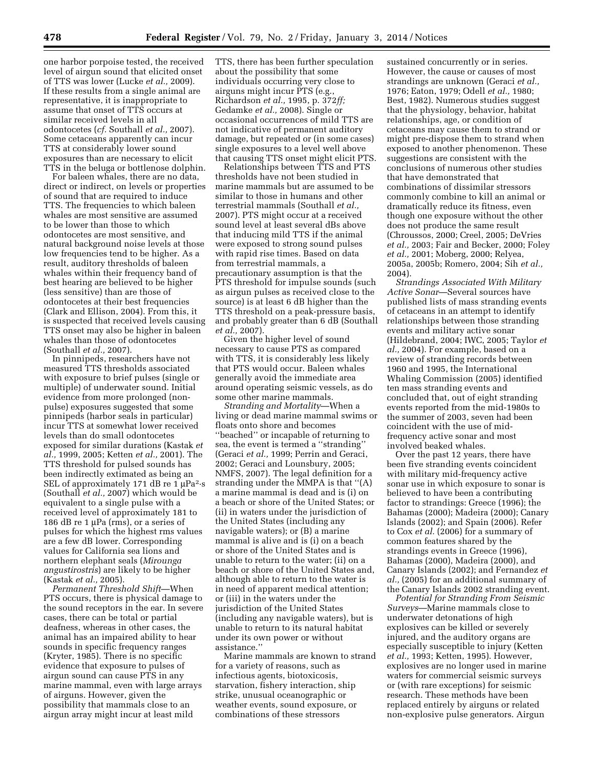one harbor porpoise tested, the received level of airgun sound that elicited onset of TTS was lower (Lucke *et al.,* 2009). If these results from a single animal are representative, it is inappropriate to assume that onset of TTS occurs at similar received levels in all odontocetes (*cf.* Southall *et al.,* 2007). Some cetaceans apparently can incur TTS at considerably lower sound exposures than are necessary to elicit TTS in the beluga or bottlenose dolphin.

For baleen whales, there are no data, direct or indirect, on levels or properties of sound that are required to induce TTS. The frequencies to which baleen whales are most sensitive are assumed to be lower than those to which odontocetes are most sensitive, and natural background noise levels at those low frequencies tend to be higher. As a result, auditory thresholds of baleen whales within their frequency band of best hearing are believed to be higher (less sensitive) than are those of odontocetes at their best frequencies (Clark and Ellison, 2004). From this, it is suspected that received levels causing TTS onset may also be higher in baleen whales than those of odontocetes (Southall *et al.,* 2007).

In pinnipeds, researchers have not measured TTS thresholds associated with exposure to brief pulses (single or multiple) of underwater sound. Initial evidence from more prolonged (nonpulse) exposures suggested that some pinnipeds (harbor seals in particular) incur TTS at somewhat lower received levels than do small odontocetes exposed for similar durations (Kastak *et al.,* 1999, 2005; Ketten *et al.,* 2001). The TTS threshold for pulsed sounds has been indirectly extimated as being an SEL of approximately 171 dB re 1  $\mu$ Pa<sup>2</sup>·s (Southall *et al.,* 2007) which would be equivalent to a single pulse with a received level of approximately 181 to 186 dB re 1  $\mu$ Pa (rms), or a series of pulses for which the highest rms values are a few dB lower. Corresponding values for California sea lions and northern elephant seals (*Mirounga angustirostris*) are likely to be higher (Kastak *et al.,* 2005).

*Permanent Threshold Shift*—When PTS occurs, there is physical damage to the sound receptors in the ear. In severe cases, there can be total or partial deafness, whereas in other cases, the animal has an impaired ability to hear sounds in specific frequency ranges (Kryter, 1985). There is no specific evidence that exposure to pulses of airgun sound can cause PTS in any marine mammal, even with large arrays of airguns. However, given the possibility that mammals close to an airgun array might incur at least mild

TTS, there has been further speculation about the possibility that some individuals occurring very close to airguns might incur PTS (e.g., Richardson *et al.,* 1995, p. 372*ff;*  Gedamke *et al.,* 2008). Single or occasional occurrences of mild TTS are not indicative of permanent auditory damage, but repeated or (in some cases) single exposures to a level well above that causing TTS onset might elicit PTS.

Relationships between TTS and PTS thresholds have not been studied in marine mammals but are assumed to be similar to those in humans and other terrestrial mammals (Southall *et al.,*  2007). PTS might occur at a received sound level at least several dBs above that inducing mild TTS if the animal were exposed to strong sound pulses with rapid rise times. Based on data from terrestrial mammals, a precautionary assumption is that the PTS threshold for impulse sounds (such as airgun pulses as received close to the source) is at least 6 dB higher than the TTS threshold on a peak-pressure basis, and probably greater than 6 dB (Southall *et al.,* 2007).

Given the higher level of sound necessary to cause PTS as compared with TTS, it is considerably less likely that PTS would occur. Baleen whales generally avoid the immediate area around operating seismic vessels, as do some other marine mammals.

*Stranding and Mortality*—When a living or dead marine mammal swims or floats onto shore and becomes ''beached'' or incapable of returning to sea, the event is termed a ''stranding'' (Geraci *et al.,* 1999; Perrin and Geraci, 2002; Geraci and Lounsbury, 2005; NMFS, 2007). The legal definition for a stranding under the MMPA is that ''(A) a marine mammal is dead and is (i) on a beach or shore of the United States; or (ii) in waters under the jurisdiction of the United States (including any navigable waters); or (B) a marine mammal is alive and is (i) on a beach or shore of the United States and is unable to return to the water; (ii) on a beach or shore of the United States and, although able to return to the water is in need of apparent medical attention; or (iii) in the waters under the jurisdiction of the United States (including any navigable waters), but is unable to return to its natural habitat under its own power or without assistance.''

Marine mammals are known to strand for a variety of reasons, such as infectious agents, biotoxicosis, starvation, fishery interaction, ship strike, unusual oceanographic or weather events, sound exposure, or combinations of these stressors

sustained concurrently or in series. However, the cause or causes of most strandings are unknown (Geraci *et al.,*  1976; Eaton, 1979; Odell *et al.,* 1980; Best, 1982). Numerous studies suggest that the physiology, behavior, habitat relationships, age, or condition of cetaceans may cause them to strand or might pre-dispose them to strand when exposed to another phenomenon. These suggestions are consistent with the conclusions of numerous other studies that have demonstrated that combinations of dissimilar stressors commonly combine to kill an animal or dramatically reduce its fitness, even though one exposure without the other does not produce the same result (Chroussos, 2000; Creel, 2005; DeVries *et al.,* 2003; Fair and Becker, 2000; Foley *et al.,* 2001; Moberg, 2000; Relyea, 2005a, 2005b; Romero, 2004; Sih *et al.,*  2004).

*Strandings Associated With Military Active Sonar*—Several sources have published lists of mass stranding events of cetaceans in an attempt to identify relationships between those stranding events and military active sonar (Hildebrand, 2004; IWC, 2005; Taylor *et al.,* 2004). For example, based on a review of stranding records between 1960 and 1995, the International Whaling Commission (2005) identified ten mass stranding events and concluded that, out of eight stranding events reported from the mid-1980s to the summer of 2003, seven had been coincident with the use of midfrequency active sonar and most involved beaked whales.

Over the past 12 years, there have been five stranding events coincident with military mid-frequency active sonar use in which exposure to sonar is believed to have been a contributing factor to strandings: Greece (1996); the Bahamas (2000); Madeira (2000); Canary Islands (2002); and Spain (2006). Refer to Cox *et al.* (2006) for a summary of common features shared by the strandings events in Greece (1996), Bahamas (2000), Madeira (2000), and Canary Islands (2002); and Fernandez *et al.,* (2005) for an additional summary of the Canary Islands 2002 stranding event.

*Potential for Stranding From Seismic Surveys*—Marine mammals close to underwater detonations of high explosives can be killed or severely injured, and the auditory organs are especially susceptible to injury (Ketten *et al.,* 1993; Ketten, 1995). However, explosives are no longer used in marine waters for commercial seismic surveys or (with rare exceptions) for seismic research. These methods have been replaced entirely by airguns or related non-explosive pulse generators. Airgun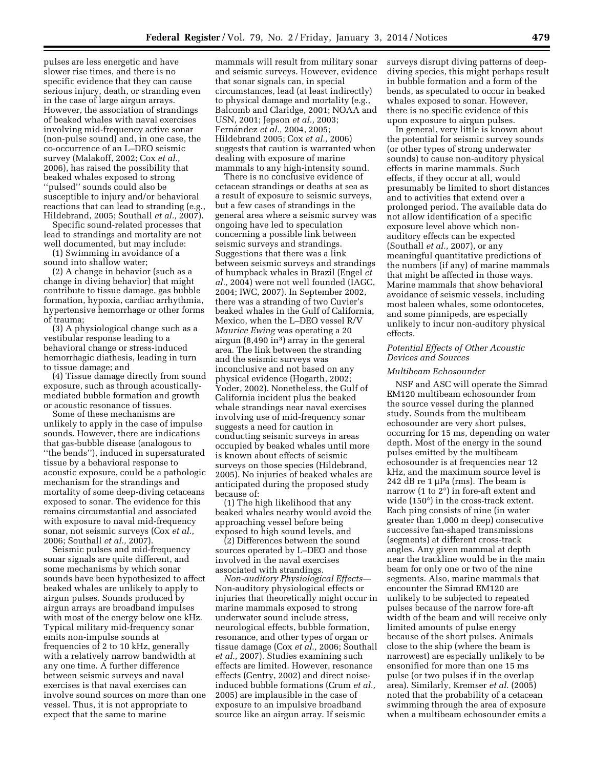pulses are less energetic and have slower rise times, and there is no specific evidence that they can cause serious injury, death, or stranding even in the case of large airgun arrays. However, the association of strandings of beaked whales with naval exercises involving mid-frequency active sonar (non-pulse sound) and, in one case, the co-occurrence of an L–DEO seismic survey (Malakoff, 2002; Cox *et al.,*  2006), has raised the possibility that beaked whales exposed to strong ''pulsed'' sounds could also be susceptible to injury and/or behavioral reactions that can lead to stranding (e.g., Hildebrand, 2005; Southall *et al.,* 2007).

Specific sound-related processes that lead to strandings and mortality are not well documented, but may include:

(1) Swimming in avoidance of a sound into shallow water;

(2) A change in behavior (such as a change in diving behavior) that might contribute to tissue damage, gas bubble formation, hypoxia, cardiac arrhythmia, hypertensive hemorrhage or other forms of trauma;

(3) A physiological change such as a vestibular response leading to a behavioral change or stress-induced hemorrhagic diathesis, leading in turn to tissue damage; and

(4) Tissue damage directly from sound exposure, such as through acousticallymediated bubble formation and growth or acoustic resonance of tissues.

Some of these mechanisms are unlikely to apply in the case of impulse sounds. However, there are indications that gas-bubble disease (analogous to ''the bends''), induced in supersaturated tissue by a behavioral response to acoustic exposure, could be a pathologic mechanism for the strandings and mortality of some deep-diving cetaceans exposed to sonar. The evidence for this remains circumstantial and associated with exposure to naval mid-frequency sonar, not seismic surveys (Cox *et al.,*  2006; Southall *et al.,* 2007).

Seismic pulses and mid-frequency sonar signals are quite different, and some mechanisms by which sonar sounds have been hypothesized to affect beaked whales are unlikely to apply to airgun pulses. Sounds produced by airgun arrays are broadband impulses with most of the energy below one kHz. Typical military mid-frequency sonar emits non-impulse sounds at frequencies of 2 to 10 kHz, generally with a relatively narrow bandwidth at any one time. A further difference between seismic surveys and naval exercises is that naval exercises can involve sound sources on more than one vessel. Thus, it is not appropriate to expect that the same to marine

mammals will result from military sonar and seismic surveys. However, evidence that sonar signals can, in special circumstances, lead (at least indirectly) to physical damage and mortality (e.g., Balcomb and Claridge, 2001; NOAA and USN, 2001; Jepson *et al.,* 2003; Ferna´ndez *et al.,* 2004, 2005; Hildebrand 2005; Cox *et al.,* 2006) suggests that caution is warranted when dealing with exposure of marine mammals to any high-intensity sound.

There is no conclusive evidence of cetacean strandings or deaths at sea as a result of exposure to seismic surveys, but a few cases of strandings in the general area where a seismic survey was ongoing have led to speculation concerning a possible link between seismic surveys and strandings. Suggestions that there was a link between seismic surveys and strandings of humpback whales in Brazil (Engel *et al.,* 2004) were not well founded (IAGC, 2004; IWC, 2007). In September 2002, there was a stranding of two Cuvier's beaked whales in the Gulf of California, Mexico, when the L–DEO vessel R/V *Maurice Ewing* was operating a 20 airgun  $(8,490 \text{ in}^3)$  array in the general area. The link between the stranding and the seismic surveys was inconclusive and not based on any physical evidence (Hogarth, 2002; Yoder, 2002). Nonetheless, the Gulf of California incident plus the beaked whale strandings near naval exercises involving use of mid-frequency sonar suggests a need for caution in conducting seismic surveys in areas occupied by beaked whales until more is known about effects of seismic surveys on those species (Hildebrand, 2005). No injuries of beaked whales are anticipated during the proposed study because of:

(1) The high likelihood that any beaked whales nearby would avoid the approaching vessel before being exposed to high sound levels, and

(2) Differences between the sound sources operated by L–DEO and those involved in the naval exercises associated with strandings.

*Non-auditory Physiological Effects*— Non-auditory physiological effects or injuries that theoretically might occur in marine mammals exposed to strong underwater sound include stress, neurological effects, bubble formation, resonance, and other types of organ or tissue damage (Cox *et al.,* 2006; Southall *et al.,* 2007). Studies examining such effects are limited. However, resonance effects (Gentry, 2002) and direct noiseinduced bubble formations (Crum *et al.,*  2005) are implausible in the case of exposure to an impulsive broadband source like an airgun array. If seismic

surveys disrupt diving patterns of deepdiving species, this might perhaps result in bubble formation and a form of the bends, as speculated to occur in beaked whales exposed to sonar. However, there is no specific evidence of this upon exposure to airgun pulses.

In general, very little is known about the potential for seismic survey sounds (or other types of strong underwater sounds) to cause non-auditory physical effects in marine mammals. Such effects, if they occur at all, would presumably be limited to short distances and to activities that extend over a prolonged period. The available data do not allow identification of a specific exposure level above which nonauditory effects can be expected (Southall *et al.,* 2007), or any meaningful quantitative predictions of the numbers (if any) of marine mammals that might be affected in those ways. Marine mammals that show behavioral avoidance of seismic vessels, including most baleen whales, some odontocetes, and some pinnipeds, are especially unlikely to incur non-auditory physical effects.

# *Potential Effects of Other Acoustic Devices and Sources*

#### *Multibeam Echosounder*

NSF and ASC will operate the Simrad EM120 multibeam echosounder from the source vessel during the planned study. Sounds from the multibeam echosounder are very short pulses, occurring for 15 ms, depending on water depth. Most of the energy in the sound pulses emitted by the multibeam echosounder is at frequencies near 12 kHz, and the maximum source level is 242 dB re  $1 \mu$ Pa (rms). The beam is narrow (1 to 2°) in fore-aft extent and wide (150°) in the cross-track extent. Each ping consists of nine (in water greater than 1,000 m deep) consecutive successive fan-shaped transmissions (segments) at different cross-track angles. Any given mammal at depth near the trackline would be in the main beam for only one or two of the nine segments. Also, marine mammals that encounter the Simrad EM120 are unlikely to be subjected to repeated pulses because of the narrow fore-aft width of the beam and will receive only limited amounts of pulse energy because of the short pulses. Animals close to the ship (where the beam is narrowest) are especially unlikely to be ensonified for more than one 15 ms pulse (or two pulses if in the overlap area). Similarly, Kremser *et al.* (2005) noted that the probability of a cetacean swimming through the area of exposure when a multibeam echosounder emits a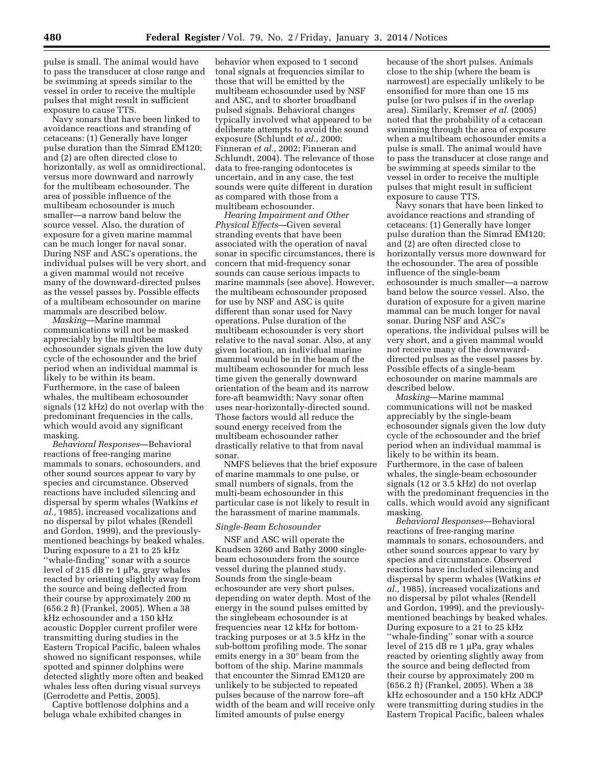pulse is small. The animal would have to pass the transducer at close range and be swimming at speeds similar to the vessel in order to receive the multiple pulses that might result in sufficient exposure to cause TTS.

Navy sonars that have been linked to avoidance reactions and stranding of cetaceans: (1) Generally have longer pulse duration than the Simrad EM120; and (2) are often directed close to horizontally, as well as omnidirectional, versus more downward and narrowly for the multibeam echosounder. The area of possible influence of the multibeam echosounder is much smaller—a narrow band below the source vessel. Also, the duration of exposure for a given marine mammal can be much longer for naval sonar. During NSF and ASC's operations, the individual pulses will be very short, and a given mammal would not receive many of the downward-directed pulses as the vessel passes by. Possible effects of a multibeam echosounder on marine mammals are described below.

*Masking*—Marine mammal communications will not be masked appreciably by the multibeam echosounder signals given the low duty cycle of the echosounder and the brief period when an individual mammal is likely to be within its beam. Furthermore, in the case of baleen whales, the multibeam echosounder signals (12 kHz) do not overlap with the predominant frequencies in the calls, which would avoid any significant masking.

*Behavioral Responses*—Behavioral reactions of free-ranging marine mammals to sonars, echosounders, and other sound sources appear to vary by species and circumstance. Observed reactions have included silencing and dispersal by sperm whales (Watkins *et al.,* 1985), increased vocalizations and no dispersal by pilot whales (Rendell and Gordon, 1999), and the previouslymentioned beachings by beaked whales. During exposure to a 21 to 25 kHz ''whale-finding'' sonar with a source level of 215 dB re 1  $\mu$ Pa, gray whales reacted by orienting slightly away from the source and being deflected from their course by approximately 200 m (656.2 ft) (Frankel, 2005). When a 38 kHz echosounder and a 150 kHz acoustic Doppler current profiler were transmitting during studies in the Eastern Tropical Pacific, baleen whales showed no significant responses, while spotted and spinner dolphins were detected slightly more often and beaked whales less often during visual surveys (Gerrodette and Pettis, 2005).

Captive bottlenose dolphins and a beluga whale exhibited changes in

behavior when exposed to 1 second tonal signals at frequencies similar to those that will be emitted by the multibeam echosounder used by NSF and ASC, and to shorter broadband pulsed signals. Behavioral changes typically involved what appeared to be deliberate attempts to avoid the sound exposure (Schlundt *et al.,* 2000; Finneran *et al.,* 2002; Finneran and Schlundt, 2004). The relevance of those data to free-ranging odontocetes is uncertain, and in any case, the test sounds were quite different in duration as compared with those from a multibeam echosounder.

*Hearing Impairment and Other Physical Effects*—Given several stranding events that have been associated with the operation of naval sonar in specific circumstances, there is concern that mid-frequency sonar sounds can cause serious impacts to marine mammals (see above). However, the multibeam echosounder proposed for use by NSF and ASC is quite different than sonar used for Navy operations. Pulse duration of the multibeam echosounder is very short relative to the naval sonar. Also, at any given location, an individual marine mammal would be in the beam of the multibeam echosounder for much less time given the generally downward orientation of the beam and its narrow fore-aft beamwidth; Navy sonar often uses near-horizontally-directed sound. Those factors would all reduce the sound energy received from the multibeam echosounder rather drastically relative to that from naval sonar.

NMFS believes that the brief exposure of marine mammals to one pulse, or small numbers of signals, from the multi-beam echosounder in this particular case is not likely to result in the harassment of marine mammals.

# *Single-Beam Echosounder*

NSF and ASC will operate the Knudsen 3260 and Bathy 2000 singlebeam echosounders from the source vessel during the planned study. Sounds from the single-beam echosounder are very short pulses, depending on water depth. Most of the energy in the sound pulses emitted by the singlebeam echosounder is at frequencies near 12 kHz for bottomtracking purposes or at 3.5 kHz in the sub-bottom profiling mode. The sonar emits energy in a 30° beam from the bottom of the ship. Marine mammals that encounter the Simrad EM120 are unlikely to be subjected to repeated pulses because of the narrow fore–aft width of the beam and will receive only limited amounts of pulse energy

because of the short pulses. Animals close to the ship (where the beam is narrowest) are especially unlikely to be ensonified for more than one 15 ms pulse (or two pulses if in the overlap area). Similarly, Kremser *et al.* (2005) noted that the probability of a cetacean swimming through the area of exposure when a multibeam echosounder emits a pulse is small. The animal would have to pass the transducer at close range and be swimming at speeds similar to the vessel in order to receive the multiple pulses that might result in sufficient exposure to cause TTS.

Navy sonars that have been linked to avoidance reactions and stranding of cetaceans: (1) Generally have longer pulse duration than the Simrad EM120; and (2) are often directed close to horizontally versus more downward for the echosounder. The area of possible influence of the single-beam echosounder is much smaller—a narrow band below the source vessel. Also, the duration of exposure for a given marine mammal can be much longer for naval sonar. During NSF and ASC's operations, the individual pulses will be very short, and a given mammal would not receive many of the downwarddirected pulses as the vessel passes by. Possible effects of a single-beam echosounder on marine mammals are described below.

*Masking*—Marine mammal communications will not be masked appreciably by the single-beam echosounder signals given the low duty cycle of the echosounder and the brief period when an individual mammal is likely to be within its beam. Furthermore, in the case of baleen whales, the single-beam echosounder signals (12 or 3.5 kHz) do not overlap with the predominant frequencies in the calls, which would avoid any significant masking.

*Behavioral Responses*—Behavioral reactions of free-ranging marine mammals to sonars, echosounders, and other sound sources appear to vary by species and circumstance. Observed reactions have included silencing and dispersal by sperm whales (Watkins *et al.,* 1985), increased vocalizations and no dispersal by pilot whales (Rendell and Gordon, 1999), and the previouslymentioned beachings by beaked whales. During exposure to a 21 to 25 kHz ''whale-finding'' sonar with a source level of 215 dB re 1  $\mu$ Pa, gray whales reacted by orienting slightly away from the source and being deflected from their course by approximately 200 m (656.2 ft) (Frankel, 2005). When a 38 kHz echosounder and a 150 kHz ADCP were transmitting during studies in the Eastern Tropical Pacific, baleen whales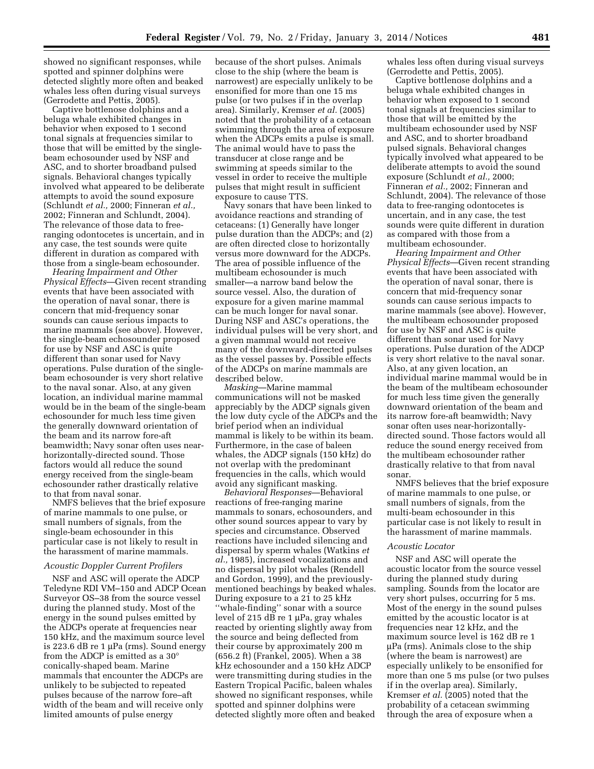showed no significant responses, while spotted and spinner dolphins were detected slightly more often and beaked whales less often during visual surveys (Gerrodette and Pettis, 2005).

Captive bottlenose dolphins and a beluga whale exhibited changes in behavior when exposed to 1 second tonal signals at frequencies similar to those that will be emitted by the singlebeam echosounder used by NSF and ASC, and to shorter broadband pulsed signals. Behavioral changes typically involved what appeared to be deliberate attempts to avoid the sound exposure (Schlundt *et al.,* 2000; Finneran *et al.,*  2002; Finneran and Schlundt, 2004). The relevance of those data to freeranging odontocetes is uncertain, and in any case, the test sounds were quite different in duration as compared with those from a single-beam echosounder.

*Hearing Impairment and Other Physical Effects*—Given recent stranding events that have been associated with the operation of naval sonar, there is concern that mid-frequency sonar sounds can cause serious impacts to marine mammals (see above). However, the single-beam echosounder proposed for use by NSF and ASC is quite different than sonar used for Navy operations. Pulse duration of the singlebeam echosounder is very short relative to the naval sonar. Also, at any given location, an individual marine mammal would be in the beam of the single-beam echosounder for much less time given the generally downward orientation of the beam and its narrow fore-aft beamwidth; Navy sonar often uses nearhorizontally-directed sound. Those factors would all reduce the sound energy received from the single-beam echosounder rather drastically relative to that from naval sonar.

NMFS believes that the brief exposure of marine mammals to one pulse, or small numbers of signals, from the single-beam echosounder in this particular case is not likely to result in the harassment of marine mammals.

# *Acoustic Doppler Current Profilers*

NSF and ASC will operate the ADCP Teledyne RDI VM–150 and ADCP Ocean Surveyor OS–38 from the source vessel during the planned study. Most of the energy in the sound pulses emitted by the ADCPs operate at frequencies near 150 kHz, and the maximum source level is 223.6 dB re  $1 \mu Pa$  (rms). Sound energy from the ADCP is emitted as a 30° conically-shaped beam. Marine mammals that encounter the ADCPs are unlikely to be subjected to repeated pulses because of the narrow fore–aft width of the beam and will receive only limited amounts of pulse energy

because of the short pulses. Animals close to the ship (where the beam is narrowest) are especially unlikely to be ensonified for more than one 15 ms pulse (or two pulses if in the overlap area). Similarly, Kremser *et al.* (2005) noted that the probability of a cetacean swimming through the area of exposure when the ADCPs emits a pulse is small. The animal would have to pass the transducer at close range and be swimming at speeds similar to the vessel in order to receive the multiple pulses that might result in sufficient exposure to cause TTS.

Navy sonars that have been linked to avoidance reactions and stranding of cetaceans: (1) Generally have longer pulse duration than the ADCPs; and (2) are often directed close to horizontally versus more downward for the ADCPs. The area of possible influence of the multibeam echosounder is much smaller—a narrow band below the source vessel. Also, the duration of exposure for a given marine mammal can be much longer for naval sonar. During NSF and ASC's operations, the individual pulses will be very short, and a given mammal would not receive many of the downward-directed pulses as the vessel passes by. Possible effects of the ADCPs on marine mammals are described below.

*Masking*—Marine mammal communications will not be masked appreciably by the ADCP signals given the low duty cycle of the ADCPs and the brief period when an individual mammal is likely to be within its beam. Furthermore, in the case of baleen whales, the ADCP signals (150 kHz) do not overlap with the predominant frequencies in the calls, which would avoid any significant masking.

*Behavioral Responses*—Behavioral reactions of free-ranging marine mammals to sonars, echosounders, and other sound sources appear to vary by species and circumstance. Observed reactions have included silencing and dispersal by sperm whales (Watkins *et al.,* 1985), increased vocalizations and no dispersal by pilot whales (Rendell and Gordon, 1999), and the previouslymentioned beachings by beaked whales. During exposure to a 21 to 25 kHz ''whale-finding'' sonar with a source level of 215 dB re 1  $\mu$ Pa, gray whales reacted by orienting slightly away from the source and being deflected from their course by approximately 200 m (656.2 ft) (Frankel, 2005). When a 38 kHz echosounder and a 150 kHz ADCP were transmitting during studies in the Eastern Tropical Pacific, baleen whales showed no significant responses, while spotted and spinner dolphins were detected slightly more often and beaked

whales less often during visual surveys (Gerrodette and Pettis, 2005).

Captive bottlenose dolphins and a beluga whale exhibited changes in behavior when exposed to 1 second tonal signals at frequencies similar to those that will be emitted by the multibeam echosounder used by NSF and ASC, and to shorter broadband pulsed signals. Behavioral changes typically involved what appeared to be deliberate attempts to avoid the sound exposure (Schlundt *et al.,* 2000; Finneran *et al.,* 2002; Finneran and Schlundt, 2004). The relevance of those data to free-ranging odontocetes is uncertain, and in any case, the test sounds were quite different in duration as compared with those from a multibeam echosounder.

*Hearing Impairment and Other Physical Effects*—Given recent stranding events that have been associated with the operation of naval sonar, there is concern that mid-frequency sonar sounds can cause serious impacts to marine mammals (see above). However, the multibeam echosounder proposed for use by NSF and ASC is quite different than sonar used for Navy operations. Pulse duration of the ADCP is very short relative to the naval sonar. Also, at any given location, an individual marine mammal would be in the beam of the multibeam echosounder for much less time given the generally downward orientation of the beam and its narrow fore-aft beamwidth; Navy sonar often uses near-horizontallydirected sound. Those factors would all reduce the sound energy received from the multibeam echosounder rather drastically relative to that from naval sonar.

NMFS believes that the brief exposure of marine mammals to one pulse, or small numbers of signals, from the multi-beam echosounder in this particular case is not likely to result in the harassment of marine mammals.

# *Acoustic Locator*

NSF and ASC will operate the acoustic locator from the source vessel during the planned study during sampling. Sounds from the locator are very short pulses, occurring for 5 ms. Most of the energy in the sound pulses emitted by the acoustic locator is at frequencies near 12 kHz, and the maximum source level is 162 dB re 1  $\mu$ Pa (rms). Animals close to the ship (where the beam is narrowest) are especially unlikely to be ensonified for more than one 5 ms pulse (or two pulses if in the overlap area). Similarly, Kremser *et al.* (2005) noted that the probability of a cetacean swimming through the area of exposure when a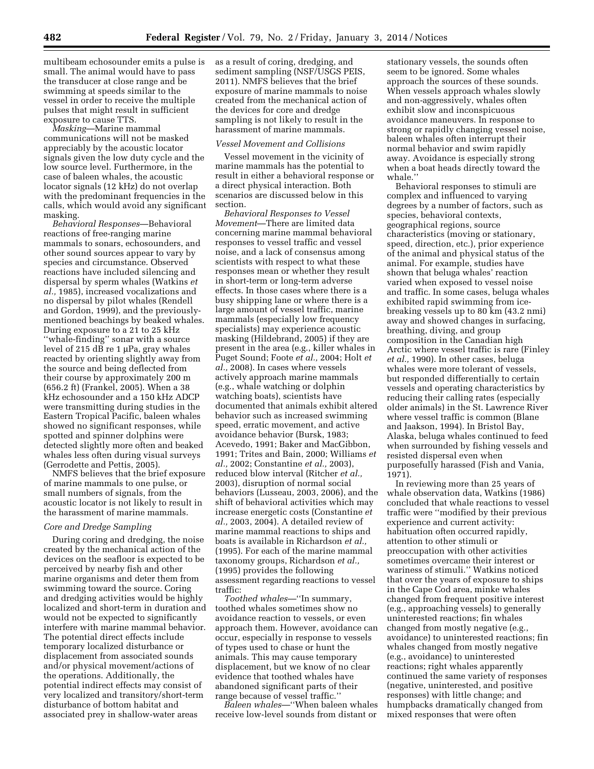multibeam echosounder emits a pulse is small. The animal would have to pass the transducer at close range and be swimming at speeds similar to the vessel in order to receive the multiple pulses that might result in sufficient exposure to cause TTS.

*Masking*—Marine mammal communications will not be masked appreciably by the acoustic locator signals given the low duty cycle and the low source level. Furthermore, in the case of baleen whales, the acoustic locator signals (12 kHz) do not overlap with the predominant frequencies in the calls, which would avoid any significant masking.

*Behavioral Responses*—Behavioral reactions of free-ranging marine mammals to sonars, echosounders, and other sound sources appear to vary by species and circumstance. Observed reactions have included silencing and dispersal by sperm whales (Watkins *et al.,* 1985), increased vocalizations and no dispersal by pilot whales (Rendell and Gordon, 1999), and the previouslymentioned beachings by beaked whales. During exposure to a 21 to 25 kHz ''whale-finding'' sonar with a source level of 215  $\overline{dB}$  re 1 µPa, gray whales reacted by orienting slightly away from the source and being deflected from their course by approximately 200 m (656.2 ft) (Frankel, 2005). When a 38 kHz echosounder and a 150 kHz ADCP were transmitting during studies in the Eastern Tropical Pacific, baleen whales showed no significant responses, while spotted and spinner dolphins were detected slightly more often and beaked whales less often during visual surveys (Gerrodette and Pettis, 2005).

NMFS believes that the brief exposure of marine mammals to one pulse, or small numbers of signals, from the acoustic locator is not likely to result in the harassment of marine mammals.

# *Core and Dredge Sampling*

During coring and dredging, the noise created by the mechanical action of the devices on the seafloor is expected to be perceived by nearby fish and other marine organisms and deter them from swimming toward the source. Coring and dredging activities would be highly localized and short-term in duration and would not be expected to significantly interfere with marine mammal behavior. The potential direct effects include temporary localized disturbance or displacement from associated sounds and/or physical movement/actions of the operations. Additionally, the potential indirect effects may consist of very localized and transitory/short-term disturbance of bottom habitat and associated prey in shallow-water areas

as a result of coring, dredging, and sediment sampling (NSF/USGS PEIS, 2011). NMFS believes that the brief exposure of marine mammals to noise created from the mechanical action of the devices for core and dredge sampling is not likely to result in the harassment of marine mammals.

#### *Vessel Movement and Collisions*

Vessel movement in the vicinity of marine mammals has the potential to result in either a behavioral response or a direct physical interaction. Both scenarios are discussed below in this section.

*Behavioral Responses to Vessel Movement*—There are limited data concerning marine mammal behavioral responses to vessel traffic and vessel noise, and a lack of consensus among scientists with respect to what these responses mean or whether they result in short-term or long-term adverse effects. In those cases where there is a busy shipping lane or where there is a large amount of vessel traffic, marine mammals (especially low frequency specialists) may experience acoustic masking (Hildebrand, 2005) if they are present in the area (e.g., killer whales in Puget Sound; Foote *et al.,* 2004; Holt *et al.,* 2008). In cases where vessels actively approach marine mammals (e.g., whale watching or dolphin watching boats), scientists have documented that animals exhibit altered behavior such as increased swimming speed, erratic movement, and active avoidance behavior (Bursk, 1983; Acevedo, 1991; Baker and MacGibbon, 1991; Trites and Bain, 2000; Williams *et al.,* 2002; Constantine *et al.,* 2003), reduced blow interval (Ritcher *et al.,*  2003), disruption of normal social behaviors (Lusseau, 2003, 2006), and the shift of behavioral activities which may increase energetic costs (Constantine *et al.,* 2003, 2004). A detailed review of marine mammal reactions to ships and boats is available in Richardson *et al.,*  (1995). For each of the marine mammal taxonomy groups, Richardson *et al.,*  (1995) provides the following assessment regarding reactions to vessel traffic:

*Toothed whales*—''In summary, toothed whales sometimes show no avoidance reaction to vessels, or even approach them. However, avoidance can occur, especially in response to vessels of types used to chase or hunt the animals. This may cause temporary displacement, but we know of no clear evidence that toothed whales have abandoned significant parts of their range because of vessel traffic.''

*Baleen whales*—''When baleen whales receive low-level sounds from distant or

stationary vessels, the sounds often seem to be ignored. Some whales approach the sources of these sounds. When vessels approach whales slowly and non-aggressively, whales often exhibit slow and inconspicuous avoidance maneuvers. In response to strong or rapidly changing vessel noise, baleen whales often interrupt their normal behavior and swim rapidly away. Avoidance is especially strong when a boat heads directly toward the whale.''

Behavioral responses to stimuli are complex and influenced to varying degrees by a number of factors, such as species, behavioral contexts, geographical regions, source characteristics (moving or stationary, speed, direction, etc.), prior experience of the animal and physical status of the animal. For example, studies have shown that beluga whales' reaction varied when exposed to vessel noise and traffic. In some cases, beluga whales exhibited rapid swimming from icebreaking vessels up to 80 km (43.2 nmi) away and showed changes in surfacing, breathing, diving, and group composition in the Canadian high Arctic where vessel traffic is rare (Finley *et al.,* 1990). In other cases, beluga whales were more tolerant of vessels, but responded differentially to certain vessels and operating characteristics by reducing their calling rates (especially older animals) in the St. Lawrence River where vessel traffic is common (Blane and Jaakson, 1994). In Bristol Bay, Alaska, beluga whales continued to feed when surrounded by fishing vessels and resisted dispersal even when purposefully harassed (Fish and Vania, 1971).

In reviewing more than 25 years of whale observation data, Watkins (1986) concluded that whale reactions to vessel traffic were ''modified by their previous experience and current activity: habituation often occurred rapidly, attention to other stimuli or preoccupation with other activities sometimes overcame their interest or wariness of stimuli.'' Watkins noticed that over the years of exposure to ships in the Cape Cod area, minke whales changed from frequent positive interest (e.g., approaching vessels) to generally uninterested reactions; fin whales changed from mostly negative (e.g., avoidance) to uninterested reactions; fin whales changed from mostly negative (e.g., avoidance) to uninterested reactions; right whales apparently continued the same variety of responses (negative, uninterested, and positive responses) with little change; and humpbacks dramatically changed from mixed responses that were often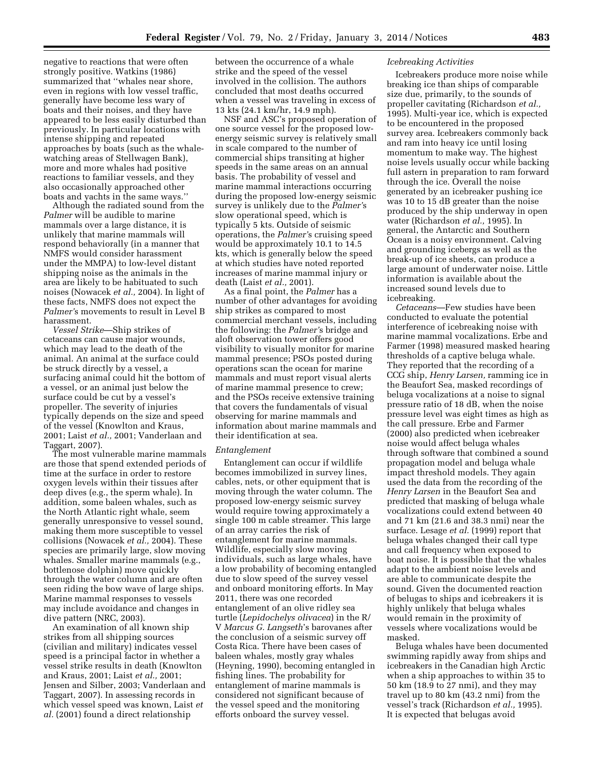negative to reactions that were often strongly positive. Watkins (1986) summarized that ''whales near shore, even in regions with low vessel traffic, generally have become less wary of boats and their noises, and they have appeared to be less easily disturbed than previously. In particular locations with intense shipping and repeated approaches by boats (such as the whalewatching areas of Stellwagen Bank), more and more whales had positive reactions to familiar vessels, and they also occasionally approached other boats and yachts in the same ways.''

Although the radiated sound from the *Palmer* will be audible to marine mammals over a large distance, it is unlikely that marine mammals will respond behaviorally (in a manner that NMFS would consider harassment under the MMPA) to low-level distant shipping noise as the animals in the area are likely to be habituated to such noises (Nowacek *et al.,* 2004). In light of these facts, NMFS does not expect the *Palmer'*s movements to result in Level B harassment.

*Vessel Strike*—Ship strikes of cetaceans can cause major wounds, which may lead to the death of the animal. An animal at the surface could be struck directly by a vessel, a surfacing animal could hit the bottom of a vessel, or an animal just below the surface could be cut by a vessel's propeller. The severity of injuries typically depends on the size and speed of the vessel (Knowlton and Kraus, 2001; Laist *et al.,* 2001; Vanderlaan and Taggart, 2007).

The most vulnerable marine mammals are those that spend extended periods of time at the surface in order to restore oxygen levels within their tissues after deep dives (e.g., the sperm whale). In addition, some baleen whales, such as the North Atlantic right whale, seem generally unresponsive to vessel sound, making them more susceptible to vessel collisions (Nowacek *et al.,* 2004). These species are primarily large, slow moving whales. Smaller marine mammals (e.g., bottlenose dolphin) move quickly through the water column and are often seen riding the bow wave of large ships. Marine mammal responses to vessels may include avoidance and changes in dive pattern (NRC, 2003).

An examination of all known ship strikes from all shipping sources (civilian and military) indicates vessel speed is a principal factor in whether a vessel strike results in death (Knowlton and Kraus, 2001; Laist *et al.,* 2001; Jensen and Silber, 2003; Vanderlaan and Taggart, 2007). In assessing records in which vessel speed was known, Laist *et al.* (2001) found a direct relationship

between the occurrence of a whale strike and the speed of the vessel involved in the collision. The authors concluded that most deaths occurred when a vessel was traveling in excess of 13 kts (24.1 km/hr, 14.9 mph).

NSF and ASC's proposed operation of one source vessel for the proposed lowenergy seismic survey is relatively small in scale compared to the number of commercial ships transiting at higher speeds in the same areas on an annual basis. The probability of vessel and marine mammal interactions occurring during the proposed low-energy seismic survey is unlikely due to the *Palmer'*s slow operational speed, which is typically 5 kts. Outside of seismic operations, the *Palmer'*s cruising speed would be approximately 10.1 to 14.5 kts, which is generally below the speed at which studies have noted reported increases of marine mammal injury or death (Laist *et al.,* 2001).

As a final point, the *Palmer* has a number of other advantages for avoiding ship strikes as compared to most commercial merchant vessels, including the following: the *Palmer'*s bridge and aloft observation tower offers good visibility to visually monitor for marine mammal presence; PSOs posted during operations scan the ocean for marine mammals and must report visual alerts of marine mammal presence to crew; and the PSOs receive extensive training that covers the fundamentals of visual observing for marine mammals and information about marine mammals and their identification at sea.

#### *Entanglement*

Entanglement can occur if wildlife becomes immobilized in survey lines, cables, nets, or other equipment that is moving through the water column. The proposed low-energy seismic survey would require towing approximately a single 100 m cable streamer. This large of an array carries the risk of entanglement for marine mammals. Wildlife, especially slow moving individuals, such as large whales, have a low probability of becoming entangled due to slow speed of the survey vessel and onboard monitoring efforts. In May 2011, there was one recorded entanglement of an olive ridley sea turtle (*Lepidochelys olivacea*) in the R/ V *Marcus G. Langseth*'s barovanes after the conclusion of a seismic survey off Costa Rica. There have been cases of baleen whales, mostly gray whales (Heyning, 1990), becoming entangled in fishing lines. The probability for entanglement of marine mammals is considered not significant because of the vessel speed and the monitoring efforts onboard the survey vessel.

#### *Icebreaking Activities*

Icebreakers produce more noise while breaking ice than ships of comparable size due, primarily, to the sounds of propeller cavitating (Richardson *et al.,*  1995). Multi-year ice, which is expected to be encountered in the proposed survey area. Icebreakers commonly back and ram into heavy ice until losing momentum to make way. The highest noise levels usually occur while backing full astern in preparation to ram forward through the ice. Overall the noise generated by an icebreaker pushing ice was 10 to 15 dB greater than the noise produced by the ship underway in open water (Richardson *et al.,* 1995). In general, the Antarctic and Southern Ocean is a noisy environment. Calving and grounding icebergs as well as the break-up of ice sheets, can produce a large amount of underwater noise. Little information is available about the increased sound levels due to icebreaking.

*Cetaceans*—Few studies have been conducted to evaluate the potential interference of icebreaking noise with marine mammal vocalizations. Erbe and Farmer (1998) measured masked hearing thresholds of a captive beluga whale. They reported that the recording of a CCG ship, *Henry Larsen,* ramming ice in the Beaufort Sea, masked recordings of beluga vocalizations at a noise to signal pressure ratio of 18 dB, when the noise pressure level was eight times as high as the call pressure. Erbe and Farmer (2000) also predicted when icebreaker noise would affect beluga whales through software that combined a sound propagation model and beluga whale impact threshold models. They again used the data from the recording of the *Henry Larsen* in the Beaufort Sea and predicted that masking of beluga whale vocalizations could extend between 40 and 71 km (21.6 and 38.3 nmi) near the surface. Lesage *et al.* (1999) report that beluga whales changed their call type and call frequency when exposed to boat noise. It is possible that the whales adapt to the ambient noise levels and are able to communicate despite the sound. Given the documented reaction of belugas to ships and icebreakers it is highly unlikely that beluga whales would remain in the proximity of vessels where vocalizations would be masked.

Beluga whales have been documented swimming rapidly away from ships and icebreakers in the Canadian high Arctic when a ship approaches to within 35 to 50 km (18.9 to 27 nmi), and they may travel up to 80 km (43.2 nmi) from the vessel's track (Richardson *et al.,* 1995). It is expected that belugas avoid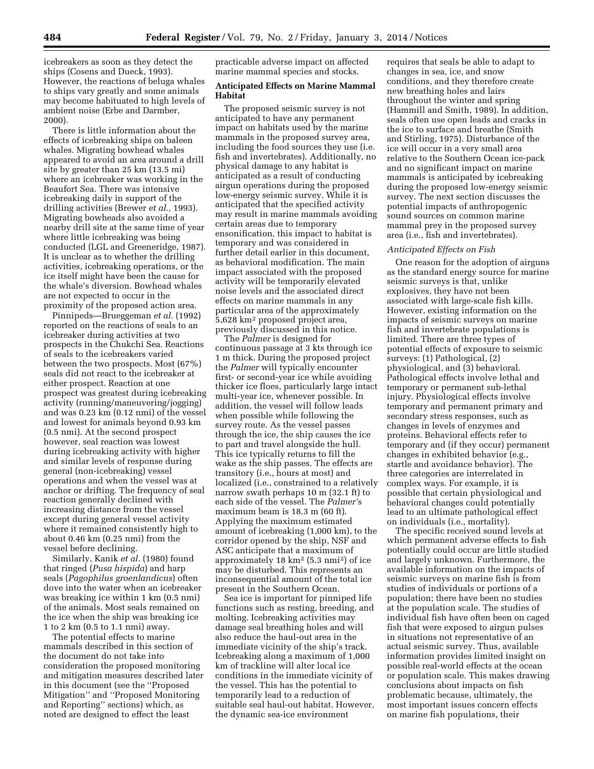icebreakers as soon as they detect the ships (Cosens and Dueck, 1993). However, the reactions of beluga whales to ships vary greatly and some animals may become habituated to high levels of ambient noise (Erbe and Darmber, 2000).

There is little information about the effects of icebreaking ships on baleen whales. Migrating bowhead whales appeared to avoid an area around a drill site by greater than 25 km (13.5 mi) where an icebreaker was working in the Beaufort Sea. There was intensive icebreaking daily in support of the drilling activities (Brewer *et al.,* 1993). Migrating bowheads also avoided a nearby drill site at the same time of year where little icebreaking was being conducted (LGL and Greeneridge, 1987). It is unclear as to whether the drilling activities, icebreaking operations, or the ice itself might have been the cause for the whale's diversion. Bowhead whales are not expected to occur in the proximity of the proposed action area.

Pinnipeds—Brueggeman *et al.* (1992) reported on the reactions of seals to an icebreaker during activities at two prospects in the Chukchi Sea. Reactions of seals to the icebreakers varied between the two prospects. Most (67%) seals did not react to the icebreaker at either prospect. Reaction at one prospect was greatest during icebreaking activity (running/maneuvering/jogging) and was 0.23 km (0.12 nmi) of the vessel and lowest for animals beyond 0.93 km (0.5 nmi). At the second prospect however, seal reaction was lowest during icebreaking activity with higher and similar levels of response during general (non-icebreaking) vessel operations and when the vessel was at anchor or drifting. The frequency of seal reaction generally declined with increasing distance from the vessel except during general vessel activity where it remained consistently high to about 0.46 km (0.25 nmi) from the vessel before declining.

Similarly, Kanik et al. (1980) found that ringed (*Pusa hispida*) and harp seals (*Pagophilus groenlandicus*) often dove into the water when an icebreaker was breaking ice within 1 km (0.5 nmi) of the animals. Most seals remained on the ice when the ship was breaking ice 1 to 2 km (0.5 to 1.1 nmi) away.

The potential effects to marine mammals described in this section of the document do not take into consideration the proposed monitoring and mitigation measures described later in this document (see the ''Proposed Mitigation'' and ''Proposed Monitoring and Reporting'' sections) which, as noted are designed to effect the least

practicable adverse impact on affected marine mammal species and stocks.

# **Anticipated Effects on Marine Mammal Habitat**

The proposed seismic survey is not anticipated to have any permanent impact on habitats used by the marine mammals in the proposed survey area, including the food sources they use (i.e. fish and invertebrates). Additionally, no physical damage to any habitat is anticipated as a result of conducting airgun operations during the proposed low-energy seismic survey. While it is anticipated that the specified activity may result in marine mammals avoiding certain areas due to temporary ensonification, this impact to habitat is temporary and was considered in further detail earlier in this document, as behavioral modification. The main impact associated with the proposed activity will be temporarily elevated noise levels and the associated direct effects on marine mammals in any particular area of the approximately 5,628 km2 proposed project area, previously discussed in this notice.

The *Palmer* is designed for continuous passage at 3 kts through ice 1 m thick. During the proposed project the *Palmer* will typically encounter first- or second-year ice while avoiding thicker ice floes, particularly large intact multi-year ice, whenever possible. In addition, the vessel will follow leads when possible while following the survey route. As the vessel passes through the ice, the ship causes the ice to part and travel alongside the hull. This ice typically returns to fill the wake as the ship passes. The effects are transitory (i.e., hours at most) and localized (i.e., constrained to a relatively narrow swath perhaps 10 m (32.1 ft) to each side of the vessel. The *Palmer'*s maximum beam is 18.3 m (60 ft). Applying the maximum estimated amount of icebreaking (1,000 km), to the corridor opened by the ship, NSF and ASC anticipate that a maximum of approximately 18 km2 (5.3 nmi2) of ice may be disturbed. This represents an inconsequential amount of the total ice present in the Southern Ocean.

Sea ice is important for pinniped life functions such as resting, breeding, and molting. Icebreaking activities may damage seal breathing holes and will also reduce the haul-out area in the immediate vicinity of the ship's track. Icebreaking along a maximum of 1,000 km of trackline will alter local ice conditions in the immediate vicinity of the vessel. This has the potential to temporarily lead to a reduction of suitable seal haul-out habitat. However, the dynamic sea-ice environment

requires that seals be able to adapt to changes in sea, ice, and snow conditions, and they therefore create new breathing holes and lairs throughout the winter and spring (Hammill and Smith, 1989). In addition, seals often use open leads and cracks in the ice to surface and breathe (Smith and Stirling, 1975). Disturbance of the ice will occur in a very small area relative to the Southern Ocean ice-pack and no significant impact on marine mammals is anticipated by icebreaking during the proposed low-energy seismic survey. The next section discusses the potential impacts of anthropogenic sound sources on common marine mammal prey in the proposed survey area (i.e., fish and invertebrates).

#### *Anticipated Effects on Fish*

One reason for the adoption of airguns as the standard energy source for marine seismic surveys is that, unlike explosives, they have not been associated with large-scale fish kills. However, existing information on the impacts of seismic surveys on marine fish and invertebrate populations is limited. There are three types of potential effects of exposure to seismic surveys: (1) Pathological, (2) physiological, and (3) behavioral. Pathological effects involve lethal and temporary or permanent sub-lethal injury. Physiological effects involve temporary and permanent primary and secondary stress responses, such as changes in levels of enzymes and proteins. Behavioral effects refer to temporary and (if they occur) permanent changes in exhibited behavior (e.g., startle and avoidance behavior). The three categories are interrelated in complex ways. For example, it is possible that certain physiological and behavioral changes could potentially lead to an ultimate pathological effect on individuals (i.e., mortality).

The specific received sound levels at which permanent adverse effects to fish potentially could occur are little studied and largely unknown. Furthermore, the available information on the impacts of seismic surveys on marine fish is from studies of individuals or portions of a population; there have been no studies at the population scale. The studies of individual fish have often been on caged fish that were exposed to airgun pulses in situations not representative of an actual seismic survey. Thus, available information provides limited insight on possible real-world effects at the ocean or population scale. This makes drawing conclusions about impacts on fish problematic because, ultimately, the most important issues concern effects on marine fish populations, their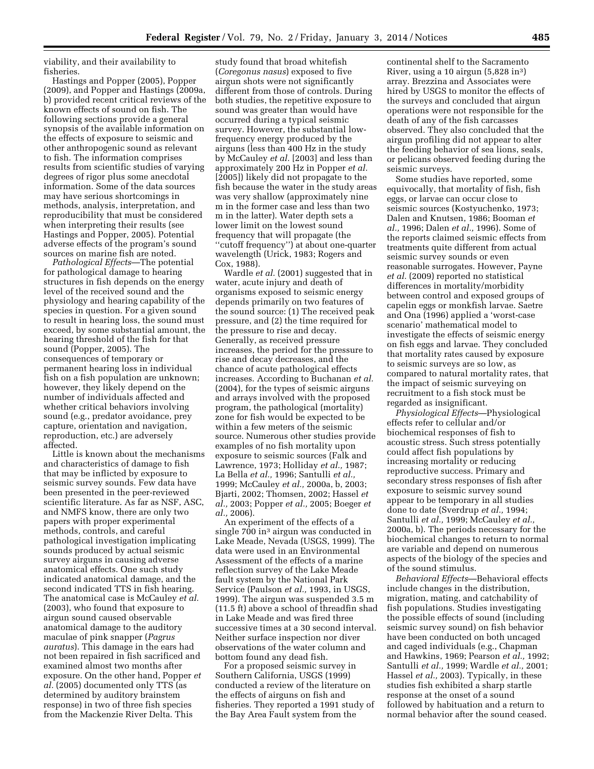viability, and their availability to fisheries.

Hastings and Popper (2005), Popper (2009), and Popper and Hastings (2009a, b) provided recent critical reviews of the known effects of sound on fish. The following sections provide a general synopsis of the available information on the effects of exposure to seismic and other anthropogenic sound as relevant to fish. The information comprises results from scientific studies of varying degrees of rigor plus some anecdotal information. Some of the data sources may have serious shortcomings in methods, analysis, interpretation, and reproducibility that must be considered when interpreting their results (see Hastings and Popper, 2005). Potential adverse effects of the program's sound sources on marine fish are noted.

*Pathological Effects*—The potential for pathological damage to hearing structures in fish depends on the energy level of the received sound and the physiology and hearing capability of the species in question. For a given sound to result in hearing loss, the sound must exceed, by some substantial amount, the hearing threshold of the fish for that sound (Popper, 2005). The consequences of temporary or permanent hearing loss in individual fish on a fish population are unknown; however, they likely depend on the number of individuals affected and whether critical behaviors involving sound (e.g., predator avoidance, prey capture, orientation and navigation, reproduction, etc.) are adversely affected.

Little is known about the mechanisms and characteristics of damage to fish that may be inflicted by exposure to seismic survey sounds. Few data have been presented in the peer-reviewed scientific literature. As far as NSF, ASC, and NMFS know, there are only two papers with proper experimental methods, controls, and careful pathological investigation implicating sounds produced by actual seismic survey airguns in causing adverse anatomical effects. One such study indicated anatomical damage, and the second indicated TTS in fish hearing. The anatomical case is McCauley *et al.*  (2003), who found that exposure to airgun sound caused observable anatomical damage to the auditory maculae of pink snapper (*Pagrus auratus*). This damage in the ears had not been repaired in fish sacrificed and examined almost two months after exposure. On the other hand, Popper *et al.* (2005) documented only TTS (as determined by auditory brainstem response) in two of three fish species from the Mackenzie River Delta. This

study found that broad whitefish (*Coregonus nasus*) exposed to five airgun shots were not significantly different from those of controls. During both studies, the repetitive exposure to sound was greater than would have occurred during a typical seismic survey. However, the substantial lowfrequency energy produced by the airguns (less than 400 Hz in the study by McCauley *et al.* [2003] and less than approximately 200 Hz in Popper *et al.*  [2005]) likely did not propagate to the fish because the water in the study areas was very shallow (approximately nine m in the former case and less than two m in the latter). Water depth sets a lower limit on the lowest sound frequency that will propagate (the ''cutoff frequency'') at about one-quarter wavelength (Urick, 1983; Rogers and Cox, 1988).

Wardle *et al.* (2001) suggested that in water, acute injury and death of organisms exposed to seismic energy depends primarily on two features of the sound source: (1) The received peak pressure, and (2) the time required for the pressure to rise and decay. Generally, as received pressure increases, the period for the pressure to rise and decay decreases, and the chance of acute pathological effects increases. According to Buchanan *et al.*  (2004), for the types of seismic airguns and arrays involved with the proposed program, the pathological (mortality) zone for fish would be expected to be within a few meters of the seismic source. Numerous other studies provide examples of no fish mortality upon exposure to seismic sources (Falk and Lawrence, 1973; Holliday *et al.,* 1987; La Bella *et al.,* 1996; Santulli *et al.,*  1999; McCauley *et al.,* 2000a, b, 2003; Bjarti, 2002; Thomsen, 2002; Hassel *et al.,* 2003; Popper *et al.,* 2005; Boeger *et al.,* 2006).

An experiment of the effects of a single 700 in<sup>3</sup> airgun was conducted in Lake Meade, Nevada (USGS, 1999). The data were used in an Environmental Assessment of the effects of a marine reflection survey of the Lake Meade fault system by the National Park Service (Paulson *et al.,* 1993, in USGS, 1999). The airgun was suspended 3.5 m (11.5 ft) above a school of threadfin shad in Lake Meade and was fired three successive times at a 30 second interval. Neither surface inspection nor diver observations of the water column and bottom found any dead fish.

For a proposed seismic survey in Southern California, USGS (1999) conducted a review of the literature on the effects of airguns on fish and fisheries. They reported a 1991 study of the Bay Area Fault system from the

continental shelf to the Sacramento River, using a 10 airgun (5,828 in3) array. Brezzina and Associates were hired by USGS to monitor the effects of the surveys and concluded that airgun operations were not responsible for the death of any of the fish carcasses observed. They also concluded that the airgun profiling did not appear to alter the feeding behavior of sea lions, seals, or pelicans observed feeding during the seismic surveys.

Some studies have reported, some equivocally, that mortality of fish, fish eggs, or larvae can occur close to seismic sources (Kostyuchenko, 1973; Dalen and Knutsen, 1986; Booman *et al.,* 1996; Dalen *et al.,* 1996). Some of the reports claimed seismic effects from treatments quite different from actual seismic survey sounds or even reasonable surrogates. However, Payne *et al.* (2009) reported no statistical differences in mortality/morbidity between control and exposed groups of capelin eggs or monkfish larvae. Saetre and Ona (1996) applied a 'worst-case scenario' mathematical model to investigate the effects of seismic energy on fish eggs and larvae. They concluded that mortality rates caused by exposure to seismic surveys are so low, as compared to natural mortality rates, that the impact of seismic surveying on recruitment to a fish stock must be regarded as insignificant.

*Physiological Effects*—Physiological effects refer to cellular and/or biochemical responses of fish to acoustic stress. Such stress potentially could affect fish populations by increasing mortality or reducing reproductive success. Primary and secondary stress responses of fish after exposure to seismic survey sound appear to be temporary in all studies done to date (Sverdrup *et al.,* 1994; Santulli *et al.,* 1999; McCauley *et al.,*  2000a, b). The periods necessary for the biochemical changes to return to normal are variable and depend on numerous aspects of the biology of the species and of the sound stimulus.

*Behavioral Effects*—Behavioral effects include changes in the distribution, migration, mating, and catchability of fish populations. Studies investigating the possible effects of sound (including seismic survey sound) on fish behavior have been conducted on both uncaged and caged individuals (e.g., Chapman and Hawkins, 1969; Pearson *et al.,* 1992; Santulli *et al.,* 1999; Wardle *et al.,* 2001; Hassel *et al.,* 2003). Typically, in these studies fish exhibited a sharp startle response at the onset of a sound followed by habituation and a return to normal behavior after the sound ceased.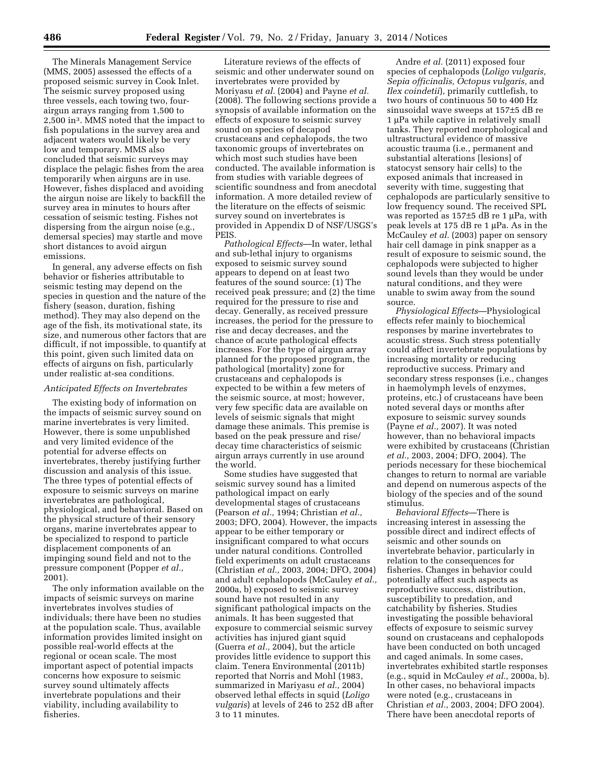The Minerals Management Service (MMS, 2005) assessed the effects of a proposed seismic survey in Cook Inlet. The seismic survey proposed using three vessels, each towing two, fourairgun arrays ranging from 1,500 to 2,500 in3. MMS noted that the impact to fish populations in the survey area and adjacent waters would likely be very low and temporary. MMS also concluded that seismic surveys may displace the pelagic fishes from the area temporarily when airguns are in use. However, fishes displaced and avoiding the airgun noise are likely to backfill the survey area in minutes to hours after cessation of seismic testing. Fishes not dispersing from the airgun noise (e.g., demersal species) may startle and move short distances to avoid airgun emissions.

In general, any adverse effects on fish behavior or fisheries attributable to seismic testing may depend on the species in question and the nature of the fishery (season, duration, fishing method). They may also depend on the age of the fish, its motivational state, its size, and numerous other factors that are difficult, if not impossible, to quantify at this point, given such limited data on effects of airguns on fish, particularly under realistic at-sea conditions.

# *Anticipated Effects on Invertebrates*

The existing body of information on the impacts of seismic survey sound on marine invertebrates is very limited. However, there is some unpublished and very limited evidence of the potential for adverse effects on invertebrates, thereby justifying further discussion and analysis of this issue. The three types of potential effects of exposure to seismic surveys on marine invertebrates are pathological, physiological, and behavioral. Based on the physical structure of their sensory organs, marine invertebrates appear to be specialized to respond to particle displacement components of an impinging sound field and not to the pressure component (Popper *et al.,*  2001).

The only information available on the impacts of seismic surveys on marine invertebrates involves studies of individuals; there have been no studies at the population scale. Thus, available information provides limited insight on possible real-world effects at the regional or ocean scale. The most important aspect of potential impacts concerns how exposure to seismic survey sound ultimately affects invertebrate populations and their viability, including availability to fisheries.

Literature reviews of the effects of seismic and other underwater sound on invertebrates were provided by Moriyasu *et al.* (2004) and Payne *et al.*  (2008). The following sections provide a synopsis of available information on the effects of exposure to seismic survey sound on species of decapod crustaceans and cephalopods, the two taxonomic groups of invertebrates on which most such studies have been conducted. The available information is from studies with variable degrees of scientific soundness and from anecdotal information. A more detailed review of the literature on the effects of seismic survey sound on invertebrates is provided in Appendix D of NSF/USGS's PEIS.

*Pathological Effects*—In water, lethal and sub-lethal injury to organisms exposed to seismic survey sound appears to depend on at least two features of the sound source: (1) The received peak pressure; and (2) the time required for the pressure to rise and decay. Generally, as received pressure increases, the period for the pressure to rise and decay decreases, and the chance of acute pathological effects increases. For the type of airgun array planned for the proposed program, the pathological (mortality) zone for crustaceans and cephalopods is expected to be within a few meters of the seismic source, at most; however, very few specific data are available on levels of seismic signals that might damage these animals. This premise is based on the peak pressure and rise/ decay time characteristics of seismic airgun arrays currently in use around the world.

Some studies have suggested that seismic survey sound has a limited pathological impact on early developmental stages of crustaceans (Pearson *et al.,* 1994; Christian *et al.,*  2003; DFO, 2004). However, the impacts appear to be either temporary or insignificant compared to what occurs under natural conditions. Controlled field experiments on adult crustaceans (Christian *et al.,* 2003, 2004; DFO, 2004) and adult cephalopods (McCauley *et al.,*  2000a, b) exposed to seismic survey sound have not resulted in any significant pathological impacts on the animals. It has been suggested that exposure to commercial seismic survey activities has injured giant squid (Guerra *et al.,* 2004), but the article provides little evidence to support this claim. Tenera Environmental (2011b) reported that Norris and Mohl (1983, summarized in Mariyasu *et al.,* 2004) observed lethal effects in squid (*Loligo vulgaris*) at levels of 246 to 252 dB after 3 to 11 minutes.

Andre *et al.* (2011) exposed four species of cephalopods (*Loligo vulgaris, Sepia officinalis, Octopus vulgaris,* and *Ilex coindetii*), primarily cuttlefish, to two hours of continuous 50 to 400 Hz sinusoidal wave sweeps at 157±5 dB re 1 µPa while captive in relatively small tanks. They reported morphological and ultrastructural evidence of massive acoustic trauma (i.e., permanent and substantial alterations [lesions] of statocyst sensory hair cells) to the exposed animals that increased in severity with time, suggesting that cephalopods are particularly sensitive to low frequency sound. The received SPL was reported as  $157±5$  dB re 1 µPa, with peak levels at  $175$  dB re  $1 \mu$ Pa. As in the McCauley *et al.* (2003) paper on sensory hair cell damage in pink snapper as a result of exposure to seismic sound, the cephalopods were subjected to higher sound levels than they would be under natural conditions, and they were unable to swim away from the sound source.

*Physiological Effects*—Physiological effects refer mainly to biochemical responses by marine invertebrates to acoustic stress. Such stress potentially could affect invertebrate populations by increasing mortality or reducing reproductive success. Primary and secondary stress responses (i.e., changes in haemolymph levels of enzymes, proteins, etc.) of crustaceans have been noted several days or months after exposure to seismic survey sounds (Payne *et al.,* 2007). It was noted however, than no behavioral impacts were exhibited by crustaceans (Christian *et al.,* 2003, 2004; DFO, 2004). The periods necessary for these biochemical changes to return to normal are variable and depend on numerous aspects of the biology of the species and of the sound stimulus.

*Behavioral Effects*—There is increasing interest in assessing the possible direct and indirect effects of seismic and other sounds on invertebrate behavior, particularly in relation to the consequences for fisheries. Changes in behavior could potentially affect such aspects as reproductive success, distribution, susceptibility to predation, and catchability by fisheries. Studies investigating the possible behavioral effects of exposure to seismic survey sound on crustaceans and cephalopods have been conducted on both uncaged and caged animals. In some cases, invertebrates exhibited startle responses (e.g., squid in McCauley *et al.,* 2000a, b). In other cases, no behavioral impacts were noted (e.g., crustaceans in Christian *et al.,* 2003, 2004; DFO 2004). There have been anecdotal reports of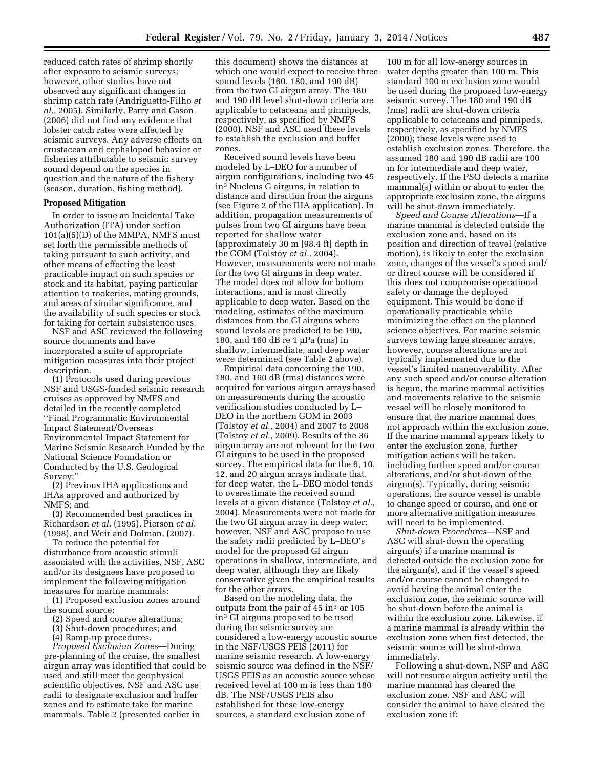reduced catch rates of shrimp shortly after exposure to seismic surveys; however, other studies have not observed any significant changes in shrimp catch rate (Andriguetto-Filho *et al.,* 2005). Similarly, Parry and Gason (2006) did not find any evidence that lobster catch rates were affected by seismic surveys. Any adverse effects on crustacean and cephalopod behavior or fisheries attributable to seismic survey sound depend on the species in question and the nature of the fishery (season, duration, fishing method).

# **Proposed Mitigation**

In order to issue an Incidental Take Authorization (ITA) under section 101(a)(5)(D) of the MMPA, NMFS must set forth the permissible methods of taking pursuant to such activity, and other means of effecting the least practicable impact on such species or stock and its habitat, paying particular attention to rookeries, mating grounds, and areas of similar significance, and the availability of such species or stock for taking for certain subsistence uses.

NSF and ASC reviewed the following source documents and have incorporated a suite of appropriate mitigation measures into their project description.

(1) Protocols used during previous NSF and USGS-funded seismic research cruises as approved by NMFS and detailed in the recently completed ''Final Programmatic Environmental Impact Statement/Overseas Environmental Impact Statement for Marine Seismic Research Funded by the National Science Foundation or Conducted by the U.S. Geological Survey;''

(2) Previous IHA applications and IHAs approved and authorized by NMFS; and

(3) Recommended best practices in Richardson *et al.* (1995), Pierson *et al.*  (1998), and Weir and Dolman, (2007).

To reduce the potential for disturbance from acoustic stimuli associated with the activities, NSF, ASC and/or its designees have proposed to implement the following mitigation measures for marine mammals:

(1) Proposed exclusion zones around the sound source;

(2) Speed and course alterations;

(3) Shut-down procedures; and

(4) Ramp-up procedures.

*Proposed Exclusion Zones*—During pre-planning of the cruise, the smallest airgun array was identified that could be used and still meet the geophysical scientific objectives. NSF and ASC use radii to designate exclusion and buffer zones and to estimate take for marine mammals. Table 2 (presented earlier in

this document) shows the distances at which one would expect to receive three sound levels (160, 180, and 190 dB) from the two GI airgun array. The 180 and 190 dB level shut-down criteria are applicable to cetaceans and pinnipeds, respectively, as specified by NMFS (2000). NSF and ASC used these levels to establish the exclusion and buffer zones.

Received sound levels have been modeled by L–DEO for a number of airgun configurations, including two 45 in3 Nucleus G airguns, in relation to distance and direction from the airguns (see Figure 2 of the IHA application). In addition, propagation measurements of pulses from two GI airguns have been reported for shallow water (approximately 30 m [98.4 ft] depth in the GOM (Tolstoy *et al.,* 2004). However, measurements were not made for the two GI airguns in deep water. The model does not allow for bottom interactions, and is most directly applicable to deep water. Based on the modeling, estimates of the maximum distances from the GI airguns where sound levels are predicted to be 190, 180, and 160 dB re 1  $\mu$ Pa (rms) in shallow, intermediate, and deep water were determined (see Table 2 above).

Empirical data concerning the 190, 180, and 160 dB (rms) distances were acquired for various airgun arrays based on measurements during the acoustic verification studies conducted by L– DEO in the northern GOM in 2003 (Tolstoy *et al.,* 2004) and 2007 to 2008 (Tolstoy *et al.,* 2009). Results of the 36 airgun array are not relevant for the two GI airguns to be used in the proposed survey. The empirical data for the 6, 10, 12, and 20 airgun arrays indicate that, for deep water, the L–DEO model tends to overestimate the received sound levels at a given distance (Tolstoy *et al.,*  2004). Measurements were not made for the two GI airgun array in deep water; however, NSF and ASC propose to use the safety radii predicted by L–DEO's model for the proposed GI airgun operations in shallow, intermediate, and deep water, although they are likely conservative given the empirical results for the other arrays.

Based on the modeling data, the outputs from the pair of 45 in<sup>3</sup> or 105 in3 GI airguns proposed to be used during the seismic survey are considered a low-energy acoustic source in the NSF/USGS PEIS (2011) for marine seismic research. A low-energy seismic source was defined in the NSF/ USGS PEIS as an acoustic source whose received level at 100 m is less than 180 dB. The NSF/USGS PEIS also established for these low-energy sources, a standard exclusion zone of

100 m for all low-energy sources in water depths greater than 100 m. This standard 100 m exclusion zone would be used during the proposed low-energy seismic survey. The 180 and 190 dB (rms) radii are shut-down criteria applicable to cetaceans and pinnipeds, respectively, as specified by NMFS (2000); these levels were used to establish exclusion zones. Therefore, the assumed 180 and 190 dB radii are 100 m for intermediate and deep water, respectively. If the PSO detects a marine mammal(s) within or about to enter the appropriate exclusion zone, the airguns will be shut-down immediately.

*Speed and Course Alterations*—If a marine mammal is detected outside the exclusion zone and, based on its position and direction of travel (relative motion), is likely to enter the exclusion zone, changes of the vessel's speed and/ or direct course will be considered if this does not compromise operational safety or damage the deployed equipment. This would be done if operationally practicable while minimizing the effect on the planned science objectives. For marine seismic surveys towing large streamer arrays, however, course alterations are not typically implemented due to the vessel's limited maneuverability. After any such speed and/or course alteration is begun, the marine mammal activities and movements relative to the seismic vessel will be closely monitored to ensure that the marine mammal does not approach within the exclusion zone. If the marine mammal appears likely to enter the exclusion zone, further mitigation actions will be taken, including further speed and/or course alterations, and/or shut-down of the airgun(s). Typically, during seismic operations, the source vessel is unable to change speed or course, and one or more alternative mitigation measures will need to be implemented.

*Shut-down Procedures*—NSF and ASC will shut-down the operating airgun(s) if a marine mammal is detected outside the exclusion zone for the airgun(s), and if the vessel's speed and/or course cannot be changed to avoid having the animal enter the exclusion zone, the seismic source will be shut-down before the animal is within the exclusion zone. Likewise, if a marine mammal is already within the exclusion zone when first detected, the seismic source will be shut-down immediately.

Following a shut-down, NSF and ASC will not resume airgun activity until the marine mammal has cleared the exclusion zone. NSF and ASC will consider the animal to have cleared the exclusion zone if: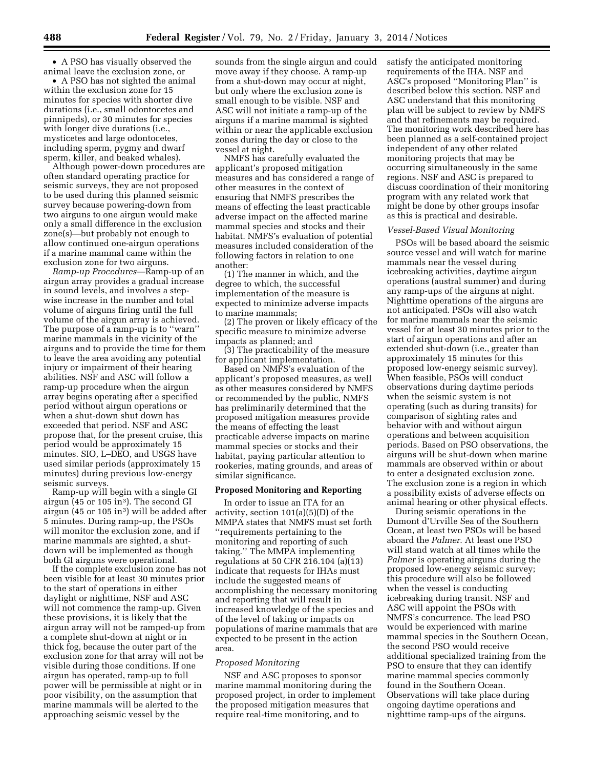• A PSO has visually observed the animal leave the exclusion zone, or

• A PSO has not sighted the animal within the exclusion zone for 15 minutes for species with shorter dive durations (i.e., small odontocetes and pinnipeds), or 30 minutes for species with longer dive durations (i.e., mysticetes and large odontocetes, including sperm, pygmy and dwarf sperm, killer, and beaked whales).

Although power-down procedures are often standard operating practice for seismic surveys, they are not proposed to be used during this planned seismic survey because powering-down from two airguns to one airgun would make only a small difference in the exclusion zone(s)—but probably not enough to allow continued one-airgun operations if a marine mammal came within the exclusion zone for two airguns.

*Ramp-up Procedures*—Ramp-up of an airgun array provides a gradual increase in sound levels, and involves a stepwise increase in the number and total volume of airguns firing until the full volume of the airgun array is achieved. The purpose of a ramp-up is to ''warn'' marine mammals in the vicinity of the airguns and to provide the time for them to leave the area avoiding any potential injury or impairment of their hearing abilities. NSF and ASC will follow a ramp-up procedure when the airgun array begins operating after a specified period without airgun operations or when a shut-down shut down has exceeded that period. NSF and ASC propose that, for the present cruise, this period would be approximately 15 minutes. SIO, L–DEO, and USGS have used similar periods (approximately 15 minutes) during previous low-energy seismic surveys.

Ramp-up will begin with a single GI airgun (45 or 105 in<sup>3</sup>). The second GI airgun (45 or 105 in3) will be added after 5 minutes. During ramp-up, the PSOs will monitor the exclusion zone, and if marine mammals are sighted, a shutdown will be implemented as though both GI airguns were operational.

If the complete exclusion zone has not been visible for at least 30 minutes prior to the start of operations in either daylight or nighttime, NSF and ASC will not commence the ramp-up. Given these provisions, it is likely that the airgun array will not be ramped-up from a complete shut-down at night or in thick fog, because the outer part of the exclusion zone for that array will not be visible during those conditions. If one airgun has operated, ramp-up to full power will be permissible at night or in poor visibility, on the assumption that marine mammals will be alerted to the approaching seismic vessel by the

sounds from the single airgun and could move away if they choose. A ramp-up from a shut-down may occur at night, but only where the exclusion zone is small enough to be visible. NSF and ASC will not initiate a ramp-up of the airguns if a marine mammal is sighted within or near the applicable exclusion zones during the day or close to the vessel at night.

NMFS has carefully evaluated the applicant's proposed mitigation measures and has considered a range of other measures in the context of ensuring that NMFS prescribes the means of effecting the least practicable adverse impact on the affected marine mammal species and stocks and their habitat. NMFS's evaluation of potential measures included consideration of the following factors in relation to one another:

(1) The manner in which, and the degree to which, the successful implementation of the measure is expected to minimize adverse impacts to marine mammals;

(2) The proven or likely efficacy of the specific measure to minimize adverse impacts as planned; and

(3) The practicability of the measure for applicant implementation.

Based on NMFS's evaluation of the applicant's proposed measures, as well as other measures considered by NMFS or recommended by the public, NMFS has preliminarily determined that the proposed mitigation measures provide the means of effecting the least practicable adverse impacts on marine mammal species or stocks and their habitat, paying particular attention to rookeries, mating grounds, and areas of similar significance.

# **Proposed Monitoring and Reporting**

In order to issue an ITA for an activity, section 101(a)(5)(D) of the MMPA states that NMFS must set forth ''requirements pertaining to the monitoring and reporting of such taking.'' The MMPA implementing regulations at 50 CFR 216.104 (a)(13) indicate that requests for IHAs must include the suggested means of accomplishing the necessary monitoring and reporting that will result in increased knowledge of the species and of the level of taking or impacts on populations of marine mammals that are expected to be present in the action area.

#### *Proposed Monitoring*

NSF and ASC proposes to sponsor marine mammal monitoring during the proposed project, in order to implement the proposed mitigation measures that require real-time monitoring, and to

satisfy the anticipated monitoring requirements of the IHA. NSF and ASC's proposed ''Monitoring Plan'' is described below this section. NSF and ASC understand that this monitoring plan will be subject to review by NMFS and that refinements may be required. The monitoring work described here has been planned as a self-contained project independent of any other related monitoring projects that may be occurring simultaneously in the same regions. NSF and ASC is prepared to discuss coordination of their monitoring program with any related work that might be done by other groups insofar as this is practical and desirable.

#### *Vessel-Based Visual Monitoring*

PSOs will be based aboard the seismic source vessel and will watch for marine mammals near the vessel during icebreaking activities, daytime airgun operations (austral summer) and during any ramp-ups of the airguns at night. Nighttime operations of the airguns are not anticipated. PSOs will also watch for marine mammals near the seismic vessel for at least 30 minutes prior to the start of airgun operations and after an extended shut-down (i.e., greater than approximately 15 minutes for this proposed low-energy seismic survey). When feasible, PSOs will conduct observations during daytime periods when the seismic system is not operating (such as during transits) for comparison of sighting rates and behavior with and without airgun operations and between acquisition periods. Based on PSO observations, the airguns will be shut-down when marine mammals are observed within or about to enter a designated exclusion zone. The exclusion zone is a region in which a possibility exists of adverse effects on animal hearing or other physical effects.

During seismic operations in the Dumont d'Urville Sea of the Southern Ocean, at least two PSOs will be based aboard the *Palmer.* At least one PSO will stand watch at all times while the *Palmer* is operating airguns during the proposed low-energy seismic survey; this procedure will also be followed when the vessel is conducting icebreaking during transit. NSF and ASC will appoint the PSOs with NMFS's concurrence. The lead PSO would be experienced with marine mammal species in the Southern Ocean, the second PSO would receive additional specialized training from the PSO to ensure that they can identify marine mammal species commonly found in the Southern Ocean. Observations will take place during ongoing daytime operations and nighttime ramp-ups of the airguns.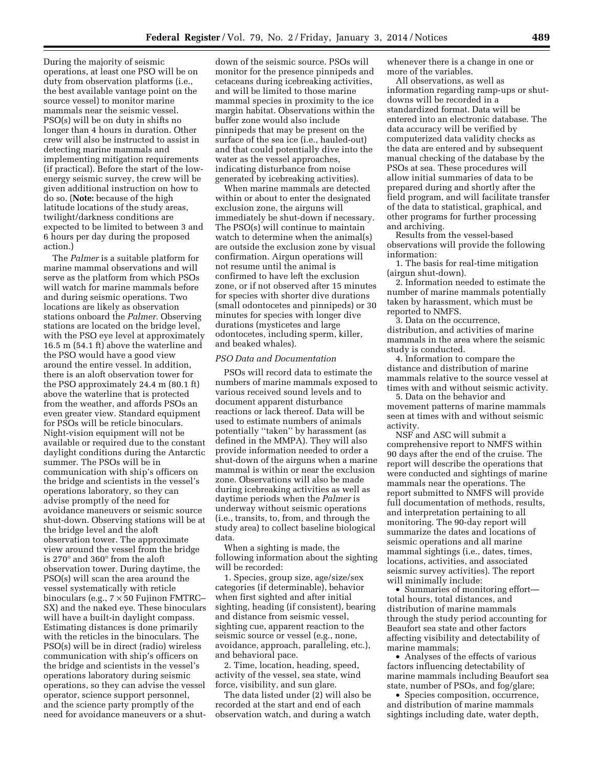During the majority of seismic operations, at least one PSO will be on duty from observation platforms (i.e., the best available vantage point on the source vessel) to monitor marine mammals near the seismic vessel. PSO(s) will be on duty in shifts no longer than 4 hours in duration. Other crew will also be instructed to assist in detecting marine mammals and implementing mitigation requirements (if practical). Before the start of the lowenergy seismic survey, the crew will be given additional instruction on how to do so. (**Note:** because of the high latitude locations of the study areas, twilight/darkness conditions are expected to be limited to between 3 and 6 hours per day during the proposed action.)

The *Palmer* is a suitable platform for marine mammal observations and will serve as the platform from which PSOs will watch for marine mammals before and during seismic operations. Two locations are likely as observation stations onboard the *Palmer.* Observing stations are located on the bridge level, with the PSO eye level at approximately 16.5 m (54.1 ft) above the waterline and the PSO would have a good view around the entire vessel. In addition, there is an aloft observation tower for the PSO approximately 24.4 m (80.1 ft) above the waterline that is protected from the weather, and affords PSOs an even greater view. Standard equipment for PSOs will be reticle binoculars. Night-vision equipment will not be available or required due to the constant daylight conditions during the Antarctic summer. The PSOs will be in communication with ship's officers on the bridge and scientists in the vessel's operations laboratory, so they can advise promptly of the need for avoidance maneuvers or seismic source shut-down. Observing stations will be at the bridge level and the aloft observation tower. The approximate view around the vessel from the bridge is 270° and 360° from the aloft observation tower. During daytime, the PSO(s) will scan the area around the vessel systematically with reticle binoculars (e.g., 7 × 50 Fujinon FMTRC– SX) and the naked eye. These binoculars will have a built-in daylight compass. Estimating distances is done primarily with the reticles in the binoculars. The PSO(s) will be in direct (radio) wireless communication with ship's officers on the bridge and scientists in the vessel's operations laboratory during seismic operations, so they can advise the vessel operator, science support personnel, and the science party promptly of the need for avoidance maneuvers or a shut-

down of the seismic source. PSOs will monitor for the presence pinnipeds and cetaceans during icebreaking activities, and will be limited to those marine mammal species in proximity to the ice margin habitat. Observations within the buffer zone would also include pinnipeds that may be present on the surface of the sea ice (i.e., hauled-out) and that could potentially dive into the water as the vessel approaches, indicating disturbance from noise generated by icebreaking activities).

When marine mammals are detected within or about to enter the designated exclusion zone, the airguns will immediately be shut-down if necessary. The PSO(s) will continue to maintain watch to determine when the animal(s) are outside the exclusion zone by visual confirmation. Airgun operations will not resume until the animal is confirmed to have left the exclusion zone, or if not observed after 15 minutes for species with shorter dive durations (small odontocetes and pinnipeds) or 30 minutes for species with longer dive durations (mysticetes and large odontocetes, including sperm, killer, and beaked whales).

#### *PSO Data and Documentation*

PSOs will record data to estimate the numbers of marine mammals exposed to various received sound levels and to document apparent disturbance reactions or lack thereof. Data will be used to estimate numbers of animals potentially ''taken'' by harassment (as defined in the MMPA). They will also provide information needed to order a shut-down of the airguns when a marine mammal is within or near the exclusion zone. Observations will also be made during icebreaking activities as well as daytime periods when the *Palmer* is underway without seismic operations (i.e., transits, to, from, and through the study area) to collect baseline biological data.

When a sighting is made, the following information about the sighting will be recorded:

1. Species, group size, age/size/sex categories (if determinable), behavior when first sighted and after initial sighting, heading (if consistent), bearing and distance from seismic vessel, sighting cue, apparent reaction to the seismic source or vessel (e.g., none, avoidance, approach, paralleling, etc.), and behavioral pace.

2. Time, location, heading, speed, activity of the vessel, sea state, wind force, visibility, and sun glare.

The data listed under (2) will also be recorded at the start and end of each observation watch, and during a watch

whenever there is a change in one or more of the variables.

All observations, as well as information regarding ramp-ups or shutdowns will be recorded in a standardized format. Data will be entered into an electronic database. The data accuracy will be verified by computerized data validity checks as the data are entered and by subsequent manual checking of the database by the PSOs at sea. These procedures will allow initial summaries of data to be prepared during and shortly after the field program, and will facilitate transfer of the data to statistical, graphical, and other programs for further processing and archiving.

Results from the vessel-based observations will provide the following information:

1. The basis for real-time mitigation (airgun shut-down).

2. Information needed to estimate the number of marine mammals potentially taken by harassment, which must be reported to NMFS.

3. Data on the occurrence, distribution, and activities of marine mammals in the area where the seismic study is conducted.

4. Information to compare the distance and distribution of marine mammals relative to the source vessel at times with and without seismic activity.

5. Data on the behavior and movement patterns of marine mammals seen at times with and without seismic activity.

NSF and ASC will submit a comprehensive report to NMFS within 90 days after the end of the cruise. The report will describe the operations that were conducted and sightings of marine mammals near the operations. The report submitted to NMFS will provide full documentation of methods, results, and interpretation pertaining to all monitoring. The 90-day report will summarize the dates and locations of seismic operations and all marine mammal sightings (i.e., dates, times, locations, activities, and associated seismic survey activities). The report will minimally include:

• Summaries of monitoring effort total hours, total distances, and distribution of marine mammals through the study period accounting for Beaufort sea state and other factors affecting visibility and detectability of marine mammals;

• Analyses of the effects of various factors influencing detectability of marine mammals including Beaufort sea state, number of PSOs, and fog/glare;

• Species composition, occurrence, and distribution of marine mammals sightings including date, water depth,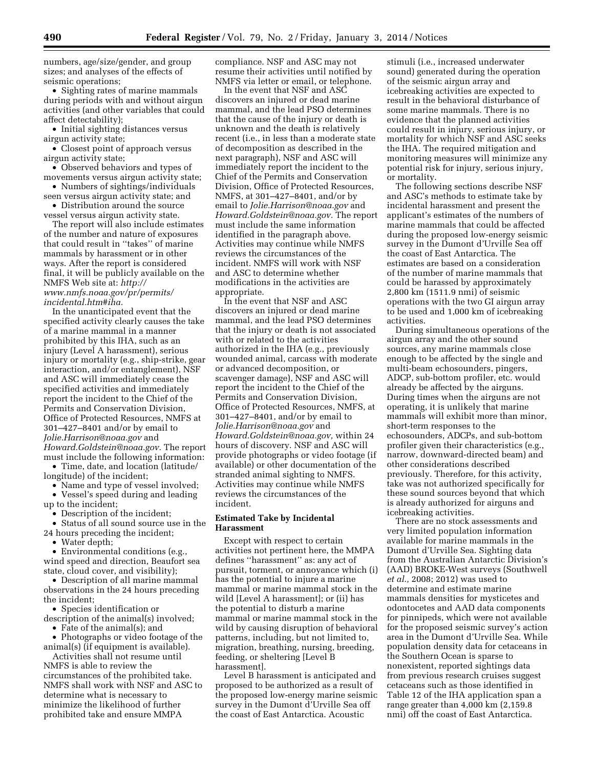numbers, age/size/gender, and group sizes; and analyses of the effects of seismic operations;

• Sighting rates of marine mammals during periods with and without airgun activities (and other variables that could affect detectability);

• Initial sighting distances versus airgun activity state;

• Closest point of approach versus airgun activity state;

• Observed behaviors and types of movements versus airgun activity state;

• Numbers of sightings/individuals seen versus airgun activity state; and

• Distribution around the source vessel versus airgun activity state.

The report will also include estimates of the number and nature of exposures that could result in ''takes'' of marine mammals by harassment or in other ways. After the report is considered final, it will be publicly available on the NMFS Web site at: *[http://](http://www.nmfs.noaa.gov/pr/permits/incidental.htm#iha) [www.nmfs.noaa.gov/pr/permits/](http://www.nmfs.noaa.gov/pr/permits/incidental.htm#iha) [incidental.htm#iha.](http://www.nmfs.noaa.gov/pr/permits/incidental.htm#iha)* 

In the unanticipated event that the specified activity clearly causes the take of a marine mammal in a manner prohibited by this IHA, such as an injury (Level A harassment), serious injury or mortality (e.g., ship-strike, gear interaction, and/or entanglement), NSF and ASC will immediately cease the specified activities and immediately report the incident to the Chief of the Permits and Conservation Division, Office of Protected Resources, NMFS at 301–427–8401 and/or by email to *[Jolie.Harrison@noaa.gov](mailto:Jolie.Harrison@noaa.gov)* and *[Howard.Goldstein@noaa.gov.](mailto:Howard.Goldstein@noaa.gov)* The report must include the following information:

• Time, date, and location (latitude/ longitude) of the incident;

• Name and type of vessel involved; • Vessel's speed during and leading up to the incident;

• Description of the incident;

• Status of all sound source use in the 24 hours preceding the incident;

• Water depth;

• Environmental conditions (e.g., wind speed and direction, Beaufort sea state, cloud cover, and visibility);

• Description of all marine mammal observations in the 24 hours preceding the incident;

• Species identification or

description of the animal(s) involved; • Fate of the animal(s); and

• Photographs or video footage of the animal(s) (if equipment is available).

Activities shall not resume until NMFS is able to review the circumstances of the prohibited take. NMFS shall work with NSF and ASC to determine what is necessary to minimize the likelihood of further prohibited take and ensure MMPA

compliance. NSF and ASC may not resume their activities until notified by NMFS via letter or email, or telephone.

In the event that NSF and ASC discovers an injured or dead marine mammal, and the lead PSO determines that the cause of the injury or death is unknown and the death is relatively recent (i.e., in less than a moderate state of decomposition as described in the next paragraph), NSF and ASC will immediately report the incident to the Chief of the Permits and Conservation Division, Office of Protected Resources, NMFS, at 301–427–8401, and/or by email to *[Jolie.Harrison@noaa.gov](mailto:Jolie.Harrison@noaa.gov)* and *[Howard.Goldstein@noaa.gov.](mailto:Howard.Goldstein@noaa.gov)* The report must include the same information identified in the paragraph above. Activities may continue while NMFS reviews the circumstances of the incident. NMFS will work with NSF and ASC to determine whether modifications in the activities are appropriate.

In the event that NSF and ASC discovers an injured or dead marine mammal, and the lead PSO determines that the injury or death is not associated with or related to the activities authorized in the IHA (e.g., previously wounded animal, carcass with moderate or advanced decomposition, or scavenger damage), NSF and ASC will report the incident to the Chief of the Permits and Conservation Division, Office of Protected Resources, NMFS, at 301–427–8401, and/or by email to *[Jolie.Harrison@noaa.gov](mailto:Jolie.Harrison@noaa.gov)* and *[Howard.Goldstein@noaa.gov,](mailto:Howard.Goldstein@noaa.gov)* within 24 hours of discovery. NSF and ASC will provide photographs or video footage (if available) or other documentation of the stranded animal sighting to NMFS. Activities may continue while NMFS reviews the circumstances of the incident.

# **Estimated Take by Incidental Harassment**

Except with respect to certain activities not pertinent here, the MMPA defines ''harassment'' as: any act of pursuit, torment, or annoyance which (i) has the potential to injure a marine mammal or marine mammal stock in the wild [Level A harassment]; or (ii) has the potential to disturb a marine mammal or marine mammal stock in the wild by causing disruption of behavioral patterns, including, but not limited to, migration, breathing, nursing, breeding, feeding, or sheltering [Level B harassment].

Level B harassment is anticipated and proposed to be authorized as a result of the proposed low-energy marine seismic survey in the Dumont d'Urville Sea off the coast of East Antarctica. Acoustic

stimuli (i.e., increased underwater sound) generated during the operation of the seismic airgun array and icebreaking activities are expected to result in the behavioral disturbance of some marine mammals. There is no evidence that the planned activities could result in injury, serious injury, or mortality for which NSF and ASC seeks the IHA. The required mitigation and monitoring measures will minimize any potential risk for injury, serious injury, or mortality.

The following sections describe NSF and ASC's methods to estimate take by incidental harassment and present the applicant's estimates of the numbers of marine mammals that could be affected during the proposed low-energy seismic survey in the Dumont d'Urville Sea off the coast of East Antarctica. The estimates are based on a consideration of the number of marine mammals that could be harassed by approximately 2,800 km (1511.9 nmi) of seismic operations with the two GI airgun array to be used and 1,000 km of icebreaking activities.

During simultaneous operations of the airgun array and the other sound sources, any marine mammals close enough to be affected by the single and multi-beam echosounders, pingers, ADCP, sub-bottom profiler, etc. would already be affected by the airguns. During times when the airguns are not operating, it is unlikely that marine mammals will exhibit more than minor, short-term responses to the echosounders, ADCPs, and sub-bottom profiler given their characteristics (e.g., narrow, downward-directed beam) and other considerations described previously. Therefore, for this activity, take was not authorized specifically for these sound sources beyond that which is already authorized for airguns and icebreaking activities.

There are no stock assessments and very limited population information available for marine mammals in the Dumont d'Urville Sea. Sighting data from the Australian Antarctic Division's (AAD) BROKE-West surveys (Southwell *et al.,* 2008; 2012) was used to determine and estimate marine mammals densities for mysticetes and odontocetes and AAD data components for pinnipeds, which were not available for the proposed seismic survey's action area in the Dumont d'Urville Sea. While population density data for cetaceans in the Southern Ocean is sparse to nonexistent, reported sightings data from previous research cruises suggest cetaceans such as those identified in Table 12 of the IHA application span a range greater than 4,000 km (2,159.8 nmi) off the coast of East Antarctica.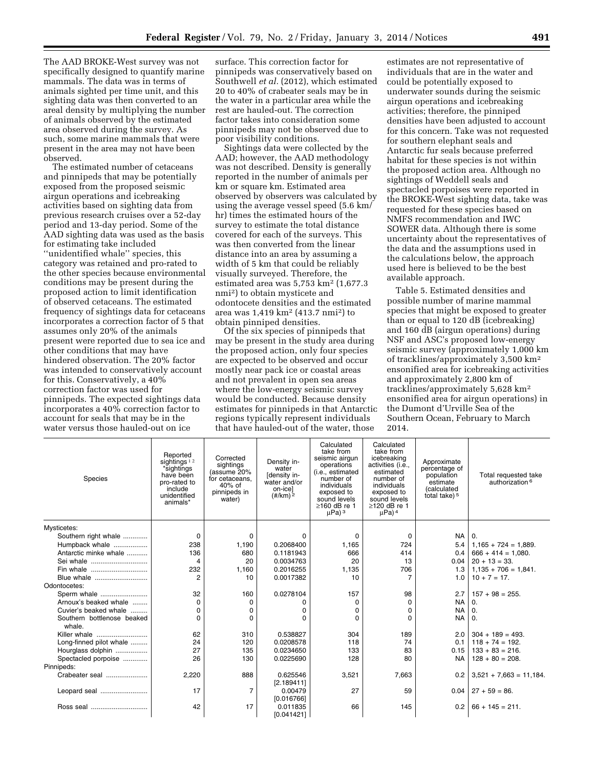The AAD BROKE-West survey was not specifically designed to quantify marine mammals. The data was in terms of animals sighted per time unit, and this sighting data was then converted to an areal density by multiplying the number of animals observed by the estimated area observed during the survey. As such, some marine mammals that were present in the area may not have been observed.

The estimated number of cetaceans and pinnipeds that may be potentially exposed from the proposed seismic airgun operations and icebreaking activities based on sighting data from previous research cruises over a 52-day period and 13-day period. Some of the AAD sighting data was used as the basis for estimating take included ''unidentified whale'' species, this category was retained and pro-rated to the other species because environmental conditions may be present during the proposed action to limit identification of observed cetaceans. The estimated frequency of sightings data for cetaceans incorporates a correction factor of 5 that assumes only 20% of the animals present were reported due to sea ice and other conditions that may have hindered observation. The 20% factor was intended to conservatively account for this. Conservatively, a 40% correction factor was used for pinnipeds. The expected sightings data incorporates a 40% correction factor to account for seals that may be in the water versus those hauled-out on ice

surface. This correction factor for pinnipeds was conservatively based on Southwell *et al.* (2012), which estimated 20 to 40% of crabeater seals may be in the water in a particular area while the rest are hauled-out. The correction factor takes into consideration some pinnipeds may not be observed due to poor visibility conditions.

Sightings data were collected by the AAD; however, the AAD methodology was not described. Density is generally reported in the number of animals per km or square km. Estimated area observed by observers was calculated by using the average vessel speed (5.6 km/ hr) times the estimated hours of the survey to estimate the total distance covered for each of the surveys. This was then converted from the linear distance into an area by assuming a width of 5 km that could be reliably visually surveyed. Therefore, the estimated area was  $5,753 \text{ km}^2$  (1,677.3) nmi2) to obtain mysticete and odontocete densities and the estimated area was 1,419 km2 (413.7 nmi2) to obtain pinniped densities.

Of the six species of pinnipeds that may be present in the study area during the proposed action, only four species are expected to be observed and occur mostly near pack ice or coastal areas and not prevalent in open sea areas where the low-energy seismic survey would be conducted. Because density estimates for pinnipeds in that Antarctic regions typically represent individuals that have hauled-out of the water, those

estimates are not representative of individuals that are in the water and could be potentially exposed to underwater sounds during the seismic airgun operations and icebreaking activities; therefore, the pinniped densities have been adjusted to account for this concern. Take was not requested for southern elephant seals and Antarctic fur seals because preferred habitat for these species is not within the proposed action area. Although no sightings of Weddell seals and spectacled porpoises were reported in the BROKE-West sighting data, take was requested for these species based on NMFS recommendation and IWC SOWER data. Although there is some uncertainty about the representatives of the data and the assumptions used in the calculations below, the approach used here is believed to be the best available approach.

Table 5. Estimated densities and possible number of marine mammal species that might be exposed to greater than or equal to 120 dB (icebreaking) and 160 dB (airgun operations) during NSF and ASC's proposed low-energy seismic survey (approximately 1,000 km of tracklines/approximately 3,500 km2 ensonified area for icebreaking activities and approximately 2,800 km of tracklines/approximately 5,628 km2 ensonified area for airgun operations) in the Dumont d'Urville Sea of the Southern Ocean, February to March 2014.

| Species                              | Reported<br>sightings <sup>12</sup><br>*sightings<br>have been<br>pro-rated to<br>include<br>unidentified<br>animals* | Corrected<br>sightings<br>(assume 20%<br>for cetaceans,<br>$40%$ of<br>pinnipeds in<br>water) | Density in-<br>water<br>[density in-<br>water and/or<br>on-icel<br>$(\frac{\#}{km})^2$ | Calculated<br>take from<br>seismic airgun<br>operations<br>(i.e., estimated<br>number of<br>individuals<br>exposed to<br>sound levels<br>$\geq$ 160 dB re 1<br>$\mu$ Pa) <sup>3</sup> | Calculated<br>take from<br>icebreaking<br>activities (i.e.,<br>estimated<br>number of<br>individuals<br>exposed to<br>sound levels<br>$\geq$ 120 dB re 1<br>$\mu$ Pa) <sup>4</sup> | Approximate<br>percentage of<br>population<br>estimate<br><i>(calculated)</i><br>total take) <sup>5</sup> | Total requested take<br>authorization <sup>6</sup> |
|--------------------------------------|-----------------------------------------------------------------------------------------------------------------------|-----------------------------------------------------------------------------------------------|----------------------------------------------------------------------------------------|---------------------------------------------------------------------------------------------------------------------------------------------------------------------------------------|------------------------------------------------------------------------------------------------------------------------------------------------------------------------------------|-----------------------------------------------------------------------------------------------------------|----------------------------------------------------|
| Mysticetes:                          |                                                                                                                       |                                                                                               |                                                                                        |                                                                                                                                                                                       |                                                                                                                                                                                    |                                                                                                           |                                                    |
| Southern right whale                 | 0                                                                                                                     | 0                                                                                             | $\Omega$                                                                               | 0                                                                                                                                                                                     | 0                                                                                                                                                                                  | <b>NA</b>                                                                                                 | $\Omega$ .                                         |
| Humpback whale                       | 238                                                                                                                   | 1,190                                                                                         | 0.2068400                                                                              | 1.165                                                                                                                                                                                 | 724                                                                                                                                                                                | 5.4                                                                                                       | $1,165 + 724 = 1,889.$                             |
| Antarctic minke whale                | 136                                                                                                                   | 680                                                                                           | 0.1181943                                                                              | 666                                                                                                                                                                                   | 414                                                                                                                                                                                | 0.4                                                                                                       | $666 + 414 = 1,080.$                               |
| Sei whale                            | 4                                                                                                                     | 20                                                                                            | 0.0034763                                                                              | 20                                                                                                                                                                                    | 13                                                                                                                                                                                 | 0.04                                                                                                      | $20 + 13 = 33.$                                    |
| Fin whale                            | 232                                                                                                                   | 1,160                                                                                         | 0.2016255                                                                              | 1,135                                                                                                                                                                                 | 706                                                                                                                                                                                | 1.3                                                                                                       | $1,135 + 706 = 1,841.$                             |
| Blue whale                           | $\overline{2}$                                                                                                        | 10                                                                                            | 0.0017382                                                                              | 10                                                                                                                                                                                    | $\overline{7}$                                                                                                                                                                     | 1.0                                                                                                       | $10 + 7 = 17$ .                                    |
| Odontocetes:                         |                                                                                                                       |                                                                                               |                                                                                        |                                                                                                                                                                                       |                                                                                                                                                                                    |                                                                                                           |                                                    |
| Sperm whale                          | 32                                                                                                                    | 160                                                                                           | 0.0278104                                                                              | 157                                                                                                                                                                                   | 98                                                                                                                                                                                 | 2.7                                                                                                       | $157 + 98 = 255$ .                                 |
| Arnoux's beaked whale                | 0                                                                                                                     | $\Omega$                                                                                      | 0                                                                                      | 0                                                                                                                                                                                     | $\Omega$                                                                                                                                                                           | <b>NA</b>                                                                                                 | 0.                                                 |
| Cuvier's beaked whale                | 0                                                                                                                     | 0                                                                                             | 0                                                                                      | 0                                                                                                                                                                                     | $\Omega$                                                                                                                                                                           | <b>NA</b>                                                                                                 | $\Omega$ .                                         |
| Southern bottlenose beaked<br>whale. | $\Omega$                                                                                                              | $\Omega$                                                                                      | 0                                                                                      | $\Omega$                                                                                                                                                                              | $\Omega$                                                                                                                                                                           | <b>NA</b>                                                                                                 | $\Omega$ .                                         |
| Killer whale                         | 62                                                                                                                    | 310                                                                                           | 0.538827                                                                               | 304                                                                                                                                                                                   | 189                                                                                                                                                                                | 2.0                                                                                                       | $304 + 189 = 493.$                                 |
| Long-finned pilot whale              | 24                                                                                                                    | 120                                                                                           | 0.0208578                                                                              | 118                                                                                                                                                                                   | 74                                                                                                                                                                                 | 0.1                                                                                                       | $118 + 74 = 192.$                                  |
| Hourglass dolphin                    | 27                                                                                                                    | 135                                                                                           | 0.0234650                                                                              | 133                                                                                                                                                                                   | 83                                                                                                                                                                                 | 0.15                                                                                                      | $133 + 83 = 216$ .                                 |
| Spectacled porpoise                  | 26                                                                                                                    | 130                                                                                           | 0.0225690                                                                              | 128                                                                                                                                                                                   | 80                                                                                                                                                                                 | <b>NA</b>                                                                                                 | $128 + 80 = 208$ .                                 |
| Pinnipeds:                           |                                                                                                                       |                                                                                               |                                                                                        |                                                                                                                                                                                       |                                                                                                                                                                                    |                                                                                                           |                                                    |
| Crabeater seal                       | 2,220                                                                                                                 | 888                                                                                           | 0.625546<br>[2.189411]                                                                 | 3,521                                                                                                                                                                                 | 7,663                                                                                                                                                                              | 0.2                                                                                                       | $3,521 + 7,663 = 11,184$ .                         |
| Leopard seal                         | 17                                                                                                                    | 7                                                                                             | 0.00479<br>[0.016766]                                                                  | 27                                                                                                                                                                                    | 59                                                                                                                                                                                 | 0.04                                                                                                      | $27 + 59 = 86.$                                    |
| Ross seal                            | 42                                                                                                                    | 17                                                                                            | 0.011835<br>[0.041421]                                                                 | 66                                                                                                                                                                                    | 145                                                                                                                                                                                | 0.2                                                                                                       | $66 + 145 = 211.$                                  |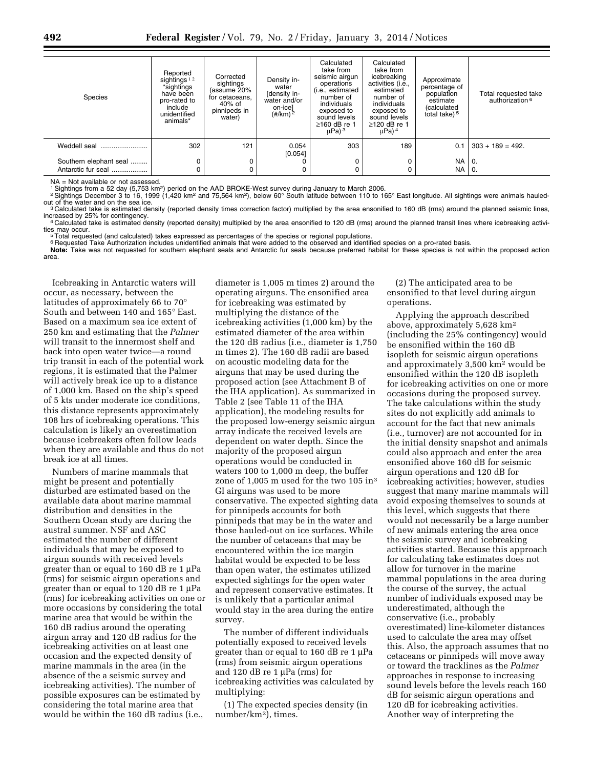| <b>Species</b>         | Reported<br>sightings $12$<br>*sightings<br>have been<br>pro-rated to<br>include<br>unidentified<br>animals* | Corrected<br>sightings<br>assume 20%<br>for cetaceans,<br>40% of<br>pinnipeds in<br>water) | Density in-<br>water<br>[density in-<br>water and/or<br>on-icel<br>$(\frac{\#}{km})^2$ | Calculated<br>take from<br>seismic airgun<br>operations<br>(i.e., estimated<br>number of<br>individuals<br>exposed to<br>sound levels<br>$>160$ dB re $\cdot$<br>$\mu$ Pa) <sup>3</sup> | Calculated<br>take from<br>icebreaking<br>activities (i.e.,<br>estimated<br>number of<br>individuals<br>exposed to<br>sound levels<br>$\geq$ 120 dB re 1<br>$\mu$ Pa) <sup>4</sup> | Approximate<br>percentage of<br>population<br>estimate<br>(calculated<br>total take) <sup>5</sup> | Total requested take<br>authorization <sup>6</sup> |
|------------------------|--------------------------------------------------------------------------------------------------------------|--------------------------------------------------------------------------------------------|----------------------------------------------------------------------------------------|-----------------------------------------------------------------------------------------------------------------------------------------------------------------------------------------|------------------------------------------------------------------------------------------------------------------------------------------------------------------------------------|---------------------------------------------------------------------------------------------------|----------------------------------------------------|
| Weddell seal           | 302                                                                                                          | 121                                                                                        | 0.054<br>[0.054]                                                                       | 303                                                                                                                                                                                     | 189                                                                                                                                                                                | 0.1                                                                                               | $303 + 189 = 492$ .                                |
| Southern elephant seal | 0                                                                                                            |                                                                                            |                                                                                        | 0                                                                                                                                                                                       | 0                                                                                                                                                                                  | <b>NA</b>                                                                                         | 0.                                                 |
| Antarctic fur seal     | 0                                                                                                            |                                                                                            |                                                                                        | C                                                                                                                                                                                       | 0                                                                                                                                                                                  | <b>NA</b>                                                                                         | 0.                                                 |

NA = Not available or not assessed.

<sup>1</sup> Sightings from a 52 day (5,753 km<sup>2</sup>) period on the AAD BROKE-West survey during January to March 2006.<br><sup>2</sup> Sightings December 3 to 16, 1999 (1,420 km<sup>2</sup> and 75,564 km<sup>2</sup>), below 60° South latitude between 110 to 165°

<sup>3</sup> Calculated take is estimated density (reported density times correction factor) multiplied by the area ensonified to 160 dB (rms) around the planned seismic lines,<br>increased by 25% for contingency.

<sup>14</sup> Calculated take is estimated density (reported density) multiplied by the area ensonified to 120 dB (rms) around the planned transit lines where icebreaking activi-<br>ties may occur. Total requested (and calculated) takes expressed as percentages of the species or regional populations.

<sup>6</sup> Requested Take Authorization includes unidentified animals that were added to the observed and identified species on a pro-rated basis.

**Note:** Take was not requested for southern elephant seals and Antarctic fur seals because preferred habitat for these species is not within the proposed action area.

Icebreaking in Antarctic waters will occur, as necessary, between the latitudes of approximately 66 to 70° South and between 140 and 165° East. Based on a maximum sea ice extent of 250 km and estimating that the *Palmer*  will transit to the innermost shelf and back into open water twice—a round trip transit in each of the potential work regions, it is estimated that the Palmer will actively break ice up to a distance of 1,000 km. Based on the ship's speed of 5 kts under moderate ice conditions, this distance represents approximately 108 hrs of icebreaking operations. This calculation is likely an overestimation because icebreakers often follow leads when they are available and thus do not break ice at all times.

Numbers of marine mammals that might be present and potentially disturbed are estimated based on the available data about marine mammal distribution and densities in the Southern Ocean study are during the austral summer. NSF and ASC estimated the number of different individuals that may be exposed to airgun sounds with received levels greater than or equal to  $160$  dB re  $1 \mu$ Pa (rms) for seismic airgun operations and greater than or equal to  $120$  dB re  $1 \mu$ Pa (rms) for icebreaking activities on one or more occasions by considering the total marine area that would be within the 160 dB radius around the operating airgun array and 120 dB radius for the icebreaking activities on at least one occasion and the expected density of marine mammals in the area (in the absence of the a seismic survey and icebreaking activities). The number of possible exposures can be estimated by considering the total marine area that would be within the 160 dB radius (i.e.,

diameter is 1,005 m times 2) around the operating airguns. The ensonified area for icebreaking was estimated by multiplying the distance of the icebreaking activities (1,000 km) by the estimated diameter of the area within the 120 dB radius (i.e., diameter is 1,750 m times 2). The 160 dB radii are based on acoustic modeling data for the airguns that may be used during the proposed action (see Attachment B of the IHA application). As summarized in Table 2 (see Table 11 of the IHA application), the modeling results for the proposed low-energy seismic airgun array indicate the received levels are dependent on water depth. Since the majority of the proposed airgun operations would be conducted in waters 100 to 1,000 m deep, the buffer zone of 1,005 m used for the two 105 in<sup>3</sup> GI airguns was used to be more conservative. The expected sighting data for pinnipeds accounts for both pinnipeds that may be in the water and those hauled-out on ice surfaces. While the number of cetaceans that may be encountered within the ice margin habitat would be expected to be less than open water, the estimates utilized expected sightings for the open water and represent conservative estimates. It is unlikely that a particular animal would stay in the area during the entire survey.

The number of different individuals potentially exposed to received levels greater than or equal to  $160$  dB re  $1 \mu$ Pa (rms) from seismic airgun operations and 120 dB re 1  $\mu$ Pa (rms) for icebreaking activities was calculated by multiplying:

(1) The expected species density (in number/km2), times.

(2) The anticipated area to be ensonified to that level during airgun operations.

Applying the approach described above, approximately 5,628 km2 (including the 25% contingency) would be ensonified within the 160 dB isopleth for seismic airgun operations and approximately 3,500 km2 would be ensonified within the 120 dB isopleth for icebreaking activities on one or more occasions during the proposed survey. The take calculations within the study sites do not explicitly add animals to account for the fact that new animals (i.e., turnover) are not accounted for in the initial density snapshot and animals could also approach and enter the area ensonified above 160 dB for seismic airgun operations and 120 dB for icebreaking activities; however, studies suggest that many marine mammals will avoid exposing themselves to sounds at this level, which suggests that there would not necessarily be a large number of new animals entering the area once the seismic survey and icebreaking activities started. Because this approach for calculating take estimates does not allow for turnover in the marine mammal populations in the area during the course of the survey, the actual number of individuals exposed may be underestimated, although the conservative (i.e., probably overestimated) line-kilometer distances used to calculate the area may offset this. Also, the approach assumes that no cetaceans or pinnipeds will move away or toward the tracklines as the *Palmer*  approaches in response to increasing sound levels before the levels reach 160 dB for seismic airgun operations and 120 dB for icebreaking activities. Another way of interpreting the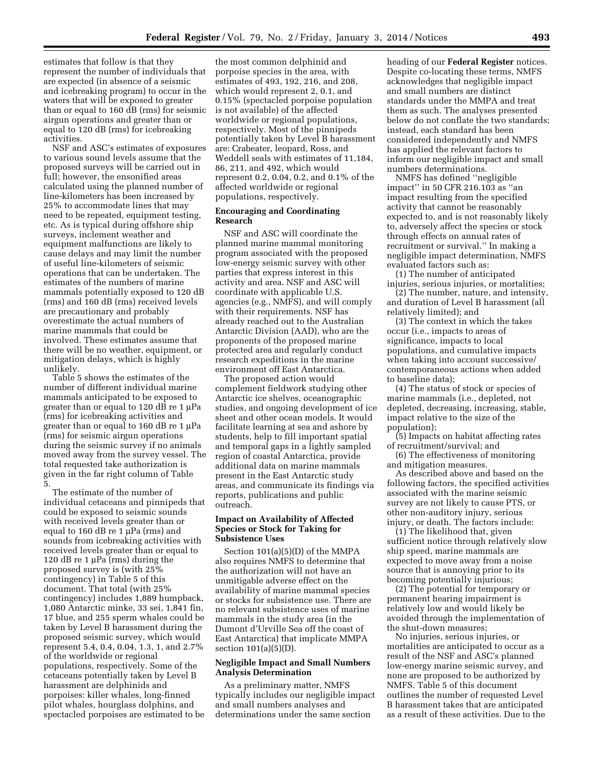estimates that follow is that they represent the number of individuals that are expected (in absence of a seismic and icebreaking program) to occur in the waters that will be exposed to greater than or equal to 160 dB (rms) for seismic airgun operations and greater than or equal to 120 dB (rms) for icebreaking activities.

NSF and ASC's estimates of exposures to various sound levels assume that the proposed surveys will be carried out in full; however, the ensonified areas calculated using the planned number of line-kilometers has been increased by 25% to accommodate lines that may need to be repeated, equipment testing, etc. As is typical during offshore ship surveys, inclement weather and equipment malfunctions are likely to cause delays and may limit the number of useful line-kilometers of seismic operations that can be undertaken. The estimates of the numbers of marine mammals potentially exposed to 120 dB (rms) and 160 dB (rms) received levels are precautionary and probably overestimate the actual numbers of marine mammals that could be involved. These estimates assume that there will be no weather, equipment, or mitigation delays, which is highly unlikely.

Table 5 shows the estimates of the number of different individual marine mammals anticipated to be exposed to greater than or equal to  $120$  dB re  $1 \mu$ Pa (rms) for icebreaking activities and greater than or equal to  $160$  dB re  $1 \mu Pa$ (rms) for seismic airgun operations during the seismic survey if no animals moved away from the survey vessel. The total requested take authorization is given in the far right column of Table 5.

The estimate of the number of individual cetaceans and pinnipeds that could be exposed to seismic sounds with received levels greater than or equal to  $160$  dB re  $1 \mu$ Pa (rms) and sounds from icebreaking activities with received levels greater than or equal to 120 dB re 1  $\mu$ Pa (rms) during the proposed survey is (with 25% contingency) in Table 5 of this document. That total (with 25% contingency) includes 1,889 humpback, 1,080 Antarctic minke, 33 sei, 1,841 fin, 17 blue, and 255 sperm whales could be taken by Level B harassment during the proposed seismic survey, which would represent 5.4, 0.4, 0.04, 1.3, 1, and 2.7% of the worldwide or regional populations, respectively. Some of the cetaceans potentially taken by Level B harassment are delphinids and porpoises: killer whales, long-finned pilot whales, hourglass dolphins, and spectacled porpoises are estimated to be

the most common delphinid and porpoise species in the area, with estimates of 493, 192, 216, and 208, which would represent 2, 0.1, and 0.15% (spectacled porpoise population is not available) of the affected worldwide or regional populations, respectively. Most of the pinnipeds potentially taken by Level B harassment are: Crabeater, leopard, Ross, and Weddell seals with estimates of 11,184, 86, 211, and 492, which would represent 0.2, 0.04, 0.2, and 0.1% of the affected worldwide or regional populations, respectively.

# **Encouraging and Coordinating Research**

NSF and ASC will coordinate the planned marine mammal monitoring program associated with the proposed low-energy seismic survey with other parties that express interest in this activity and area. NSF and ASC will coordinate with applicable U.S. agencies (e.g., NMFS), and will comply with their requirements. NSF has already reached out to the Australian Antarctic Division (AAD), who are the proponents of the proposed marine protected area and regularly conduct research expeditions in the marine environment off East Antarctica.

The proposed action would complement fieldwork studying other Antarctic ice shelves, oceanographic studies, and ongoing development of ice sheet and other ocean models. It would facilitate learning at sea and ashore by students, help to fill important spatial and temporal gaps in a lightly sampled region of coastal Antarctica, provide additional data on marine mammals present in the East Antarctic study areas, and communicate its findings via reports, publications and public outreach.

# **Impact on Availability of Affected Species or Stock for Taking for Subsistence Uses**

Section 101(a)(5)(D) of the MMPA also requires NMFS to determine that the authorization will not have an unmitigable adverse effect on the availability of marine mammal species or stocks for subsistence use. There are no relevant subsistence uses of marine mammals in the study area (in the Dumont d'Urville Sea off the coast of East Antarctica) that implicate MMPA section 101(a)(5)(D).

# **Negligible Impact and Small Numbers Analysis Determination**

As a preliminary matter, NMFS typically includes our negligible impact and small numbers analyses and determinations under the same section

heading of our **Federal Register** notices. Despite co-locating these terms, NMFS acknowledges that negligible impact and small numbers are distinct standards under the MMPA and treat them as such. The analyses presented below do not conflate the two standards; instead, each standard has been considered independently and NMFS has applied the relevant factors to inform our negligible impact and small numbers determinations.

NMFS has defined ''negligible impact'' in 50 CFR 216.103 as ''an impact resulting from the specified activity that cannot be reasonably expected to, and is not reasonably likely to, adversely affect the species or stock through effects on annual rates of recruitment or survival.'' In making a negligible impact determination, NMFS evaluated factors such as:

(1) The number of anticipated injuries, serious injuries, or mortalities;

(2) The number, nature, and intensity, and duration of Level B harassment (all relatively limited); and

(3) The context in which the takes occur (i.e., impacts to areas of significance, impacts to local populations, and cumulative impacts when taking into account successive/ contemporaneous actions when added to baseline data);

(4) The status of stock or species of marine mammals (i.e., depleted, not depleted, decreasing, increasing, stable, impact relative to the size of the population);

(5) Impacts on habitat affecting rates of recruitment/survival; and

(6) The effectiveness of monitoring and mitigation measures.

As described above and based on the following factors, the specified activities associated with the marine seismic survey are not likely to cause PTS, or other non-auditory injury, serious injury, or death. The factors include:

(1) The likelihood that, given sufficient notice through relatively slow ship speed, marine mammals are expected to move away from a noise source that is annoying prior to its becoming potentially injurious;

(2) The potential for temporary or permanent hearing impairment is relatively low and would likely be avoided through the implementation of the shut-down measures;

No injuries, serious injuries, or mortalities are anticipated to occur as a result of the NSF and ASC's planned low-energy marine seismic survey, and none are proposed to be authorized by NMFS. Table 5 of this document outlines the number of requested Level B harassment takes that are anticipated as a result of these activities. Due to the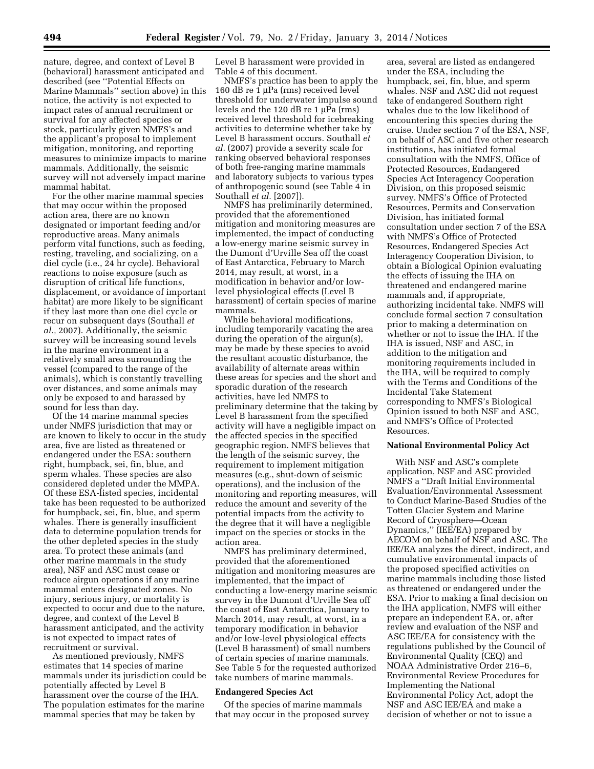nature, degree, and context of Level B (behavioral) harassment anticipated and described (see ''Potential Effects on Marine Mammals'' section above) in this notice, the activity is not expected to impact rates of annual recruitment or survival for any affected species or stock, particularly given NMFS's and the applicant's proposal to implement mitigation, monitoring, and reporting measures to minimize impacts to marine mammals. Additionally, the seismic survey will not adversely impact marine mammal habitat.

For the other marine mammal species that may occur within the proposed action area, there are no known designated or important feeding and/or reproductive areas. Many animals perform vital functions, such as feeding, resting, traveling, and socializing, on a diel cycle (i.e., 24 hr cycle). Behavioral reactions to noise exposure (such as disruption of critical life functions, displacement, or avoidance of important habitat) are more likely to be significant if they last more than one diel cycle or recur on subsequent days (Southall *et al.,* 2007). Additionally, the seismic survey will be increasing sound levels in the marine environment in a relatively small area surrounding the vessel (compared to the range of the animals), which is constantly travelling over distances, and some animals may only be exposed to and harassed by sound for less than day.

Of the 14 marine mammal species under NMFS jurisdiction that may or are known to likely to occur in the study area, five are listed as threatened or endangered under the ESA: southern right, humpback, sei, fin, blue, and sperm whales. These species are also considered depleted under the MMPA. Of these ESA-listed species, incidental take has been requested to be authorized for humpback, sei, fin, blue, and sperm whales. There is generally insufficient data to determine population trends for the other depleted species in the study area. To protect these animals (and other marine mammals in the study area), NSF and ASC must cease or reduce airgun operations if any marine mammal enters designated zones. No injury, serious injury, or mortality is expected to occur and due to the nature, degree, and context of the Level B harassment anticipated, and the activity is not expected to impact rates of recruitment or survival.

As mentioned previously, NMFS estimates that 14 species of marine mammals under its jurisdiction could be potentially affected by Level B harassment over the course of the IHA. The population estimates for the marine mammal species that may be taken by

Level B harassment were provided in Table 4 of this document.

NMFS's practice has been to apply the 160 dB re 1  $\mu$ Pa (rms) received level threshold for underwater impulse sound levels and the 120 dB re  $1 \mu Pa$  (rms) received level threshold for icebreaking activities to determine whether take by Level B harassment occurs. Southall *et al.* (2007) provide a severity scale for ranking observed behavioral responses of both free-ranging marine mammals and laboratory subjects to various types of anthropogenic sound (see Table 4 in Southall *et al.* [2007]).

NMFS has preliminarily determined, provided that the aforementioned mitigation and monitoring measures are implemented, the impact of conducting a low-energy marine seismic survey in the Dumont d'Urville Sea off the coast of East Antarctica, February to March 2014, may result, at worst, in a modification in behavior and/or lowlevel physiological effects (Level B harassment) of certain species of marine mammals.

While behavioral modifications, including temporarily vacating the area during the operation of the airgun(s), may be made by these species to avoid the resultant acoustic disturbance, the availability of alternate areas within these areas for species and the short and sporadic duration of the research activities, have led NMFS to preliminary determine that the taking by Level B harassment from the specified activity will have a negligible impact on the affected species in the specified geographic region. NMFS believes that the length of the seismic survey, the requirement to implement mitigation measures (e.g., shut-down of seismic operations), and the inclusion of the monitoring and reporting measures, will reduce the amount and severity of the potential impacts from the activity to the degree that it will have a negligible impact on the species or stocks in the action area.

NMFS has preliminary determined, provided that the aforementioned mitigation and monitoring measures are implemented, that the impact of conducting a low-energy marine seismic survey in the Dumont d'Urville Sea off the coast of East Antarctica, January to March 2014, may result, at worst, in a temporary modification in behavior and/or low-level physiological effects (Level B harassment) of small numbers of certain species of marine mammals. See Table 5 for the requested authorized take numbers of marine mammals.

# **Endangered Species Act**

Of the species of marine mammals that may occur in the proposed survey

area, several are listed as endangered under the ESA, including the humpback, sei, fin, blue, and sperm whales. NSF and ASC did not request take of endangered Southern right whales due to the low likelihood of encountering this species during the cruise. Under section 7 of the ESA, NSF, on behalf of ASC and five other research institutions, has initiated formal consultation with the NMFS, Office of Protected Resources, Endangered Species Act Interagency Cooperation Division, on this proposed seismic survey. NMFS's Office of Protected Resources, Permits and Conservation Division, has initiated formal consultation under section 7 of the ESA with NMFS's Office of Protected Resources, Endangered Species Act Interagency Cooperation Division, to obtain a Biological Opinion evaluating the effects of issuing the IHA on threatened and endangered marine mammals and, if appropriate, authorizing incidental take. NMFS will conclude formal section 7 consultation prior to making a determination on whether or not to issue the IHA. If the IHA is issued, NSF and ASC, in addition to the mitigation and monitoring requirements included in the IHA, will be required to comply with the Terms and Conditions of the Incidental Take Statement corresponding to NMFS's Biological Opinion issued to both NSF and ASC, and NMFS's Office of Protected Resources.

# **National Environmental Policy Act**

With NSF and ASC's complete application, NSF and ASC provided NMFS a ''Draft Initial Environmental Evaluation/Environmental Assessment to Conduct Marine-Based Studies of the Totten Glacier System and Marine Record of Cryosphere—Ocean Dynamics,'' (IEE/EA) prepared by AECOM on behalf of NSF and ASC. The IEE/EA analyzes the direct, indirect, and cumulative environmental impacts of the proposed specified activities on marine mammals including those listed as threatened or endangered under the ESA. Prior to making a final decision on the IHA application, NMFS will either prepare an independent EA, or, after review and evaluation of the NSF and ASC IEE/EA for consistency with the regulations published by the Council of Environmental Quality (CEQ) and NOAA Administrative Order 216–6, Environmental Review Procedures for Implementing the National Environmental Policy Act, adopt the NSF and ASC IEE/EA and make a decision of whether or not to issue a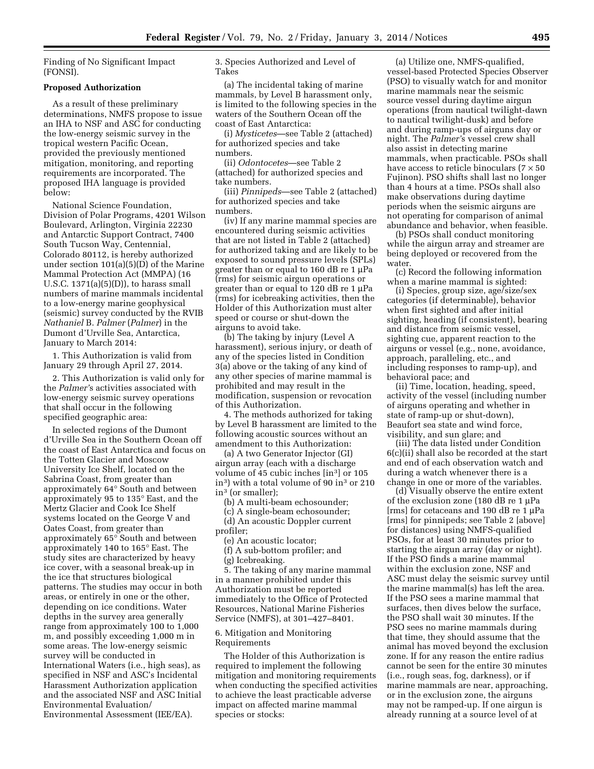Finding of No Significant Impact (FONSI).

#### **Proposed Authorization**

As a result of these preliminary determinations, NMFS propose to issue an IHA to NSF and ASC for conducting the low-energy seismic survey in the tropical western Pacific Ocean, provided the previously mentioned mitigation, monitoring, and reporting requirements are incorporated. The proposed IHA language is provided below:

National Science Foundation, Division of Polar Programs, 4201 Wilson Boulevard, Arlington, Virginia 22230 and Antarctic Support Contract, 7400 South Tucson Way, Centennial, Colorado 80112, is hereby authorized under section 101(a)(5)(D) of the Marine Mammal Protection Act (MMPA) (16 U.S.C.  $1371(a)(5)(D)$ , to harass small numbers of marine mammals incidental to a low-energy marine geophysical (seismic) survey conducted by the RVIB *Nathaniel* B. *Palmer* (*Palmer*) in the Dumont d'Urville Sea, Antarctica, January to March 2014:

1. This Authorization is valid from January 29 through April 27, 2014.

2. This Authorization is valid only for the *Palmer'*s activities associated with low-energy seismic survey operations that shall occur in the following specified geographic area:

In selected regions of the Dumont d'Urville Sea in the Southern Ocean off the coast of East Antarctica and focus on the Totten Glacier and Moscow University Ice Shelf, located on the Sabrina Coast, from greater than approximately 64° South and between approximately 95 to 135° East, and the Mertz Glacier and Cook Ice Shelf systems located on the George V and Oates Coast, from greater than approximately 65° South and between approximately 140 to 165° East. The study sites are characterized by heavy ice cover, with a seasonal break-up in the ice that structures biological patterns. The studies may occur in both areas, or entirely in one or the other, depending on ice conditions. Water depths in the survey area generally range from approximately 100 to 1,000 m, and possibly exceeding 1,000 m in some areas. The low-energy seismic survey will be conducted in International Waters (i.e., high seas), as specified in NSF and ASC's Incidental Harassment Authorization application and the associated NSF and ASC Initial Environmental Evaluation/ Environmental Assessment (IEE/EA).

3. Species Authorized and Level of Takes

(a) The incidental taking of marine mammals, by Level B harassment only, is limited to the following species in the waters of the Southern Ocean off the coast of East Antarctica:

(i) *Mysticetes*—see Table 2 (attached) for authorized species and take numbers.

(ii) *Odontocetes*—see Table 2 (attached) for authorized species and take numbers.

(iii) *Pinnipeds*—see Table 2 (attached) for authorized species and take numbers.

(iv) If any marine mammal species are encountered during seismic activities that are not listed in Table 2 (attached) for authorized taking and are likely to be exposed to sound pressure levels (SPLs) greater than or equal to  $160$  dB re  $1 \mu$ Pa (rms) for seismic airgun operations or greater than or equal to  $120$  dB re  $1 \mu$ Pa (rms) for icebreaking activities, then the Holder of this Authorization must alter speed or course or shut-down the airguns to avoid take.

(b) The taking by injury (Level A harassment), serious injury, or death of any of the species listed in Condition 3(a) above or the taking of any kind of any other species of marine mammal is prohibited and may result in the modification, suspension or revocation of this Authorization.

4. The methods authorized for taking by Level B harassment are limited to the following acoustic sources without an amendment to this Authorization:

(a) A two Generator Injector (GI) airgun array (each with a discharge volume of 45 cubic inches [in3] or 105 in3) with a total volume of 90 in3 or 210 in3 (or smaller);

(b) A multi-beam echosounder;

(c) A single-beam echosounder;

(d) An acoustic Doppler current profiler;

(e) An acoustic locator;

(f) A sub-bottom profiler; and (g) Icebreaking.

5. The taking of any marine mammal in a manner prohibited under this Authorization must be reported immediately to the Office of Protected Resources, National Marine Fisheries Service (NMFS), at 301–427–8401.

# 6. Mitigation and Monitoring Requirements

The Holder of this Authorization is required to implement the following mitigation and monitoring requirements when conducting the specified activities to achieve the least practicable adverse impact on affected marine mammal species or stocks:

(a) Utilize one, NMFS-qualified, vessel-based Protected Species Observer (PSO) to visually watch for and monitor marine mammals near the seismic source vessel during daytime airgun operations (from nautical twilight-dawn to nautical twilight-dusk) and before and during ramp-ups of airguns day or night. The *Palmer'*s vessel crew shall also assist in detecting marine mammals, when practicable. PSOs shall have access to reticle binoculars  $(7 \times 50)$ Fujinon). PSO shifts shall last no longer than 4 hours at a time. PSOs shall also make observations during daytime periods when the seismic airguns are not operating for comparison of animal abundance and behavior, when feasible.

(b) PSOs shall conduct monitoring while the airgun array and streamer are being deployed or recovered from the water.

(c) Record the following information when a marine mammal is sighted:

(i) Species, group size, age/size/sex categories (if determinable), behavior when first sighted and after initial sighting, heading (if consistent), bearing and distance from seismic vessel, sighting cue, apparent reaction to the airguns or vessel (e.g., none, avoidance, approach, paralleling, etc., and including responses to ramp-up), and behavioral pace; and

(ii) Time, location, heading, speed, activity of the vessel (including number of airguns operating and whether in state of ramp-up or shut-down), Beaufort sea state and wind force, visibility, and sun glare; and

(iii) The data listed under Condition 6(c)(ii) shall also be recorded at the start and end of each observation watch and during a watch whenever there is a change in one or more of the variables.

(d) Visually observe the entire extent of the exclusion zone (180 dB re 1  $\mu$ Pa [ $rms$ ] for cetaceans and 190 dB re 1  $\mu$ Pa [rms] for pinnipeds; see Table 2 [above] for distances) using NMFS-qualified PSOs, for at least 30 minutes prior to starting the airgun array (day or night). If the PSO finds a marine mammal within the exclusion zone, NSF and ASC must delay the seismic survey until the marine mammal(s) has left the area. If the PSO sees a marine mammal that surfaces, then dives below the surface, the PSO shall wait 30 minutes. If the PSO sees no marine mammals during that time, they should assume that the animal has moved beyond the exclusion zone. If for any reason the entire radius cannot be seen for the entire 30 minutes (i.e., rough seas, fog, darkness), or if marine mammals are near, approaching, or in the exclusion zone, the airguns may not be ramped-up. If one airgun is already running at a source level of at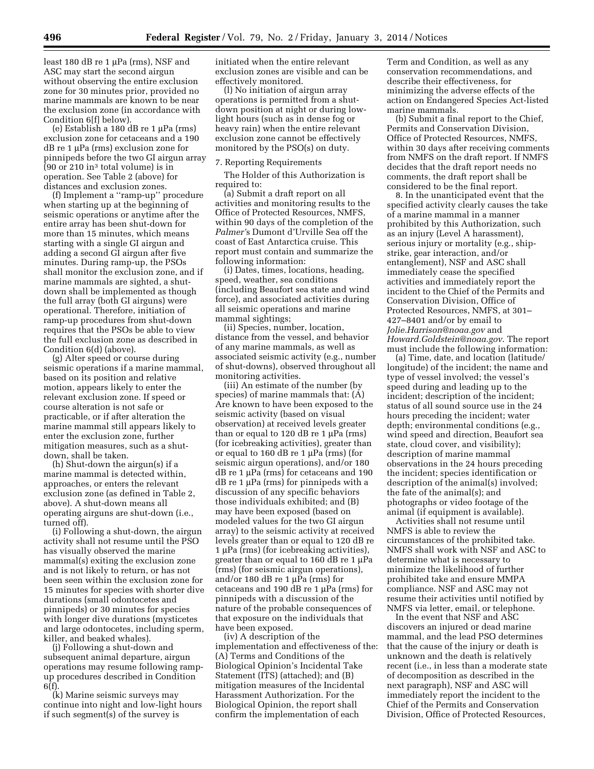least  $180$  dB re  $1 \mu Pa$  (rms), NSF and ASC may start the second airgun without observing the entire exclusion zone for 30 minutes prior, provided no marine mammals are known to be near the exclusion zone (in accordance with Condition 6[f] below).

(e) Establish a 180 dB re 1  $\mu$ Pa (rms) exclusion zone for cetaceans and a 190  $dB$  re 1  $\mu$ Pa (rms) exclusion zone for pinnipeds before the two GI airgun array  $(90 \text{ or } 210 \text{ in}^3 \text{ total volume})$  is in operation. See Table 2 (above) for distances and exclusion zones.

(f) Implement a ''ramp-up'' procedure when starting up at the beginning of seismic operations or anytime after the entire array has been shut-down for more than 15 minutes, which means starting with a single GI airgun and adding a second GI airgun after five minutes. During ramp-up, the PSOs shall monitor the exclusion zone, and if marine mammals are sighted, a shutdown shall be implemented as though the full array (both GI airguns) were operational. Therefore, initiation of ramp-up procedures from shut-down requires that the PSOs be able to view the full exclusion zone as described in Condition 6(d) (above).

(g) Alter speed or course during seismic operations if a marine mammal, based on its position and relative motion, appears likely to enter the relevant exclusion zone. If speed or course alteration is not safe or practicable, or if after alteration the marine mammal still appears likely to enter the exclusion zone, further mitigation measures, such as a shutdown, shall be taken.

(h) Shut-down the airgun(s) if a marine mammal is detected within, approaches, or enters the relevant exclusion zone (as defined in Table 2, above). A shut-down means all operating airguns are shut-down (i.e., turned off).

(i) Following a shut-down, the airgun activity shall not resume until the PSO has visually observed the marine mammal(s) exiting the exclusion zone and is not likely to return, or has not been seen within the exclusion zone for 15 minutes for species with shorter dive durations (small odontocetes and pinnipeds) or 30 minutes for species with longer dive durations (mysticetes and large odontocetes, including sperm, killer, and beaked whales).

(j) Following a shut-down and subsequent animal departure, airgun operations may resume following rampup procedures described in Condition 6(f).

(k) Marine seismic surveys may continue into night and low-light hours if such segment(s) of the survey is

initiated when the entire relevant exclusion zones are visible and can be effectively monitored.

(l) No initiation of airgun array operations is permitted from a shutdown position at night or during lowlight hours (such as in dense fog or heavy rain) when the entire relevant exclusion zone cannot be effectively monitored by the PSO(s) on duty.

#### 7. Reporting Requirements

The Holder of this Authorization is required to:

(a) Submit a draft report on all activities and monitoring results to the Office of Protected Resources, NMFS, within 90 days of the completion of the *Palmer'*s Dumont d'Urville Sea off the coast of East Antarctica cruise. This report must contain and summarize the following information:

(i) Dates, times, locations, heading, speed, weather, sea conditions (including Beaufort sea state and wind force), and associated activities during all seismic operations and marine mammal sightings;

(ii) Species, number, location, distance from the vessel, and behavior of any marine mammals, as well as associated seismic activity (e.g., number of shut-downs), observed throughout all monitoring activities.

(iii) An estimate of the number (by species) of marine mammals that: (A) Are known to have been exposed to the seismic activity (based on visual observation) at received levels greater than or equal to 120 dB re 1  $\mu$ Pa (rms) (for icebreaking activities), greater than or equal to  $160$  dB re  $1 \mu Pa$  (rms) (for seismic airgun operations), and/or 180  $dB$  re 1 µPa (rms) for cetaceans and 190  $dB$  re 1  $\mu$ Pa (rms) for pinnipeds with a discussion of any specific behaviors those individuals exhibited; and (B) may have been exposed (based on modeled values for the two GI airgun array) to the seismic activity at received levels greater than or equal to 120 dB re  $1 \mu Pa$  (rms) (for icebreaking activities), greater than or equal to 160 dB re 1  $\mu$ Pa (rms) (for seismic airgun operations), and/or 180 dB re 1  $\mu$ Pa (rms) for cetaceans and 190 dB re 1  $\mu$ Pa (rms) for pinnipeds with a discussion of the nature of the probable consequences of that exposure on the individuals that have been exposed.

(iv) A description of the implementation and effectiveness of the: (A) Terms and Conditions of the Biological Opinion's Incidental Take Statement (ITS) (attached); and (B) mitigation measures of the Incidental Harassment Authorization. For the Biological Opinion, the report shall confirm the implementation of each

Term and Condition, as well as any conservation recommendations, and describe their effectiveness, for minimizing the adverse effects of the action on Endangered Species Act-listed marine mammals.

(b) Submit a final report to the Chief, Permits and Conservation Division, Office of Protected Resources, NMFS, within 30 days after receiving comments from NMFS on the draft report. If NMFS decides that the draft report needs no comments, the draft report shall be considered to be the final report.

8. In the unanticipated event that the specified activity clearly causes the take of a marine mammal in a manner prohibited by this Authorization, such as an injury (Level A harassment), serious injury or mortality (e.g., shipstrike, gear interaction, and/or entanglement), NSF and ASC shall immediately cease the specified activities and immediately report the incident to the Chief of the Permits and Conservation Division, Office of Protected Resources, NMFS, at 301– 427–8401 and/or by email to *[Jolie.Harrison@noaa.gov](mailto:Jolie.Harrison@noaa.gov)* and *[Howard.Goldstein@noaa.gov](mailto:Howard.Goldstein@noaa.gov)*. The report must include the following information:

(a) Time, date, and location (latitude/ longitude) of the incident; the name and type of vessel involved; the vessel's speed during and leading up to the incident; description of the incident; status of all sound source use in the 24 hours preceding the incident; water depth; environmental conditions (e.g., wind speed and direction, Beaufort sea state, cloud cover, and visibility); description of marine mammal observations in the 24 hours preceding the incident; species identification or description of the animal(s) involved; the fate of the animal(s); and photographs or video footage of the animal (if equipment is available).

Activities shall not resume until NMFS is able to review the circumstances of the prohibited take. NMFS shall work with NSF and ASC to determine what is necessary to minimize the likelihood of further prohibited take and ensure MMPA compliance. NSF and ASC may not resume their activities until notified by NMFS via letter, email, or telephone.

In the event that NSF and ASC discovers an injured or dead marine mammal, and the lead PSO determines that the cause of the injury or death is unknown and the death is relatively recent (i.e., in less than a moderate state of decomposition as described in the next paragraph), NSF and ASC will immediately report the incident to the Chief of the Permits and Conservation Division, Office of Protected Resources,